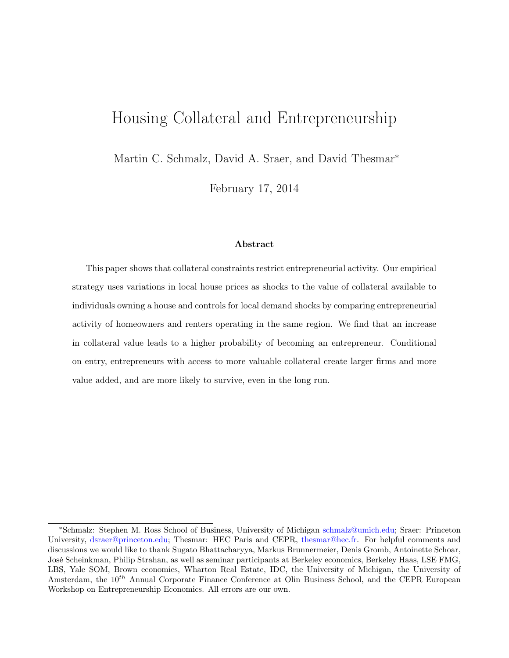# Housing Collateral and Entrepreneurship

Martin C. Schmalz, David A. Sraer, and David Thesmar<sup>\*</sup>

February 17, 2014

### Abstract

This paper shows that collateral constraints restrict entrepreneurial activity. Our empirical strategy uses variations in local house prices as shocks to the value of collateral available to individuals owning a house and controls for local demand shocks by comparing entrepreneurial activity of homeowners and renters operating in the same region. We find that an increase in collateral value leads to a higher probability of becoming an entrepreneur. Conditional on entry, entrepreneurs with access to more valuable collateral create larger firms and more value added, and are more likely to survive, even in the long run.

<sup>∗</sup>Schmalz: Stephen M. Ross School of Business, University of Michigan [schmalz@umich.edu;](mailto:schmalz@umich.edu) Sraer: Princeton University, [dsraer@princeton.edu;](mailto:dsraer@princeton.edu) Thesmar: HEC Paris and CEPR, [thesmar@hec.fr.](mailto:thesmar@hec.fr) For helpful comments and discussions we would like to thank Sugato Bhattacharyya, Markus Brunnermeier, Denis Gromb, Antoinette Schoar, José Scheinkman, Philip Strahan, as well as seminar participants at Berkeley economics, Berkeley Haas, LSE FMG, LBS, Yale SOM, Brown economics, Wharton Real Estate, IDC, the University of Michigan, the University of Amsterdam, the  $10^{th}$  Annual Corporate Finance Conference at Olin Business School, and the CEPR European Workshop on Entrepreneurship Economics. All errors are our own.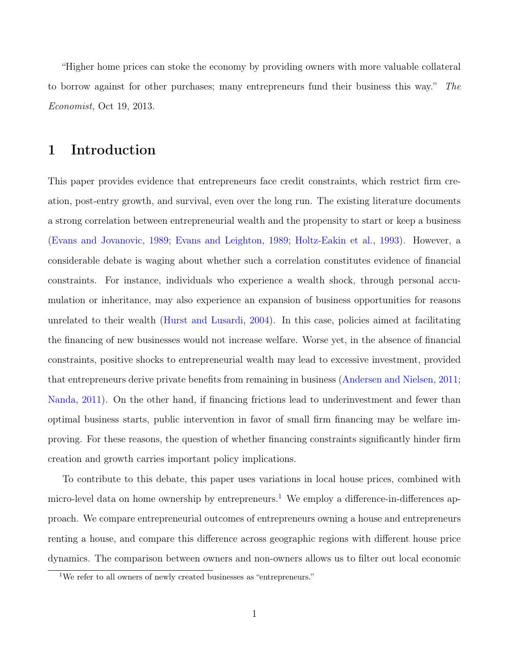"Higher home prices can stoke the economy by providing owners with more valuable collateral to borrow against for other purchases; many entrepreneurs fund their business this way." The Economist, Oct 19, 2013.

# 1 Introduction

This paper provides evidence that entrepreneurs face credit constraints, which restrict firm creation, post-entry growth, and survival, even over the long run. The existing literature documents a strong correlation between entrepreneurial wealth and the propensity to start or keep a business [\(Evans and Jovanovic,](#page-33-0) [1989;](#page-33-0) [Evans and Leighton,](#page-33-1) [1989;](#page-33-1) [Holtz-Eakin et al.,](#page-33-2) [1993\)](#page-33-2). However, a considerable debate is waging about whether such a correlation constitutes evidence of financial constraints. For instance, individuals who experience a wealth shock, through personal accumulation or inheritance, may also experience an expansion of business opportunities for reasons unrelated to their wealth [\(Hurst and Lusardi,](#page-34-0) [2004\)](#page-34-0). In this case, policies aimed at facilitating the financing of new businesses would not increase welfare. Worse yet, in the absence of financial constraints, positive shocks to entrepreneurial wealth may lead to excessive investment, provided that entrepreneurs derive private benefits from remaining in business [\(Andersen and Nielsen,](#page-32-0) [2011;](#page-32-0) [Nanda,](#page-35-0) [2011\)](#page-35-0). On the other hand, if financing frictions lead to underinvestment and fewer than optimal business starts, public intervention in favor of small firm financing may be welfare improving. For these reasons, the question of whether financing constraints significantly hinder firm creation and growth carries important policy implications.

To contribute to this debate, this paper uses variations in local house prices, combined with micro-level data on home ownership by entrepreneurs.<sup>[1](#page-1-0)</sup> We employ a difference-in-differences approach. We compare entrepreneurial outcomes of entrepreneurs owning a house and entrepreneurs renting a house, and compare this difference across geographic regions with different house price dynamics. The comparison between owners and non-owners allows us to filter out local economic

<span id="page-1-0"></span><sup>&</sup>lt;sup>1</sup>We refer to all owners of newly created businesses as "entrepreneurs."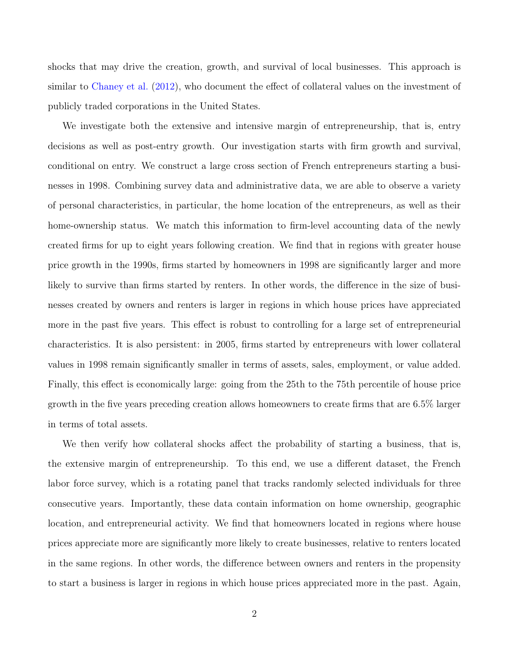shocks that may drive the creation, growth, and survival of local businesses. This approach is similar to [Chaney et al.](#page-32-1) [\(2012\)](#page-32-1), who document the effect of collateral values on the investment of publicly traded corporations in the United States.

We investigate both the extensive and intensive margin of entrepreneurship, that is, entry decisions as well as post-entry growth. Our investigation starts with firm growth and survival, conditional on entry. We construct a large cross section of French entrepreneurs starting a businesses in 1998. Combining survey data and administrative data, we are able to observe a variety of personal characteristics, in particular, the home location of the entrepreneurs, as well as their home-ownership status. We match this information to firm-level accounting data of the newly created firms for up to eight years following creation. We find that in regions with greater house price growth in the 1990s, firms started by homeowners in 1998 are significantly larger and more likely to survive than firms started by renters. In other words, the difference in the size of businesses created by owners and renters is larger in regions in which house prices have appreciated more in the past five years. This effect is robust to controlling for a large set of entrepreneurial characteristics. It is also persistent: in 2005, firms started by entrepreneurs with lower collateral values in 1998 remain significantly smaller in terms of assets, sales, employment, or value added. Finally, this effect is economically large: going from the 25th to the 75th percentile of house price growth in the five years preceding creation allows homeowners to create firms that are 6.5% larger in terms of total assets.

We then verify how collateral shocks affect the probability of starting a business, that is, the extensive margin of entrepreneurship. To this end, we use a different dataset, the French labor force survey, which is a rotating panel that tracks randomly selected individuals for three consecutive years. Importantly, these data contain information on home ownership, geographic location, and entrepreneurial activity. We find that homeowners located in regions where house prices appreciate more are significantly more likely to create businesses, relative to renters located in the same regions. In other words, the difference between owners and renters in the propensity to start a business is larger in regions in which house prices appreciated more in the past. Again,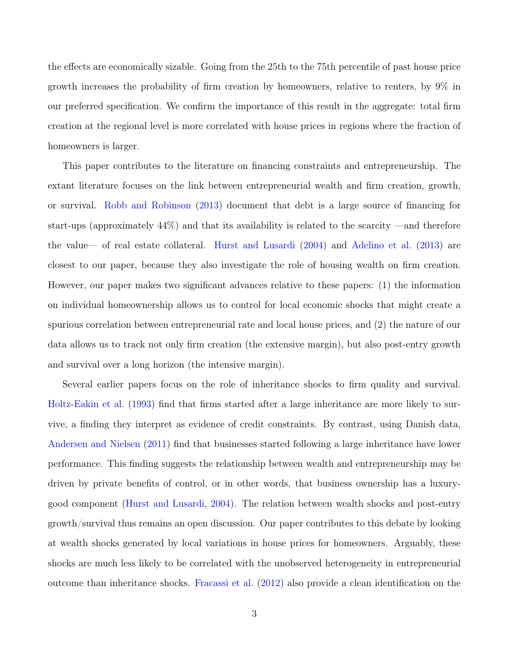the effects are economically sizable. Going from the 25th to the 75th percentile of past house price growth increases the probability of firm creation by homeowners, relative to renters, by 9% in our preferred specification. We confirm the importance of this result in the aggregate: total firm creation at the regional level is more correlated with house prices in regions where the fraction of homeowners is larger.

This paper contributes to the literature on financing constraints and entrepreneurship. The extant literature focuses on the link between entrepreneurial wealth and firm creation, growth, or survival. [Robb and Robinson](#page-35-1) [\(2013\)](#page-35-1) document that debt is a large source of financing for start-ups (approximately 44%) and that its availability is related to the scarcity —and therefore the value— of real estate collateral. [Hurst and Lusardi](#page-34-0) [\(2004\)](#page-34-0) and [Adelino et al.](#page-32-2) [\(2013\)](#page-32-2) are closest to our paper, because they also investigate the role of housing wealth on firm creation. However, our paper makes two significant advances relative to these papers: (1) the information on individual homeownership allows us to control for local economic shocks that might create a spurious correlation between entrepreneurial rate and local house prices, and (2) the nature of our data allows us to track not only firm creation (the extensive margin), but also post-entry growth and survival over a long horizon (the intensive margin).

Several earlier papers focus on the role of inheritance shocks to firm quality and survival. [Holtz-Eakin et al.](#page-33-2) [\(1993\)](#page-33-2) find that firms started after a large inheritance are more likely to survive, a finding they interpret as evidence of credit constraints. By contrast, using Danish data, [Andersen and Nielsen](#page-32-0) [\(2011\)](#page-32-0) find that businesses started following a large inheritance have lower performance. This finding suggests the relationship between wealth and entrepreneurship may be driven by private benefits of control, or in other words, that business ownership has a luxurygood component [\(Hurst and Lusardi,](#page-34-0) [2004\)](#page-34-0). The relation between wealth shocks and post-entry growth/survival thus remains an open discussion. Our paper contributes to this debate by looking at wealth shocks generated by local variations in house prices for homeowners. Arguably, these shocks are much less likely to be correlated with the unobserved heterogeneity in entrepreneurial outcome than inheritance shocks. [Fracassi et al.](#page-33-3) [\(2012\)](#page-33-3) also provide a clean identification on the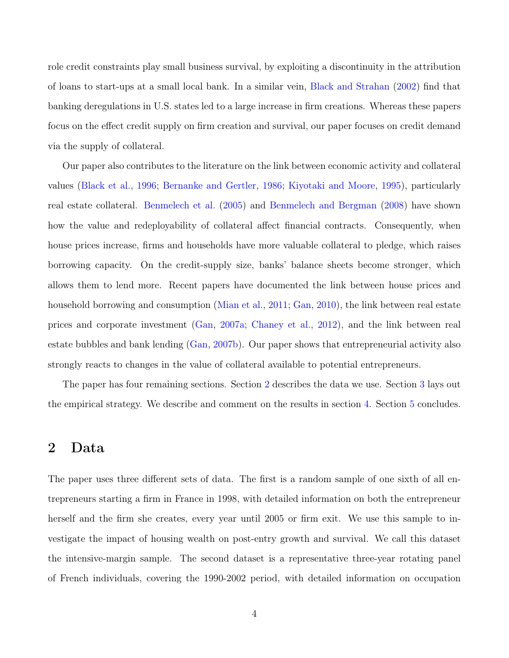role credit constraints play small business survival, by exploiting a discontinuity in the attribution of loans to start-ups at a small local bank. In a similar vein, [Black and Strahan](#page-32-3) [\(2002\)](#page-32-3) find that banking deregulations in U.S. states led to a large increase in firm creations. Whereas these papers focus on the effect credit supply on firm creation and survival, our paper focuses on credit demand via the supply of collateral.

Our paper also contributes to the literature on the link between economic activity and collateral values [\(Black et al.,](#page-32-4) [1996;](#page-32-4) [Bernanke and Gertler,](#page-32-5) [1986;](#page-32-5) [Kiyotaki and Moore,](#page-34-1) [1995\)](#page-34-1), particularly real estate collateral. [Benmelech et al.](#page-32-6) [\(2005\)](#page-32-6) and [Benmelech and Bergman](#page-32-7) [\(2008\)](#page-32-7) have shown how the value and redeployability of collateral affect financial contracts. Consequently, when house prices increase, firms and households have more valuable collateral to pledge, which raises borrowing capacity. On the credit-supply size, banks' balance sheets become stronger, which allows them to lend more. Recent papers have documented the link between house prices and household borrowing and consumption [\(Mian et al.,](#page-34-2) [2011;](#page-34-2) [Gan,](#page-33-4) [2010\)](#page-33-4), the link between real estate prices and corporate investment [\(Gan,](#page-33-5) [2007a;](#page-33-5) [Chaney et al.,](#page-32-1) [2012\)](#page-32-1), and the link between real estate bubbles and bank lending [\(Gan,](#page-33-6) [2007b\)](#page-33-6). Our paper shows that entrepreneurial activity also strongly reacts to changes in the value of collateral available to potential entrepreneurs.

The paper has four remaining sections. Section [2](#page-4-0) describes the data we use. Section [3](#page-10-0) lays out the empirical strategy. We describe and comment on the results in section [4.](#page-17-0) Section [5](#page-31-0) concludes.

## <span id="page-4-0"></span>2 Data

The paper uses three different sets of data. The first is a random sample of one sixth of all entrepreneurs starting a firm in France in 1998, with detailed information on both the entrepreneur herself and the firm she creates, every year until 2005 or firm exit. We use this sample to investigate the impact of housing wealth on post-entry growth and survival. We call this dataset the intensive-margin sample. The second dataset is a representative three-year rotating panel of French individuals, covering the 1990-2002 period, with detailed information on occupation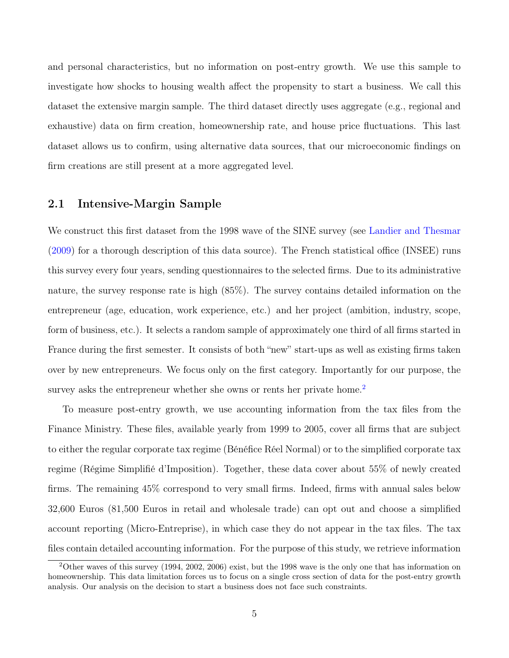and personal characteristics, but no information on post-entry growth. We use this sample to investigate how shocks to housing wealth affect the propensity to start a business. We call this dataset the extensive margin sample. The third dataset directly uses aggregate (e.g., regional and exhaustive) data on firm creation, homeownership rate, and house price fluctuations. This last dataset allows us to confirm, using alternative data sources, that our microeconomic findings on firm creations are still present at a more aggregated level.

### <span id="page-5-1"></span>2.1 Intensive-Margin Sample

We construct this first dataset from the 1998 wave of the SINE survey (see [Landier and Thesmar](#page-34-3) [\(2009\)](#page-34-3) for a thorough description of this data source). The French statistical office (INSEE) runs this survey every four years, sending questionnaires to the selected firms. Due to its administrative nature, the survey response rate is high (85%). The survey contains detailed information on the entrepreneur (age, education, work experience, etc.) and her project (ambition, industry, scope, form of business, etc.). It selects a random sample of approximately one third of all firms started in France during the first semester. It consists of both "new" start-ups as well as existing firms taken over by new entrepreneurs. We focus only on the first category. Importantly for our purpose, the survey asks the entrepreneur whether she owns or rents her private home.<sup>[2](#page-5-0)</sup>

To measure post-entry growth, we use accounting information from the tax files from the Finance Ministry. These files, available yearly from 1999 to 2005, cover all firms that are subject to either the regular corporate tax regime (Bénéfice Réel Normal) or to the simplified corporate tax regime (Régime Simplifié d'Imposition). Together, these data cover about 55% of newly created firms. The remaining 45% correspond to very small firms. Indeed, firms with annual sales below 32,600 Euros (81,500 Euros in retail and wholesale trade) can opt out and choose a simplified account reporting (Micro-Entreprise), in which case they do not appear in the tax files. The tax files contain detailed accounting information. For the purpose of this study, we retrieve information

<span id="page-5-0"></span><sup>2</sup>Other waves of this survey (1994, 2002, 2006) exist, but the 1998 wave is the only one that has information on homeownership. This data limitation forces us to focus on a single cross section of data for the post-entry growth analysis. Our analysis on the decision to start a business does not face such constraints.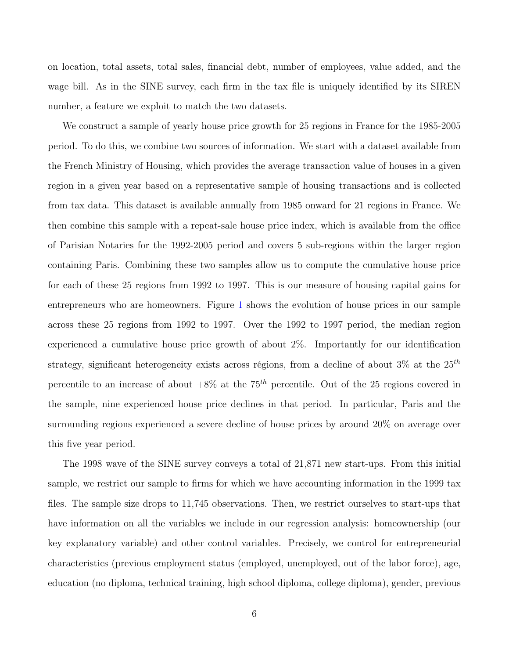on location, total assets, total sales, financial debt, number of employees, value added, and the wage bill. As in the SINE survey, each firm in the tax file is uniquely identified by its SIREN number, a feature we exploit to match the two datasets.

We construct a sample of yearly house price growth for 25 regions in France for the 1985-2005 period. To do this, we combine two sources of information. We start with a dataset available from the French Ministry of Housing, which provides the average transaction value of houses in a given region in a given year based on a representative sample of housing transactions and is collected from tax data. This dataset is available annually from 1985 onward for 21 regions in France. We then combine this sample with a repeat-sale house price index, which is available from the office of Parisian Notaries for the 1992-2005 period and covers 5 sub-regions within the larger region containing Paris. Combining these two samples allow us to compute the cumulative house price for each of these 25 regions from 1992 to 1997. This is our measure of housing capital gains for entrepreneurs who are homeowners. Figure [1](#page-36-0) shows the evolution of house prices in our sample across these 25 regions from 1992 to 1997. Over the 1992 to 1997 period, the median region experienced a cumulative house price growth of about 2%. Importantly for our identification strategy, significant heterogeneity exists across régions, from a decline of about  $3\%$  at the  $25<sup>th</sup>$ percentile to an increase of about  $+8\%$  at the  $75<sup>th</sup>$  percentile. Out of the 25 regions covered in the sample, nine experienced house price declines in that period. In particular, Paris and the surrounding regions experienced a severe decline of house prices by around 20% on average over this five year period.

The 1998 wave of the SINE survey conveys a total of 21,871 new start-ups. From this initial sample, we restrict our sample to firms for which we have accounting information in the 1999 tax files. The sample size drops to 11,745 observations. Then, we restrict ourselves to start-ups that have information on all the variables we include in our regression analysis: homeownership (our key explanatory variable) and other control variables. Precisely, we control for entrepreneurial characteristics (previous employment status (employed, unemployed, out of the labor force), age, education (no diploma, technical training, high school diploma, college diploma), gender, previous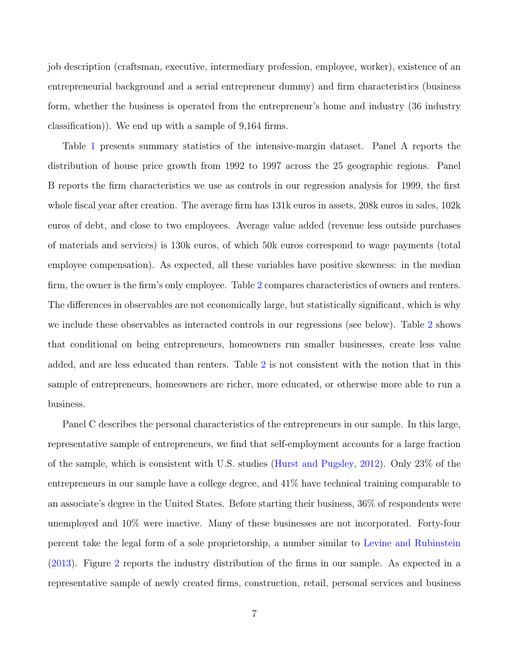job description (craftsman, executive, intermediary profession, employee, worker), existence of an entrepreneurial background and a serial entrepreneur dummy) and firm characteristics (business form, whether the business is operated from the entrepreneur's home and industry (36 industry classification)). We end up with a sample of 9,164 firms.

Table [1](#page-42-0) presents summary statistics of the intensive-margin dataset. Panel A reports the distribution of house price growth from 1992 to 1997 across the 25 geographic regions. Panel B reports the firm characteristics we use as controls in our regression analysis for 1999, the first whole fiscal year after creation. The average firm has 131k euros in assets, 208k euros in sales, 102k euros of debt, and close to two employees. Average value added (revenue less outside purchases of materials and services) is 130k euros, of which 50k euros correspond to wage payments (total employee compensation). As expected, all these variables have positive skewness: in the median firm, the owner is the firm's only employee. Table [2](#page-43-0) compares characteristics of owners and renters. The differences in observables are not economically large, but statistically significant, which is why we include these observables as interacted controls in our regressions (see below). Table [2](#page-43-0) shows that conditional on being entrepreneurs, homeowners run smaller businesses, create less value added, and are less educated than renters. Table [2](#page-43-0) is not consistent with the notion that in this sample of entrepreneurs, homeowners are richer, more educated, or otherwise more able to run a business.

Panel C describes the personal characteristics of the entrepreneurs in our sample. In this large, representative sample of entrepreneurs, we find that self-employment accounts for a large fraction of the sample, which is consistent with U.S. studies [\(Hurst and Pugsley,](#page-34-4) [2012\)](#page-34-4). Only 23% of the entrepreneurs in our sample have a college degree, and 41% have technical training comparable to an associate's degree in the United States. Before starting their business, 36% of respondents were unemployed and 10% were inactive. Many of these businesses are not incorporated. Forty-four percent take the legal form of a sole proprietorship, a number similar to [Levine and Rubinstein](#page-34-5) [\(2013\)](#page-34-5). Figure [2](#page-37-0) reports the industry distribution of the firms in our sample. As expected in a representative sample of newly created firms, construction, retail, personal services and business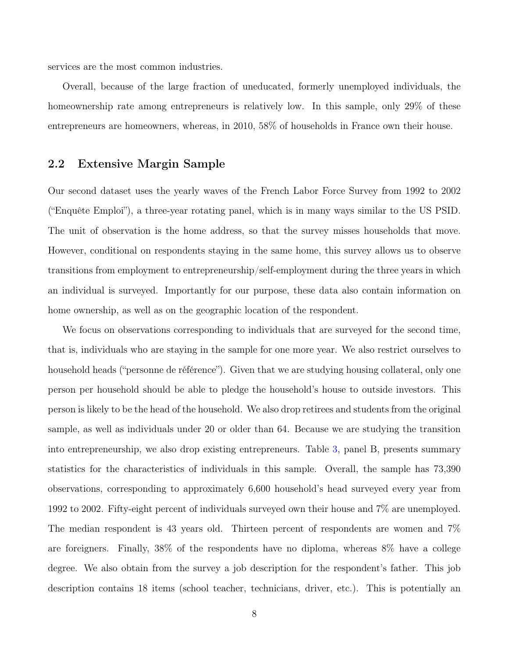services are the most common industries.

Overall, because of the large fraction of uneducated, formerly unemployed individuals, the homeownership rate among entrepreneurs is relatively low. In this sample, only 29% of these entrepreneurs are homeowners, whereas, in 2010, 58% of households in France own their house.

### <span id="page-8-0"></span>2.2 Extensive Margin Sample

Our second dataset uses the yearly waves of the French Labor Force Survey from 1992 to 2002 ("Enquête Emploi"), a three-year rotating panel, which is in many ways similar to the US PSID. The unit of observation is the home address, so that the survey misses households that move. However, conditional on respondents staying in the same home, this survey allows us to observe transitions from employment to entrepreneurship/self-employment during the three years in which an individual is surveyed. Importantly for our purpose, these data also contain information on home ownership, as well as on the geographic location of the respondent.

We focus on observations corresponding to individuals that are surveyed for the second time, that is, individuals who are staying in the sample for one more year. We also restrict ourselves to household heads ("personne de référence"). Given that we are studying housing collateral, only one person per household should be able to pledge the household's house to outside investors. This person is likely to be the head of the household. We also drop retirees and students from the original sample, as well as individuals under 20 or older than 64. Because we are studying the transition into entrepreneurship, we also drop existing entrepreneurs. Table [3,](#page-44-0) panel B, presents summary statistics for the characteristics of individuals in this sample. Overall, the sample has 73,390 observations, corresponding to approximately 6,600 household's head surveyed every year from 1992 to 2002. Fifty-eight percent of individuals surveyed own their house and 7% are unemployed. The median respondent is 43 years old. Thirteen percent of respondents are women and 7% are foreigners. Finally, 38% of the respondents have no diploma, whereas 8% have a college degree. We also obtain from the survey a job description for the respondent's father. This job description contains 18 items (school teacher, technicians, driver, etc.). This is potentially an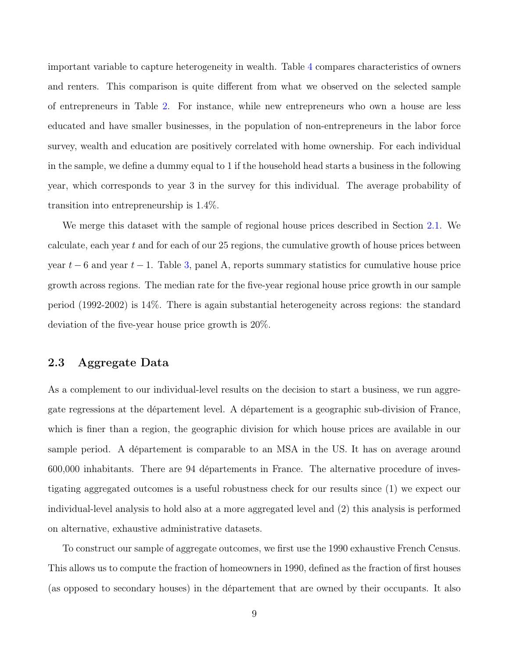important variable to capture heterogeneity in wealth. Table [4](#page-45-0) compares characteristics of owners and renters. This comparison is quite different from what we observed on the selected sample of entrepreneurs in Table [2.](#page-43-0) For instance, while new entrepreneurs who own a house are less educated and have smaller businesses, in the population of non-entrepreneurs in the labor force survey, wealth and education are positively correlated with home ownership. For each individual in the sample, we define a dummy equal to 1 if the household head starts a business in the following year, which corresponds to year 3 in the survey for this individual. The average probability of transition into entrepreneurship is 1.4%.

We merge this dataset with the sample of regional house prices described in Section [2.1.](#page-5-1) We calculate, each year  $t$  and for each of our 25 regions, the cumulative growth of house prices between year  $t - 6$  and year  $t - 1$ . Table [3,](#page-44-0) panel A, reports summary statistics for cumulative house price growth across regions. The median rate for the five-year regional house price growth in our sample period (1992-2002) is 14%. There is again substantial heterogeneity across regions: the standard deviation of the five-year house price growth is 20%.

### 2.3 Aggregate Data

As a complement to our individual-level results on the decision to start a business, we run aggregate regressions at the département level. A département is a geographic sub-division of France, which is finer than a region, the geographic division for which house prices are available in our sample period. A département is comparable to an MSA in the US. It has on average around 600,000 inhabitants. There are 94 départements in France. The alternative procedure of investigating aggregated outcomes is a useful robustness check for our results since (1) we expect our individual-level analysis to hold also at a more aggregated level and (2) this analysis is performed on alternative, exhaustive administrative datasets.

To construct our sample of aggregate outcomes, we first use the 1990 exhaustive French Census. This allows us to compute the fraction of homeowners in 1990, defined as the fraction of first houses (as opposed to secondary houses) in the département that are owned by their occupants. It also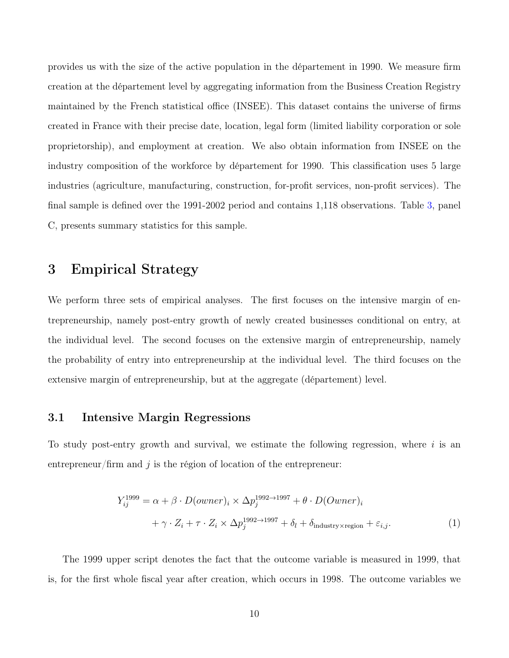provides us with the size of the active population in the département in 1990. We measure firm creation at the département level by aggregating information from the Business Creation Registry maintained by the French statistical office (INSEE). This dataset contains the universe of firms created in France with their precise date, location, legal form (limited liability corporation or sole proprietorship), and employment at creation. We also obtain information from INSEE on the industry composition of the workforce by département for 1990. This classification uses 5 large industries (agriculture, manufacturing, construction, for-profit services, non-profit services). The final sample is defined over the 1991-2002 period and contains 1,118 observations. Table [3,](#page-44-0) panel C, presents summary statistics for this sample.

# <span id="page-10-0"></span>3 Empirical Strategy

We perform three sets of empirical analyses. The first focuses on the intensive margin of entrepreneurship, namely post-entry growth of newly created businesses conditional on entry, at the individual level. The second focuses on the extensive margin of entrepreneurship, namely the probability of entry into entrepreneurship at the individual level. The third focuses on the extensive margin of entrepreneurship, but at the aggregate (département) level.

### <span id="page-10-2"></span>3.1 Intensive Margin Regressions

To study post-entry growth and survival, we estimate the following regression, where  $i$  is an entrepreneur/firm and  $j$  is the région of location of the entrepreneur:

<span id="page-10-1"></span>
$$
Y_{ij}^{1999} = \alpha + \beta \cdot D(owner)_i \times \Delta p_j^{1992 \to 1997} + \theta \cdot D(Owner)_i
$$
  
+  $\gamma \cdot Z_i + \tau \cdot Z_i \times \Delta p_j^{1992 \to 1997} + \delta_l + \delta_{\text{industry} \times \text{region}} + \varepsilon_{i,j}.$  (1)

The 1999 upper script denotes the fact that the outcome variable is measured in 1999, that is, for the first whole fiscal year after creation, which occurs in 1998. The outcome variables we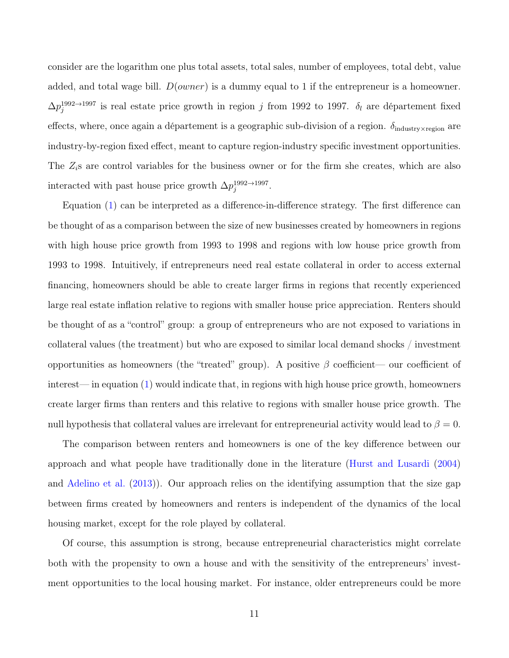consider are the logarithm one plus total assets, total sales, number of employees, total debt, value added, and total wage bill.  $D(owner)$  is a dummy equal to 1 if the entrepreneur is a homeowner.  $\Delta p_j^{1992\rightarrow 1997}$  is real estate price growth in region j from 1992 to 1997.  $\delta_l$  are département fixed effects, where, once again a département is a geographic sub-division of a region.  $\delta_{\text{industry}\times\text{region}}$  are industry-by-region fixed effect, meant to capture region-industry specific investment opportunities. The  $Z_i$ s are control variables for the business owner or for the firm she creates, which are also interacted with past house price growth  $\Delta p_j^{1992 \rightarrow 1997}$ .

Equation [\(1\)](#page-10-1) can be interpreted as a difference-in-difference strategy. The first difference can be thought of as a comparison between the size of new businesses created by homeowners in regions with high house price growth from 1993 to 1998 and regions with low house price growth from 1993 to 1998. Intuitively, if entrepreneurs need real estate collateral in order to access external financing, homeowners should be able to create larger firms in regions that recently experienced large real estate inflation relative to regions with smaller house price appreciation. Renters should be thought of as a "control" group: a group of entrepreneurs who are not exposed to variations in collateral values (the treatment) but who are exposed to similar local demand shocks / investment opportunities as homeowners (the "treated" group). A positive  $\beta$  coefficient— our coefficient of interest— in equation [\(1\)](#page-10-1) would indicate that, in regions with high house price growth, homeowners create larger firms than renters and this relative to regions with smaller house price growth. The null hypothesis that collateral values are irrelevant for entrepreneurial activity would lead to  $\beta = 0$ .

The comparison between renters and homeowners is one of the key difference between our approach and what people have traditionally done in the literature [\(Hurst and Lusardi](#page-34-0) [\(2004\)](#page-34-0) and [Adelino et al.](#page-32-2) [\(2013\)](#page-32-2)). Our approach relies on the identifying assumption that the size gap between firms created by homeowners and renters is independent of the dynamics of the local housing market, except for the role played by collateral.

Of course, this assumption is strong, because entrepreneurial characteristics might correlate both with the propensity to own a house and with the sensitivity of the entrepreneurs' investment opportunities to the local housing market. For instance, older entrepreneurs could be more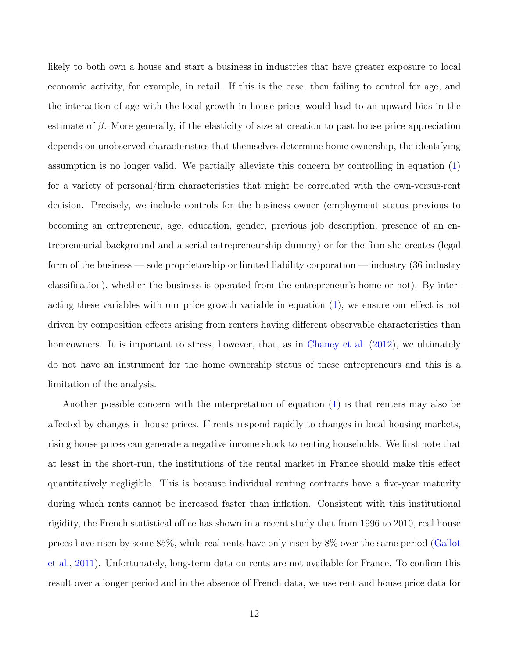likely to both own a house and start a business in industries that have greater exposure to local economic activity, for example, in retail. If this is the case, then failing to control for age, and the interaction of age with the local growth in house prices would lead to an upward-bias in the estimate of  $\beta$ . More generally, if the elasticity of size at creation to past house price appreciation depends on unobserved characteristics that themselves determine home ownership, the identifying assumption is no longer valid. We partially alleviate this concern by controlling in equation [\(1\)](#page-10-1) for a variety of personal/firm characteristics that might be correlated with the own-versus-rent decision. Precisely, we include controls for the business owner (employment status previous to becoming an entrepreneur, age, education, gender, previous job description, presence of an entrepreneurial background and a serial entrepreneurship dummy) or for the firm she creates (legal form of the business — sole proprietorship or limited liability corporation — industry (36 industry classification), whether the business is operated from the entrepreneur's home or not). By interacting these variables with our price growth variable in equation [\(1\)](#page-10-1), we ensure our effect is not driven by composition effects arising from renters having different observable characteristics than homeowners. It is important to stress, however, that, as in [Chaney et al.](#page-32-1) [\(2012\)](#page-32-1), we ultimately do not have an instrument for the home ownership status of these entrepreneurs and this is a limitation of the analysis.

Another possible concern with the interpretation of equation [\(1\)](#page-10-1) is that renters may also be affected by changes in house prices. If rents respond rapidly to changes in local housing markets, rising house prices can generate a negative income shock to renting households. We first note that at least in the short-run, the institutions of the rental market in France should make this effect quantitatively negligible. This is because individual renting contracts have a five-year maturity during which rents cannot be increased faster than inflation. Consistent with this institutional rigidity, the French statistical office has shown in a recent study that from 1996 to 2010, real house prices have risen by some 85%, while real rents have only risen by 8% over the same period [\(Gallot](#page-33-7) [et al.,](#page-33-7) [2011\)](#page-33-7). Unfortunately, long-term data on rents are not available for France. To confirm this result over a longer period and in the absence of French data, we use rent and house price data for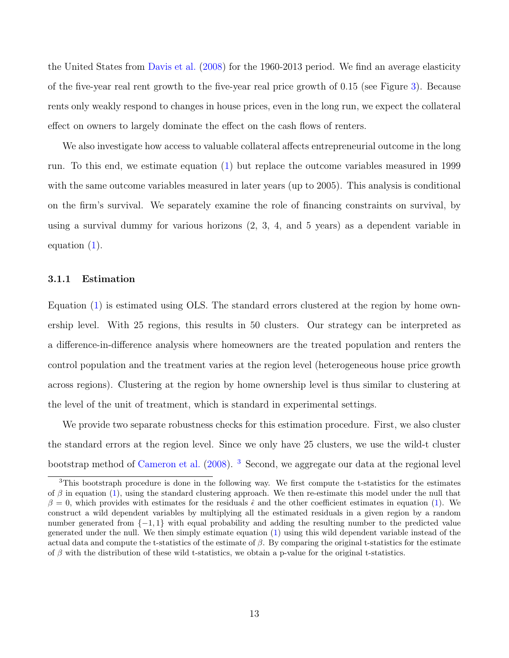the United States from [Davis et al.](#page-33-8) [\(2008\)](#page-33-8) for the 1960-2013 period. We find an average elasticity of the five-year real rent growth to the five-year real price growth of 0.15 (see Figure [3\)](#page-38-0). Because rents only weakly respond to changes in house prices, even in the long run, we expect the collateral effect on owners to largely dominate the effect on the cash flows of renters.

We also investigate how access to valuable collateral affects entrepreneurial outcome in the long run. To this end, we estimate equation [\(1\)](#page-10-1) but replace the outcome variables measured in 1999 with the same outcome variables measured in later years (up to 2005). This analysis is conditional on the firm's survival. We separately examine the role of financing constraints on survival, by using a survival dummy for various horizons (2, 3, 4, and 5 years) as a dependent variable in equation [\(1\)](#page-10-1).

### <span id="page-13-1"></span>3.1.1 Estimation

Equation [\(1\)](#page-10-1) is estimated using OLS. The standard errors clustered at the region by home ownership level. With 25 regions, this results in 50 clusters. Our strategy can be interpreted as a difference-in-difference analysis where homeowners are the treated population and renters the control population and the treatment varies at the region level (heterogeneous house price growth across regions). Clustering at the region by home ownership level is thus similar to clustering at the level of the unit of treatment, which is standard in experimental settings.

We provide two separate robustness checks for this estimation procedure. First, we also cluster the standard errors at the region level. Since we only have 25 clusters, we use the wild-t cluster bootstrap method of [Cameron et al.](#page-32-8) [\(2008\)](#page-32-8). [3](#page-13-0) Second, we aggregate our data at the regional level

<span id="page-13-0"></span><sup>3</sup>This bootstraph procedure is done in the following way. We first compute the t-statistics for the estimates of  $\beta$  in equation [\(1\)](#page-10-1), using the standard clustering approach. We then re-estimate this model under the null that  $\beta = 0$ , which provides with estimates for the residuals  $\hat{\epsilon}$  and the other coefficient estimates in equation [\(1\)](#page-10-1). We construct a wild dependent variables by multiplying all the estimated residuals in a given region by a random number generated from {−1, 1} with equal probability and adding the resulting number to the predicted value generated under the null. We then simply estimate equation [\(1\)](#page-10-1) using this wild dependent variable instead of the actual data and compute the t-statistics of the estimate of  $\beta$ . By comparing the original t-statistics for the estimate of  $\beta$  with the distribution of these wild t-statistics, we obtain a p-value for the original t-statistics.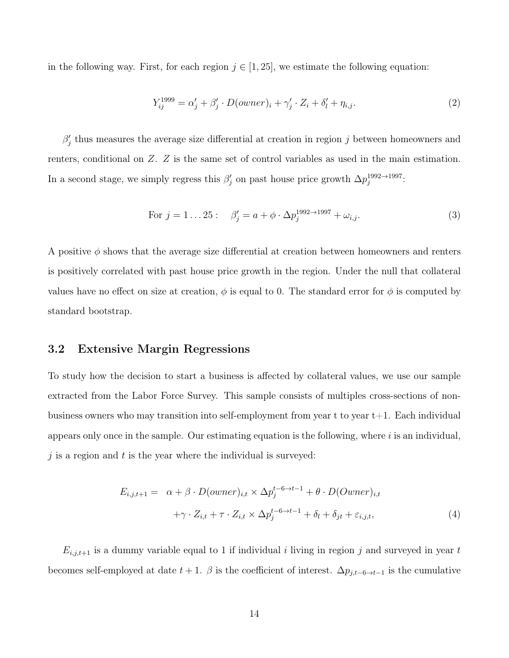in the following way. First, for each region  $j \in [1, 25]$ , we estimate the following equation:

<span id="page-14-2"></span>
$$
Y_{ij}^{1999} = \alpha_j' + \beta_j' \cdot D(owner)_i + \gamma_j' \cdot Z_i + \delta_l' + \eta_{i,j}.
$$
\n
$$
(2)
$$

 $\beta'_j$  thus measures the average size differential at creation in region j between homeowners and renters, conditional on Z. Z is the same set of control variables as used in the main estimation. In a second stage, we simply regress this  $\beta'_j$  on past house price growth  $\Delta p_j^{1992 \rightarrow 1997}$ .

For 
$$
j = 1...25
$$
:  $\beta'_j = a + \phi \cdot \Delta p_j^{1992 \to 1997} + \omega_{i,j}$ . (3)

A positive  $\phi$  shows that the average size differential at creation between homeowners and renters is positively correlated with past house price growth in the region. Under the null that collateral values have no effect on size at creation,  $\phi$  is equal to 0. The standard error for  $\phi$  is computed by standard bootstrap.

### <span id="page-14-1"></span>3.2 Extensive Margin Regressions

To study how the decision to start a business is affected by collateral values, we use our sample extracted from the Labor Force Survey. This sample consists of multiples cross-sections of nonbusiness owners who may transition into self-employment from year t to year t+1. Each individual appears only once in the sample. Our estimating equation is the following, where  $i$  is an individual, j is a region and  $t$  is the year where the individual is surveyed:

<span id="page-14-0"></span>
$$
E_{i,j,t+1} = \alpha + \beta \cdot D(owner)_{i,t} \times \Delta p_j^{t-6 \to t-1} + \theta \cdot D(Owner)_{i,t}
$$
  
+ $\gamma \cdot Z_{i,t} + \tau \cdot Z_{i,t} \times \Delta p_j^{t-6 \to t-1} + \delta_l + \delta_{jt} + \varepsilon_{i,j,t},$  (4)

 $E_{i,j,t+1}$  is a dummy variable equal to 1 if individual i living in region j and surveyed in year t becomes self-employed at date  $t + 1$ .  $\beta$  is the coefficient of interest.  $\Delta p_{j,t-6\rightarrow t-1}$  is the cumulative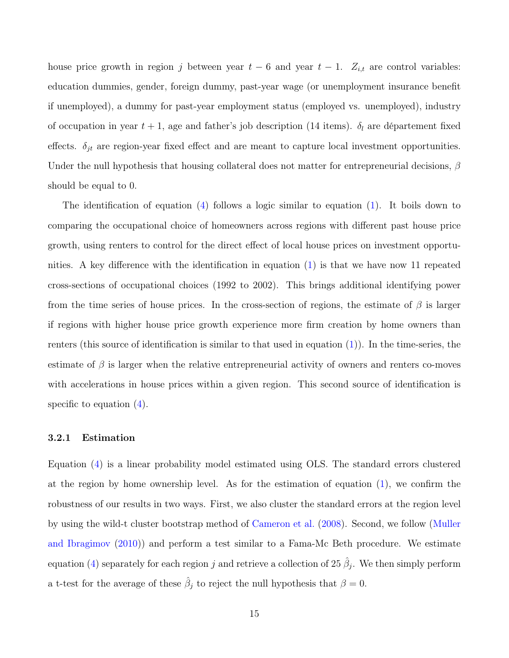house price growth in region j between year  $t-6$  and year  $t-1$ .  $Z_{i,t}$  are control variables: education dummies, gender, foreign dummy, past-year wage (or unemployment insurance benefit if unemployed), a dummy for past-year employment status (employed vs. unemployed), industry of occupation in year  $t + 1$ , age and father's job description (14 items).  $\delta_l$  are département fixed effects.  $\delta_{jt}$  are region-year fixed effect and are meant to capture local investment opportunities. Under the null hypothesis that housing collateral does not matter for entrepreneurial decisions,  $\beta$ should be equal to 0.

The identification of equation [\(4\)](#page-14-0) follows a logic similar to equation [\(1\)](#page-10-1). It boils down to comparing the occupational choice of homeowners across regions with different past house price growth, using renters to control for the direct effect of local house prices on investment opportunities. A key difference with the identification in equation [\(1\)](#page-10-1) is that we have now 11 repeated cross-sections of occupational choices (1992 to 2002). This brings additional identifying power from the time series of house prices. In the cross-section of regions, the estimate of  $\beta$  is larger if regions with higher house price growth experience more firm creation by home owners than renters (this source of identification is similar to that used in equation [\(1\)](#page-10-1)). In the time-series, the estimate of  $\beta$  is larger when the relative entrepreneurial activity of owners and renters co-moves with accelerations in house prices within a given region. This second source of identification is specific to equation  $(4)$ .

### <span id="page-15-0"></span>3.2.1 Estimation

Equation [\(4\)](#page-14-0) is a linear probability model estimated using OLS. The standard errors clustered at the region by home ownership level. As for the estimation of equation [\(1\)](#page-10-1), we confirm the robustness of our results in two ways. First, we also cluster the standard errors at the region level by using the wild-t cluster bootstrap method of [Cameron et al.](#page-32-8) [\(2008\)](#page-32-8). Second, we follow [\(Muller](#page-34-6) [and Ibragimov](#page-34-6) [\(2010\)](#page-34-6)) and perform a test similar to a Fama-Mc Beth procedure. We estimate equation [\(4\)](#page-14-0) separately for each region j and retrieve a collection of 25  $\hat{\beta}_j$ . We then simply perform a t-test for the average of these  $\hat{\beta}_j$  to reject the null hypothesis that  $\beta = 0$ .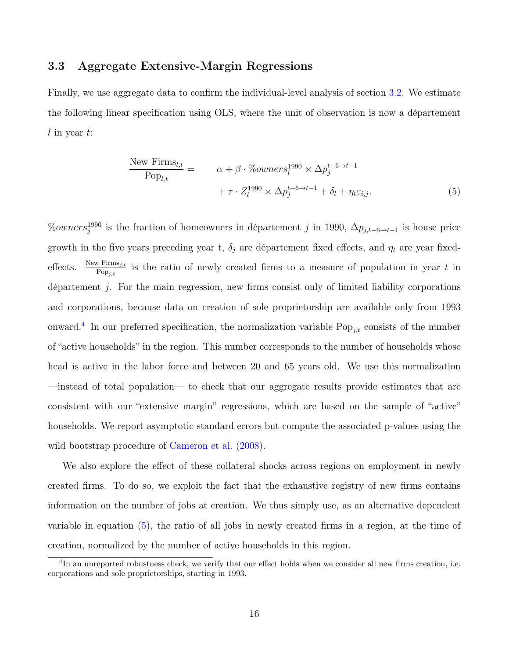### 3.3 Aggregate Extensive-Margin Regressions

Finally, we use aggregate data to confirm the individual-level analysis of section [3.2.](#page-14-1) We estimate the following linear specification using OLS, where the unit of observation is now a département  $l$  in year  $t$ :

<span id="page-16-1"></span>
$$
\frac{\text{New Firms}_{l,t}}{\text{Pop}_{l,t}} = \qquad \alpha + \beta \cdot \% \text{owners}_{l}^{1990} \times \Delta p_{j}^{t-6 \to t-1} + \tau \cdot Z_{l}^{1990} \times \Delta p_{j}^{t-6 \to t-1} + \delta_{l} + \eta_{t} \varepsilon_{i,j}.
$$
\n
$$
(5)
$$

 $\%owners_j^{1990}$  is the fraction of homeowners in département j in 1990,  $\Delta p_{j,t-6\to t-1}$  is house price growth in the five years preceding year t,  $\delta_j$  are département fixed effects, and  $\eta_t$  are year fixedeffects.  $\frac{\text{New Firms}_{j,t}}{\text{Pop}_{j,t}}$  is the ratio of newly created firms to a measure of population in year t in département j. For the main regression, new firms consist only of limited liability corporations and corporations, because data on creation of sole proprietorship are available only from 1993 onward.<sup>[4](#page-16-0)</sup> In our preferred specification, the normalization variable  $\text{Pop}_{j,t}$  consists of the number of "active households" in the region. This number corresponds to the number of households whose head is active in the labor force and between 20 and 65 years old. We use this normalization —instead of total population— to check that our aggregate results provide estimates that are consistent with our "extensive margin" regressions, which are based on the sample of "active" households. We report asymptotic standard errors but compute the associated p-values using the wild bootstrap procedure of [Cameron et al.](#page-32-8)  $(2008)$ .

We also explore the effect of these collateral shocks across regions on employment in newly created firms. To do so, we exploit the fact that the exhaustive registry of new firms contains information on the number of jobs at creation. We thus simply use, as an alternative dependent variable in equation [\(5\)](#page-16-1), the ratio of all jobs in newly created firms in a region, at the time of creation, normalized by the number of active households in this region.

<span id="page-16-0"></span><sup>&</sup>lt;sup>4</sup>In an unreported robustness check, we verify that our effect holds when we consider all new firms creation, i.e. corporations and sole proprietorships, starting in 1993.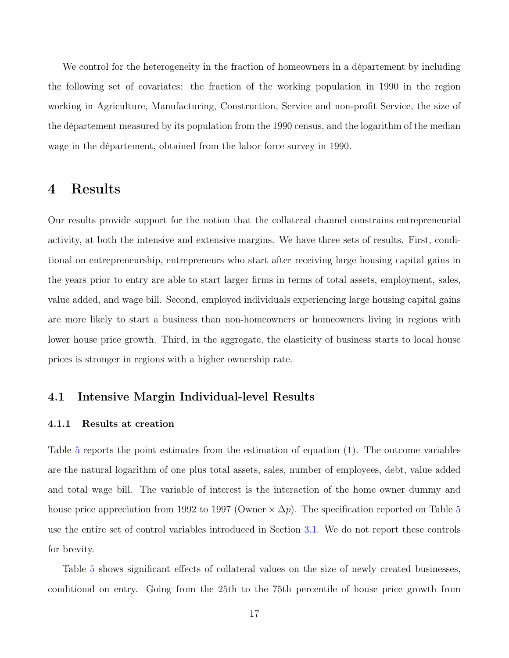We control for the heterogeneity in the fraction of homeowners in a département by including the following set of covariates: the fraction of the working population in 1990 in the region working in Agriculture, Manufacturing, Construction, Service and non-profit Service, the size of the département measured by its population from the 1990 census, and the logarithm of the median wage in the département, obtained from the labor force survey in 1990.

# <span id="page-17-0"></span>4 Results

Our results provide support for the notion that the collateral channel constrains entrepreneurial activity, at both the intensive and extensive margins. We have three sets of results. First, conditional on entrepreneurship, entrepreneurs who start after receiving large housing capital gains in the years prior to entry are able to start larger firms in terms of total assets, employment, sales, value added, and wage bill. Second, employed individuals experiencing large housing capital gains are more likely to start a business than non-homeowners or homeowners living in regions with lower house price growth. Third, in the aggregate, the elasticity of business starts to local house prices is stronger in regions with a higher ownership rate.

### 4.1 Intensive Margin Individual-level Results

### 4.1.1 Results at creation

Table [5](#page-46-0) reports the point estimates from the estimation of equation [\(1\)](#page-10-1). The outcome variables are the natural logarithm of one plus total assets, sales, number of employees, debt, value added and total wage bill. The variable of interest is the interaction of the home owner dummy and house price appreciation from 1992 to 1997 (Owner  $\times \Delta p$ ). The specification reported on Table [5](#page-46-0) use the entire set of control variables introduced in Section [3.1.](#page-10-2) We do not report these controls for brevity.

Table [5](#page-46-0) shows significant effects of collateral values on the size of newly created businesses, conditional on entry. Going from the 25th to the 75th percentile of house price growth from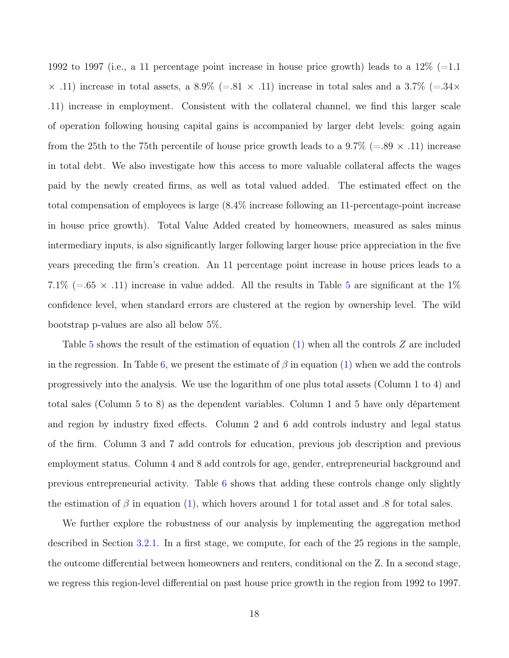1992 to 1997 (i.e., a 11 percentage point increase in house price growth) leads to a  $12\%$  (=1.1)  $\times$  .11) increase in total assets, a 8.9% (=.81  $\times$  .11) increase in total sales and a 3.7% (=.34 $\times$ .11) increase in employment. Consistent with the collateral channel, we find this larger scale of operation following housing capital gains is accompanied by larger debt levels: going again from the 25th to the 75th percentile of house price growth leads to a 9.7% (=.89  $\times$  .11) increase in total debt. We also investigate how this access to more valuable collateral affects the wages paid by the newly created firms, as well as total valued added. The estimated effect on the total compensation of employees is large (8.4% increase following an 11-percentage-point increase in house price growth). Total Value Added created by homeowners, measured as sales minus intermediary inputs, is also significantly larger following larger house price appreciation in the five years preceding the firm's creation. An 11 percentage point increase in house prices leads to a 7.1% (=.6[5](#page-46-0)  $\times$  .11) increase in value added. All the results in Table 5 are significant at the 1% confidence level, when standard errors are clustered at the region by ownership level. The wild bootstrap p-values are also all below 5%.

Table [5](#page-46-0) shows the result of the estimation of equation [\(1\)](#page-10-1) when all the controls Z are included in the regression. In Table [6,](#page-47-0) we present the estimate of  $\beta$  in equation [\(1\)](#page-10-1) when we add the controls progressively into the analysis. We use the logarithm of one plus total assets (Column 1 to 4) and total sales (Column 5 to 8) as the dependent variables. Column 1 and 5 have only département and region by industry fixed effects. Column 2 and 6 add controls industry and legal status of the firm. Column 3 and 7 add controls for education, previous job description and previous employment status. Column 4 and 8 add controls for age, gender, entrepreneurial background and previous entrepreneurial activity. Table [6](#page-47-0) shows that adding these controls change only slightly the estimation of  $\beta$  in equation [\(1\)](#page-10-1), which hovers around 1 for total asset and .8 for total sales.

We further explore the robustness of our analysis by implementing the aggregation method described in Section [3.2.1.](#page-15-0) In a first stage, we compute, for each of the 25 regions in the sample, the outcome differential between homeowners and renters, conditional on the Z. In a second stage, we regress this region-level differential on past house price growth in the region from 1992 to 1997.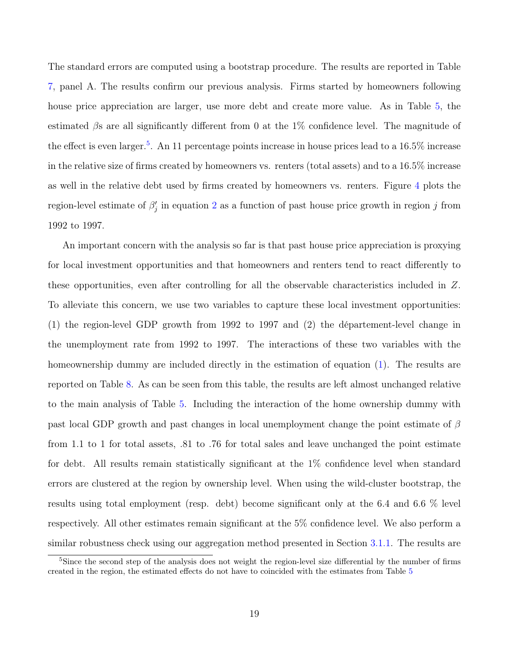The standard errors are computed using a bootstrap procedure. The results are reported in Table [7,](#page-48-0) panel A. The results confirm our previous analysis. Firms started by homeowners following house price appreciation are larger, use more debt and create more value. As in Table [5,](#page-46-0) the estimated  $\beta$ s are all significantly different from 0 at the 1% confidence level. The magnitude of the effect is even larger.<sup>[5](#page-19-0)</sup>. An 11 percentage points increase in house prices lead to a 16.5% increase in the relative size of firms created by homeowners vs. renters (total assets) and to a 16.5% increase as well in the relative debt used by firms created by homeowners vs. renters. Figure [4](#page-39-0) plots the region-level estimate of  $\beta'_j$  in equation [2](#page-14-2) as a function of past house price growth in region j from 1992 to 1997.

An important concern with the analysis so far is that past house price appreciation is proxying for local investment opportunities and that homeowners and renters tend to react differently to these opportunities, even after controlling for all the observable characteristics included in Z. To alleviate this concern, we use two variables to capture these local investment opportunities: (1) the region-level GDP growth from 1992 to 1997 and (2) the département-level change in the unemployment rate from 1992 to 1997. The interactions of these two variables with the homeownership dummy are included directly in the estimation of equation [\(1\)](#page-10-1). The results are reported on Table [8.](#page-49-0) As can be seen from this table, the results are left almost unchanged relative to the main analysis of Table [5.](#page-46-0) Including the interaction of the home ownership dummy with past local GDP growth and past changes in local unemployment change the point estimate of  $\beta$ from 1.1 to 1 for total assets, .81 to .76 for total sales and leave unchanged the point estimate for debt. All results remain statistically significant at the 1% confidence level when standard errors are clustered at the region by ownership level. When using the wild-cluster bootstrap, the results using total employment (resp. debt) become significant only at the 6.4 and 6.6 % level respectively. All other estimates remain significant at the 5% confidence level. We also perform a similar robustness check using our aggregation method presented in Section [3.1.1.](#page-13-1) The results are

<span id="page-19-0"></span><sup>&</sup>lt;sup>5</sup>Since the second step of the analysis does not weight the region-level size differential by the number of firms created in the region, the estimated effects do not have to coincided with the estimates from Table [5](#page-46-0)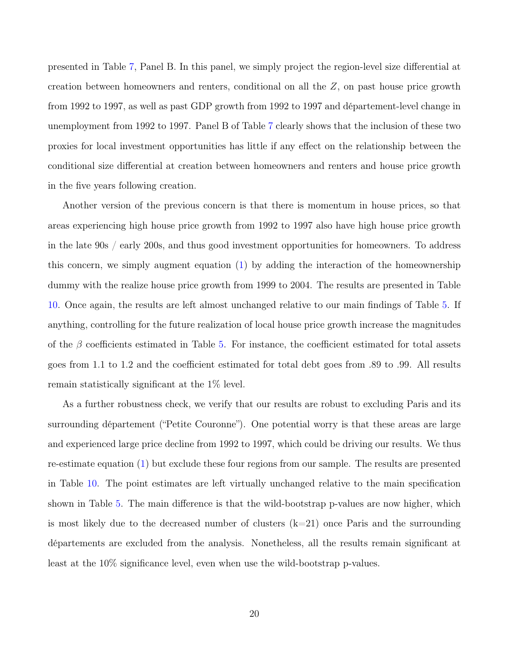presented in Table [7,](#page-48-0) Panel B. In this panel, we simply project the region-level size differential at creation between homeowners and renters, conditional on all the  $Z$ , on past house price growth from 1992 to 1997, as well as past GDP growth from 1992 to 1997 and département-level change in unemployment from 1992 to 1997. Panel B of Table [7](#page-48-0) clearly shows that the inclusion of these two proxies for local investment opportunities has little if any effect on the relationship between the conditional size differential at creation between homeowners and renters and house price growth in the five years following creation.

Another version of the previous concern is that there is momentum in house prices, so that areas experiencing high house price growth from 1992 to 1997 also have high house price growth in the late 90s / early 200s, and thus good investment opportunities for homeowners. To address this concern, we simply augment equation [\(1\)](#page-10-1) by adding the interaction of the homeownership dummy with the realize house price growth from 1999 to 2004. The results are presented in Table [10.](#page-51-0) Once again, the results are left almost unchanged relative to our main findings of Table [5.](#page-46-0) If anything, controlling for the future realization of local house price growth increase the magnitudes of the  $\beta$  coefficients estimated in Table [5.](#page-46-0) For instance, the coefficient estimated for total assets goes from 1.1 to 1.2 and the coefficient estimated for total debt goes from .89 to .99. All results remain statistically significant at the 1% level.

As a further robustness check, we verify that our results are robust to excluding Paris and its surrounding département ("Petite Couronne"). One potential worry is that these areas are large and experienced large price decline from 1992 to 1997, which could be driving our results. We thus re-estimate equation [\(1\)](#page-10-1) but exclude these four regions from our sample. The results are presented in Table [10.](#page-51-0) The point estimates are left virtually unchanged relative to the main specification shown in Table [5.](#page-46-0) The main difference is that the wild-bootstrap p-values are now higher, which is most likely due to the decreased number of clusters  $(k=21)$  once Paris and the surrounding départements are excluded from the analysis. Nonetheless, all the results remain significant at least at the 10% significance level, even when use the wild-bootstrap p-values.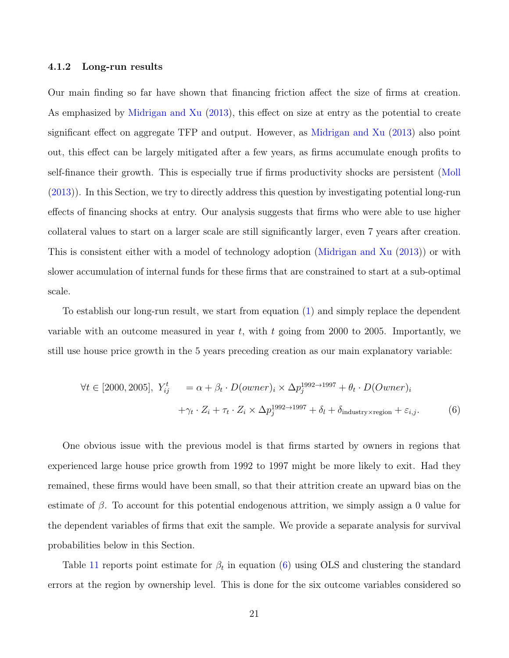### 4.1.2 Long-run results

Our main finding so far have shown that financing friction affect the size of firms at creation. As emphasized by [Midrigan and Xu](#page-34-7) [\(2013\)](#page-34-7), this effect on size at entry as the potential to create significant effect on aggregate TFP and output. However, as [Midrigan and Xu](#page-34-7) [\(2013\)](#page-34-7) also point out, this effect can be largely mitigated after a few years, as firms accumulate enough profits to self-finance their growth. This is especially true if firms productivity shocks are persistent [\(Moll](#page-34-8) [\(2013\)](#page-34-8)). In this Section, we try to directly address this question by investigating potential long-run effects of financing shocks at entry. Our analysis suggests that firms who were able to use higher collateral values to start on a larger scale are still significantly larger, even 7 years after creation. This is consistent either with a model of technology adoption [\(Midrigan and Xu](#page-34-7) [\(2013\)](#page-34-7)) or with slower accumulation of internal funds for these firms that are constrained to start at a sub-optimal scale.

To establish our long-run result, we start from equation [\(1\)](#page-10-1) and simply replace the dependent variable with an outcome measured in year  $t$ , with  $t$  going from 2000 to 2005. Importantly, we still use house price growth in the 5 years preceding creation as our main explanatory variable:

<span id="page-21-0"></span>
$$
\forall t \in [2000, 2005], \ Y_{ij}^t = \alpha + \beta_t \cdot D(owner)_i \times \Delta p_j^{1992 \to 1997} + \theta_t \cdot D(Owner)_i
$$
  
 
$$
+ \gamma_t \cdot Z_i + \tau_t \cdot Z_i \times \Delta p_j^{1992 \to 1997} + \delta_l + \delta_{\text{industry} \times \text{region}} + \varepsilon_{i,j}.
$$
 (6)

One obvious issue with the previous model is that firms started by owners in regions that experienced large house price growth from 1992 to 1997 might be more likely to exit. Had they remained, these firms would have been small, so that their attrition create an upward bias on the estimate of  $\beta$ . To account for this potential endogenous attrition, we simply assign a 0 value for the dependent variables of firms that exit the sample. We provide a separate analysis for survival probabilities below in this Section.

Table [11](#page-52-0) reports point estimate for  $\beta_t$  in equation [\(6\)](#page-21-0) using OLS and clustering the standard errors at the region by ownership level. This is done for the six outcome variables considered so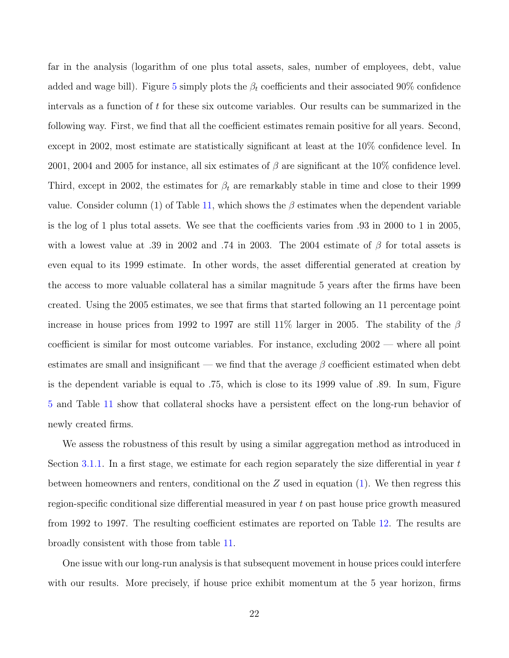far in the analysis (logarithm of one plus total assets, sales, number of employees, debt, value added and wage bill). Figure [5](#page-40-0) simply plots the  $\beta_t$  coefficients and their associated 90% confidence intervals as a function of t for these six outcome variables. Our results can be summarized in the following way. First, we find that all the coefficient estimates remain positive for all years. Second, except in 2002, most estimate are statistically significant at least at the 10% confidence level. In 2001, 2004 and 2005 for instance, all six estimates of  $\beta$  are significant at the 10% confidence level. Third, except in 2002, the estimates for  $\beta_t$  are remarkably stable in time and close to their 1999 value. Consider column (1) of Table [11,](#page-52-0) which shows the  $\beta$  estimates when the dependent variable is the log of 1 plus total assets. We see that the coefficients varies from .93 in 2000 to 1 in 2005, with a lowest value at .39 in 2002 and .74 in 2003. The 2004 estimate of  $\beta$  for total assets is even equal to its 1999 estimate. In other words, the asset differential generated at creation by the access to more valuable collateral has a similar magnitude 5 years after the firms have been created. Using the 2005 estimates, we see that firms that started following an 11 percentage point increase in house prices from 1992 to 1997 are still 11% larger in 2005. The stability of the  $\beta$ coefficient is similar for most outcome variables. For instance, excluding 2002 — where all point estimates are small and insignificant — we find that the average  $\beta$  coefficient estimated when debt is the dependent variable is equal to .75, which is close to its 1999 value of .89. In sum, Figure [5](#page-40-0) and Table [11](#page-52-0) show that collateral shocks have a persistent effect on the long-run behavior of newly created firms.

We assess the robustness of this result by using a similar aggregation method as introduced in Section [3.1.1.](#page-13-1) In a first stage, we estimate for each region separately the size differential in year  $t$ between homeowners and renters, conditional on the  $Z$  used in equation [\(1\)](#page-10-1). We then regress this region-specific conditional size differential measured in year t on past house price growth measured from 1992 to 1997. The resulting coefficient estimates are reported on Table [12.](#page-53-0) The results are broadly consistent with those from table [11.](#page-52-0)

One issue with our long-run analysis is that subsequent movement in house prices could interfere with our results. More precisely, if house price exhibit momentum at the 5 year horizon, firms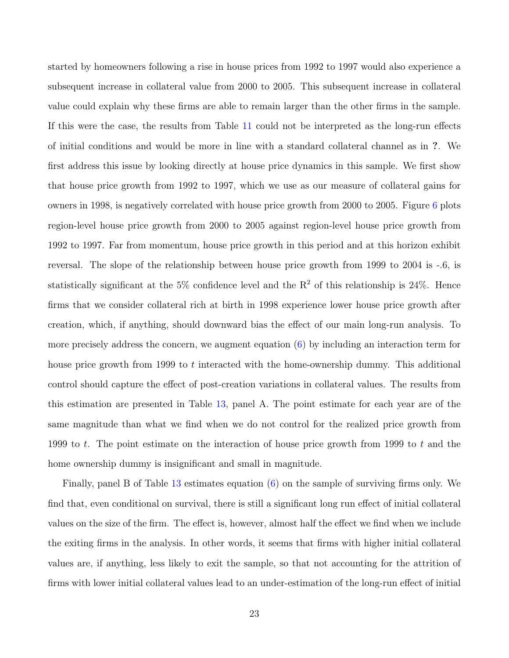started by homeowners following a rise in house prices from 1992 to 1997 would also experience a subsequent increase in collateral value from 2000 to 2005. This subsequent increase in collateral value could explain why these firms are able to remain larger than the other firms in the sample. If this were the case, the results from Table [11](#page-52-0) could not be interpreted as the long-run effects of initial conditions and would be more in line with a standard collateral channel as in ?. We first address this issue by looking directly at house price dynamics in this sample. We first show that house price growth from 1992 to 1997, which we use as our measure of collateral gains for owners in 1998, is negatively correlated with house price growth from 2000 to 2005. Figure [6](#page-41-0) plots region-level house price growth from 2000 to 2005 against region-level house price growth from 1992 to 1997. Far from momentum, house price growth in this period and at this horizon exhibit reversal. The slope of the relationship between house price growth from 1999 to 2004 is -.6, is statistically significant at the 5% confidence level and the  $R^2$  of this relationship is 24%. Hence firms that we consider collateral rich at birth in 1998 experience lower house price growth after creation, which, if anything, should downward bias the effect of our main long-run analysis. To more precisely address the concern, we augment equation [\(6\)](#page-21-0) by including an interaction term for house price growth from 1999 to t interacted with the home-ownership dummy. This additional control should capture the effect of post-creation variations in collateral values. The results from this estimation are presented in Table [13,](#page-54-0) panel A. The point estimate for each year are of the same magnitude than what we find when we do not control for the realized price growth from 1999 to t. The point estimate on the interaction of house price growth from 1999 to t and the home ownership dummy is insignificant and small in magnitude.

Finally, panel B of Table [13](#page-54-0) estimates equation [\(6\)](#page-21-0) on the sample of surviving firms only. We find that, even conditional on survival, there is still a significant long run effect of initial collateral values on the size of the firm. The effect is, however, almost half the effect we find when we include the exiting firms in the analysis. In other words, it seems that firms with higher initial collateral values are, if anything, less likely to exit the sample, so that not accounting for the attrition of firms with lower initial collateral values lead to an under-estimation of the long-run effect of initial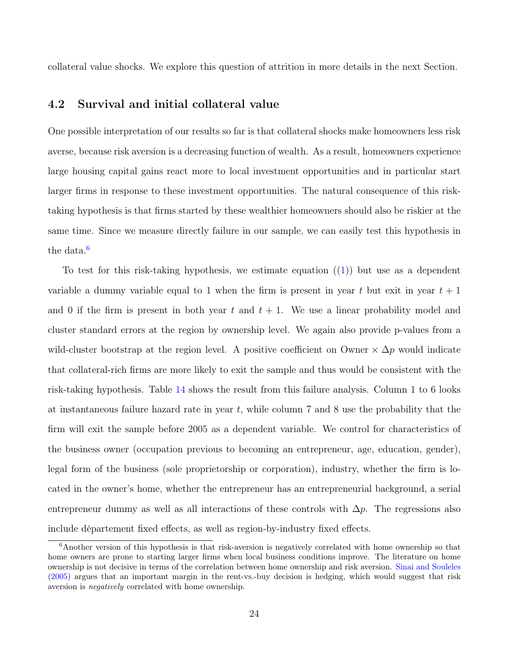collateral value shocks. We explore this question of attrition in more details in the next Section.

### 4.2 Survival and initial collateral value

One possible interpretation of our results so far is that collateral shocks make homeowners less risk averse, because risk aversion is a decreasing function of wealth. As a result, homeowners experience large housing capital gains react more to local investment opportunities and in particular start larger firms in response to these investment opportunities. The natural consequence of this risktaking hypothesis is that firms started by these wealthier homeowners should also be riskier at the same time. Since we measure directly failure in our sample, we can easily test this hypothesis in the data. $6$ 

To test for this risk-taking hypothesis, we estimate equation  $((1))$  $((1))$  $((1))$  but use as a dependent variable a dummy variable equal to 1 when the firm is present in year t but exit in year  $t + 1$ and 0 if the firm is present in both year t and  $t + 1$ . We use a linear probability model and cluster standard errors at the region by ownership level. We again also provide p-values from a wild-cluster bootstrap at the region level. A positive coefficient on Owner  $\times \Delta p$  would indicate that collateral-rich firms are more likely to exit the sample and thus would be consistent with the risk-taking hypothesis. Table [14](#page-55-0) shows the result from this failure analysis. Column 1 to 6 looks at instantaneous failure hazard rate in year  $t$ , while column 7 and 8 use the probability that the firm will exit the sample before 2005 as a dependent variable. We control for characteristics of the business owner (occupation previous to becoming an entrepreneur, age, education, gender), legal form of the business (sole proprietorship or corporation), industry, whether the firm is located in the owner's home, whether the entrepreneur has an entrepreneurial background, a serial entrepreneur dummy as well as all interactions of these controls with  $\Delta p$ . The regressions also include département fixed effects, as well as region-by-industry fixed effects.

<span id="page-24-0"></span><sup>6</sup>Another version of this hypothesis is that risk-aversion is negatively correlated with home ownership so that home owners are prone to starting larger firms when local business conditions improve. The literature on home ownership is not decisive in terms of the correlation between home ownership and risk aversion. [Sinai and Souleles](#page-35-2) [\(2005\)](#page-35-2) argues that an important margin in the rent-vs.-buy decision is hedging, which would suggest that risk aversion is negatively correlated with home ownership.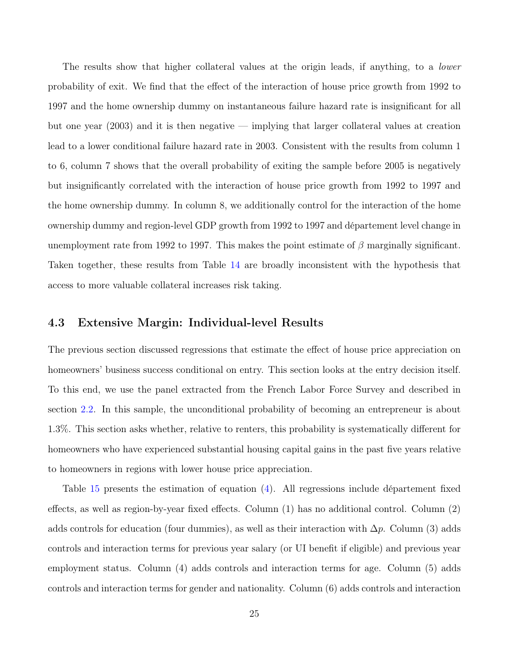The results show that higher collateral values at the origin leads, if anything, to a *lower* probability of exit. We find that the effect of the interaction of house price growth from 1992 to 1997 and the home ownership dummy on instantaneous failure hazard rate is insignificant for all but one year (2003) and it is then negative — implying that larger collateral values at creation lead to a lower conditional failure hazard rate in 2003. Consistent with the results from column 1 to 6, column 7 shows that the overall probability of exiting the sample before 2005 is negatively but insignificantly correlated with the interaction of house price growth from 1992 to 1997 and the home ownership dummy. In column 8, we additionally control for the interaction of the home ownership dummy and region-level GDP growth from 1992 to 1997 and département level change in unemployment rate from 1992 to 1997. This makes the point estimate of  $\beta$  marginally significant. Taken together, these results from Table [14](#page-55-0) are broadly inconsistent with the hypothesis that access to more valuable collateral increases risk taking.

### 4.3 Extensive Margin: Individual-level Results

The previous section discussed regressions that estimate the effect of house price appreciation on homeowners' business success conditional on entry. This section looks at the entry decision itself. To this end, we use the panel extracted from the French Labor Force Survey and described in section [2.2.](#page-8-0) In this sample, the unconditional probability of becoming an entrepreneur is about 1.3%. This section asks whether, relative to renters, this probability is systematically different for homeowners who have experienced substantial housing capital gains in the past five years relative to homeowners in regions with lower house price appreciation.

Table [15](#page-56-0) presents the estimation of equation [\(4\)](#page-14-0). All regressions include département fixed effects, as well as region-by-year fixed effects. Column (1) has no additional control. Column (2) adds controls for education (four dummies), as well as their interaction with  $\Delta p$ . Column (3) adds controls and interaction terms for previous year salary (or UI benefit if eligible) and previous year employment status. Column (4) adds controls and interaction terms for age. Column (5) adds controls and interaction terms for gender and nationality. Column (6) adds controls and interaction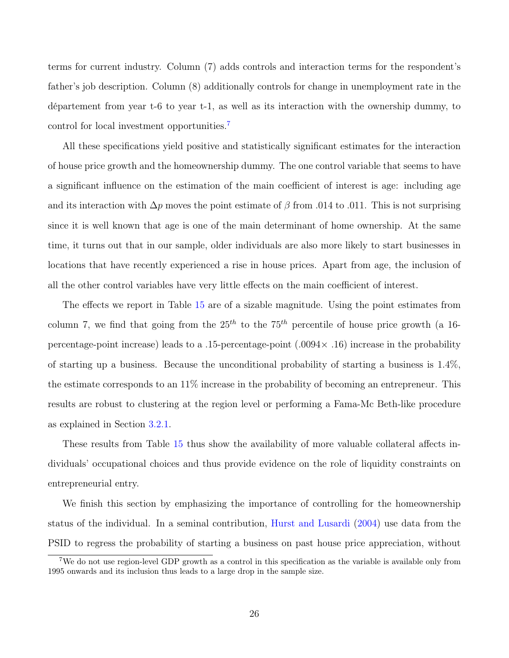terms for current industry. Column (7) adds controls and interaction terms for the respondent's father's job description. Column (8) additionally controls for change in unemployment rate in the département from year t-6 to year t-1, as well as its interaction with the ownership dummy, to control for local investment opportunities.[7](#page-26-0)

All these specifications yield positive and statistically significant estimates for the interaction of house price growth and the homeownership dummy. The one control variable that seems to have a significant influence on the estimation of the main coefficient of interest is age: including age and its interaction with  $\Delta p$  moves the point estimate of  $\beta$  from .014 to .011. This is not surprising since it is well known that age is one of the main determinant of home ownership. At the same time, it turns out that in our sample, older individuals are also more likely to start businesses in locations that have recently experienced a rise in house prices. Apart from age, the inclusion of all the other control variables have very little effects on the main coefficient of interest.

The effects we report in Table [15](#page-56-0) are of a sizable magnitude. Using the point estimates from column 7, we find that going from the  $25<sup>th</sup>$  to the 75<sup>th</sup> percentile of house price growth (a 16percentage-point increase) leads to a .15-percentage-point (.0094× .16) increase in the probability of starting up a business. Because the unconditional probability of starting a business is 1.4%, the estimate corresponds to an 11% increase in the probability of becoming an entrepreneur. This results are robust to clustering at the region level or performing a Fama-Mc Beth-like procedure as explained in Section [3.2.1.](#page-15-0)

These results from Table [15](#page-56-0) thus show the availability of more valuable collateral affects individuals' occupational choices and thus provide evidence on the role of liquidity constraints on entrepreneurial entry.

We finish this section by emphasizing the importance of controlling for the homeownership status of the individual. In a seminal contribution, [Hurst and Lusardi](#page-34-0) [\(2004\)](#page-34-0) use data from the PSID to regress the probability of starting a business on past house price appreciation, without

<span id="page-26-0"></span><sup>&</sup>lt;sup>7</sup>We do not use region-level GDP growth as a control in this specification as the variable is available only from 1995 onwards and its inclusion thus leads to a large drop in the sample size.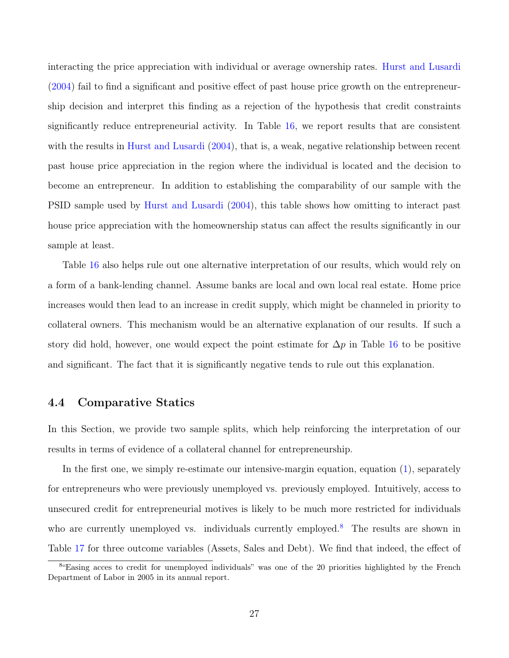interacting the price appreciation with individual or average ownership rates. [Hurst and Lusardi](#page-34-0) [\(2004\)](#page-34-0) fail to find a significant and positive effect of past house price growth on the entrepreneurship decision and interpret this finding as a rejection of the hypothesis that credit constraints significantly reduce entrepreneurial activity. In Table [16,](#page-57-0) we report results that are consistent with the results in [Hurst and Lusardi](#page-34-0) [\(2004\)](#page-34-0), that is, a weak, negative relationship between recent past house price appreciation in the region where the individual is located and the decision to become an entrepreneur. In addition to establishing the comparability of our sample with the PSID sample used by [Hurst and Lusardi](#page-34-0) [\(2004\)](#page-34-0), this table shows how omitting to interact past house price appreciation with the homeownership status can affect the results significantly in our sample at least.

Table [16](#page-57-0) also helps rule out one alternative interpretation of our results, which would rely on a form of a bank-lending channel. Assume banks are local and own local real estate. Home price increases would then lead to an increase in credit supply, which might be channeled in priority to collateral owners. This mechanism would be an alternative explanation of our results. If such a story did hold, however, one would expect the point estimate for  $\Delta p$  in Table [16](#page-57-0) to be positive and significant. The fact that it is significantly negative tends to rule out this explanation.

### 4.4 Comparative Statics

In this Section, we provide two sample splits, which help reinforcing the interpretation of our results in terms of evidence of a collateral channel for entrepreneurship.

In the first one, we simply re-estimate our intensive-margin equation, equation [\(1\)](#page-10-1), separately for entrepreneurs who were previously unemployed vs. previously employed. Intuitively, access to unsecured credit for entrepreneurial motives is likely to be much more restricted for individuals who are currently unemployed vs. individuals currently employed.<sup>[8](#page-27-0)</sup> The results are shown in Table [17](#page-58-0) for three outcome variables (Assets, Sales and Debt). We find that indeed, the effect of

<span id="page-27-0"></span><sup>&</sup>lt;sup>8</sup>"Easing acces to credit for unemployed individuals" was one of the 20 priorities highlighted by the French Department of Labor in 2005 in its annual report.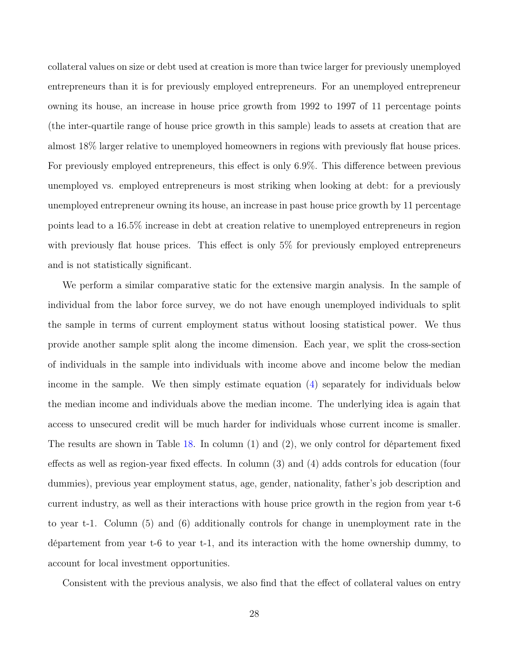collateral values on size or debt used at creation is more than twice larger for previously unemployed entrepreneurs than it is for previously employed entrepreneurs. For an unemployed entrepreneur owning its house, an increase in house price growth from 1992 to 1997 of 11 percentage points (the inter-quartile range of house price growth in this sample) leads to assets at creation that are almost 18% larger relative to unemployed homeowners in regions with previously flat house prices. For previously employed entrepreneurs, this effect is only 6.9%. This difference between previous unemployed vs. employed entrepreneurs is most striking when looking at debt: for a previously unemployed entrepreneur owning its house, an increase in past house price growth by 11 percentage points lead to a 16.5% increase in debt at creation relative to unemployed entrepreneurs in region with previously flat house prices. This effect is only 5% for previously employed entrepreneurs and is not statistically significant.

We perform a similar comparative static for the extensive margin analysis. In the sample of individual from the labor force survey, we do not have enough unemployed individuals to split the sample in terms of current employment status without loosing statistical power. We thus provide another sample split along the income dimension. Each year, we split the cross-section of individuals in the sample into individuals with income above and income below the median income in the sample. We then simply estimate equation [\(4\)](#page-14-0) separately for individuals below the median income and individuals above the median income. The underlying idea is again that access to unsecured credit will be much harder for individuals whose current income is smaller. The results are shown in Table [18.](#page-59-0) In column (1) and (2), we only control for département fixed effects as well as region-year fixed effects. In column (3) and (4) adds controls for education (four dummies), previous year employment status, age, gender, nationality, father's job description and current industry, as well as their interactions with house price growth in the region from year t-6 to year t-1. Column (5) and (6) additionally controls for change in unemployment rate in the département from year t-6 to year t-1, and its interaction with the home ownership dummy, to account for local investment opportunities.

Consistent with the previous analysis, we also find that the effect of collateral values on entry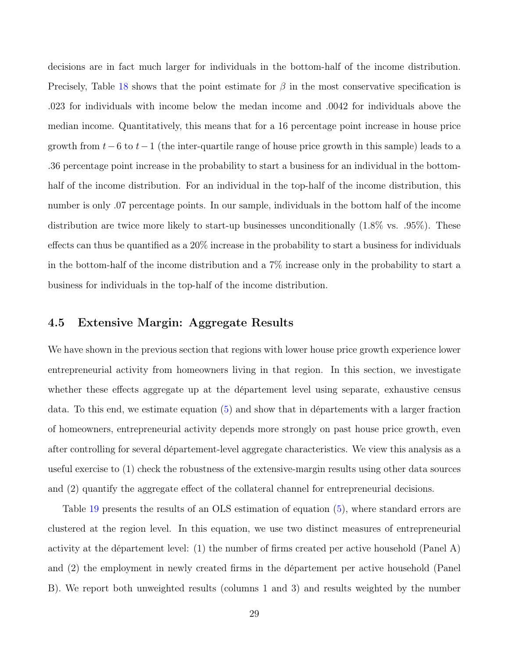decisions are in fact much larger for individuals in the bottom-half of the income distribution. Precisely, Table [18](#page-59-0) shows that the point estimate for  $\beta$  in the most conservative specification is .023 for individuals with income below the medan income and .0042 for individuals above the median income. Quantitatively, this means that for a 16 percentage point increase in house price growth from  $t-6$  to  $t-1$  (the inter-quartile range of house price growth in this sample) leads to a .36 percentage point increase in the probability to start a business for an individual in the bottomhalf of the income distribution. For an individual in the top-half of the income distribution, this number is only .07 percentage points. In our sample, individuals in the bottom half of the income distribution are twice more likely to start-up businesses unconditionally (1.8% vs. .95%). These effects can thus be quantified as a 20% increase in the probability to start a business for individuals in the bottom-half of the income distribution and a 7% increase only in the probability to start a business for individuals in the top-half of the income distribution.

### 4.5 Extensive Margin: Aggregate Results

We have shown in the previous section that regions with lower house price growth experience lower entrepreneurial activity from homeowners living in that region. In this section, we investigate whether these effects aggregate up at the département level using separate, exhaustive census data. To this end, we estimate equation [\(5\)](#page-16-1) and show that in départements with a larger fraction of homeowners, entrepreneurial activity depends more strongly on past house price growth, even after controlling for several département-level aggregate characteristics. We view this analysis as a useful exercise to (1) check the robustness of the extensive-margin results using other data sources and (2) quantify the aggregate effect of the collateral channel for entrepreneurial decisions.

Table [19](#page-60-0) presents the results of an OLS estimation of equation [\(5\)](#page-16-1), where standard errors are clustered at the region level. In this equation, we use two distinct measures of entrepreneurial activity at the département level: (1) the number of firms created per active household (Panel A) and (2) the employment in newly created firms in the département per active household (Panel B). We report both unweighted results (columns 1 and 3) and results weighted by the number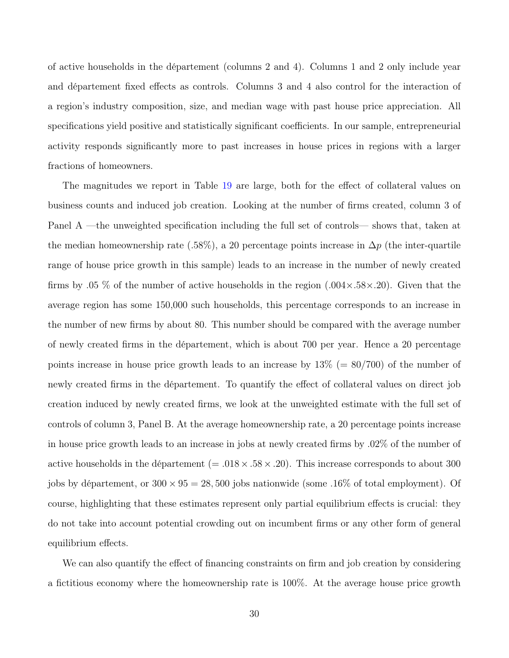of active households in the département (columns 2 and 4). Columns 1 and 2 only include year and département fixed effects as controls. Columns 3 and 4 also control for the interaction of a region's industry composition, size, and median wage with past house price appreciation. All specifications yield positive and statistically significant coefficients. In our sample, entrepreneurial activity responds significantly more to past increases in house prices in regions with a larger fractions of homeowners.

The magnitudes we report in Table [19](#page-60-0) are large, both for the effect of collateral values on business counts and induced job creation. Looking at the number of firms created, column 3 of Panel A —the unweighted specification including the full set of controls— shows that, taken at the median homeownership rate (.58%), a 20 percentage points increase in  $\Delta p$  (the inter-quartile range of house price growth in this sample) leads to an increase in the number of newly created firms by .05 % of the number of active households in the region  $(.004 \times .58 \times .20)$ . Given that the average region has some 150,000 such households, this percentage corresponds to an increase in the number of new firms by about 80. This number should be compared with the average number of newly created firms in the département, which is about 700 per year. Hence a 20 percentage points increase in house price growth leads to an increase by  $13\%$  (= 80/700) of the number of newly created firms in the département. To quantify the effect of collateral values on direct job creation induced by newly created firms, we look at the unweighted estimate with the full set of controls of column 3, Panel B. At the average homeownership rate, a 20 percentage points increase in house price growth leads to an increase in jobs at newly created firms by .02% of the number of active households in the département (=  $.018 \times .58 \times .20$ ). This increase corresponds to about 300 jobs by département, or  $300 \times 95 = 28,500$  jobs nationwide (some .16% of total employment). Of course, highlighting that these estimates represent only partial equilibrium effects is crucial: they do not take into account potential crowding out on incumbent firms or any other form of general equilibrium effects.

We can also quantify the effect of financing constraints on firm and job creation by considering a fictitious economy where the homeownership rate is 100%. At the average house price growth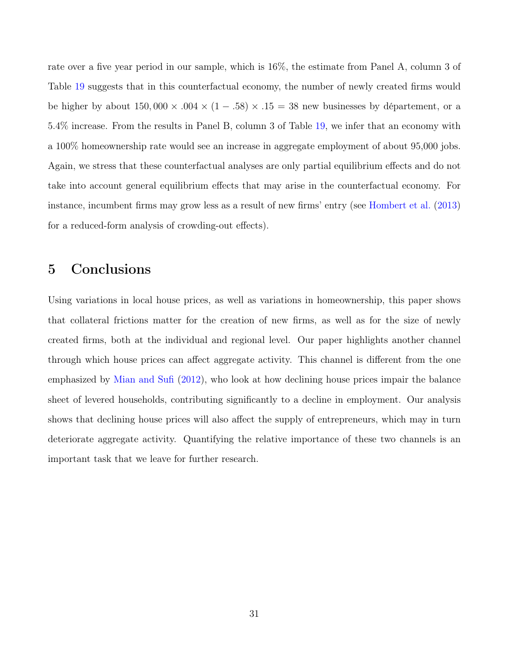rate over a five year period in our sample, which is 16%, the estimate from Panel A, column 3 of Table [19](#page-60-0) suggests that in this counterfactual economy, the number of newly created firms would be higher by about  $150,000 \times .004 \times (1-.58) \times .15 = 38$  new businesses by département, or a 5.4% increase. From the results in Panel B, column 3 of Table [19,](#page-60-0) we infer that an economy with a 100% homeownership rate would see an increase in aggregate employment of about 95,000 jobs. Again, we stress that these counterfactual analyses are only partial equilibrium effects and do not take into account general equilibrium effects that may arise in the counterfactual economy. For instance, incumbent firms may grow less as a result of new firms' entry (see [Hombert et al.](#page-33-9) [\(2013\)](#page-33-9) for a reduced-form analysis of crowding-out effects).

# <span id="page-31-0"></span>5 Conclusions

Using variations in local house prices, as well as variations in homeownership, this paper shows that collateral frictions matter for the creation of new firms, as well as for the size of newly created firms, both at the individual and regional level. Our paper highlights another channel through which house prices can affect aggregate activity. This channel is different from the one emphasized by [Mian and Sufi](#page-34-9) [\(2012\)](#page-34-9), who look at how declining house prices impair the balance sheet of levered households, contributing significantly to a decline in employment. Our analysis shows that declining house prices will also affect the supply of entrepreneurs, which may in turn deteriorate aggregate activity. Quantifying the relative importance of these two channels is an important task that we leave for further research.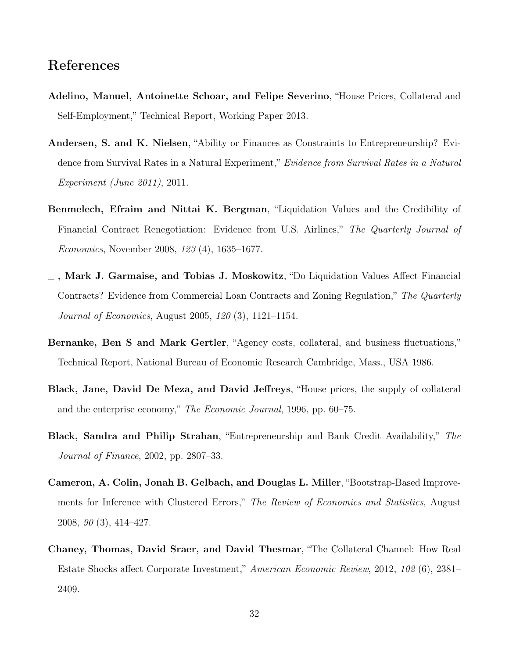# References

- <span id="page-32-2"></span>Adelino, Manuel, Antoinette Schoar, and Felipe Severino, "House Prices, Collateral and Self-Employment," Technical Report, Working Paper 2013.
- <span id="page-32-0"></span>Andersen, S. and K. Nielsen, "Ability or Finances as Constraints to Entrepreneurship? Evidence from Survival Rates in a Natural Experiment," Evidence from Survival Rates in a Natural Experiment (June 2011), 2011.
- <span id="page-32-7"></span>Benmelech, Efraim and Nittai K. Bergman, "Liquidation Values and the Credibility of Financial Contract Renegotiation: Evidence from U.S. Airlines," The Quarterly Journal of Economics, November 2008, 123 (4), 1635–1677.
- <span id="page-32-6"></span>, Mark J. Garmaise, and Tobias J. Moskowitz, "Do Liquidation Values Affect Financial Contracts? Evidence from Commercial Loan Contracts and Zoning Regulation," The Quarterly Journal of Economics, August 2005, 120 (3), 1121–1154.
- <span id="page-32-5"></span>Bernanke, Ben S and Mark Gertler, "Agency costs, collateral, and business fluctuations," Technical Report, National Bureau of Economic Research Cambridge, Mass., USA 1986.
- <span id="page-32-4"></span>Black, Jane, David De Meza, and David Jeffreys, "House prices, the supply of collateral and the enterprise economy," The Economic Journal, 1996, pp. 60–75.
- <span id="page-32-3"></span>Black, Sandra and Philip Strahan, "Entrepreneurship and Bank Credit Availability," The Journal of Finance, 2002, pp. 2807–33.
- <span id="page-32-8"></span>Cameron, A. Colin, Jonah B. Gelbach, and Douglas L. Miller, "Bootstrap-Based Improvements for Inference with Clustered Errors," The Review of Economics and Statistics, August 2008, 90 (3), 414–427.
- <span id="page-32-1"></span>Chaney, Thomas, David Sraer, and David Thesmar, "The Collateral Channel: How Real Estate Shocks affect Corporate Investment," American Economic Review, 2012, 102 (6), 2381– 2409.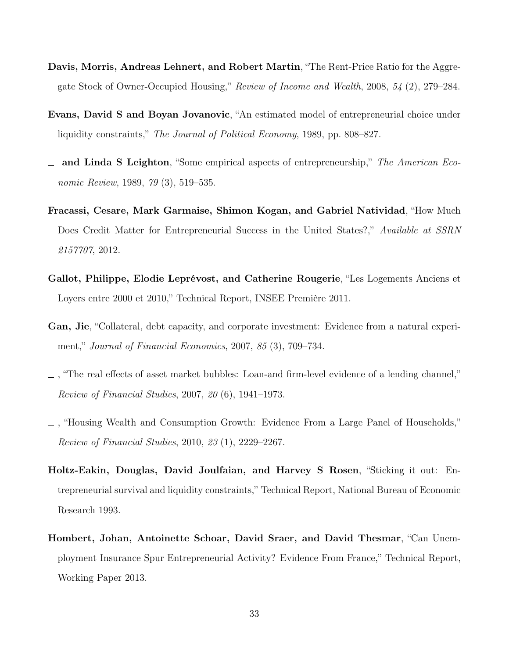- <span id="page-33-8"></span>Davis, Morris, Andreas Lehnert, and Robert Martin, "The Rent-Price Ratio for the Aggregate Stock of Owner-Occupied Housing," Review of Income and Wealth, 2008, 54 (2), 279–284.
- <span id="page-33-0"></span>Evans, David S and Boyan Jovanovic, "An estimated model of entrepreneurial choice under liquidity constraints," The Journal of Political Economy, 1989, pp. 808–827.
- <span id="page-33-1"></span> $\equiv$  and Linda S Leighton, "Some empirical aspects of entrepreneurship," The American Economic Review, 1989, 79 (3), 519–535.
- <span id="page-33-3"></span>Fracassi, Cesare, Mark Garmaise, Shimon Kogan, and Gabriel Natividad, "How Much Does Credit Matter for Entrepreneurial Success in the United States?," Available at SSRN 2157707, 2012.
- <span id="page-33-7"></span>Gallot, Philippe, Elodie Leprévost, and Catherine Rougerie, "Les Logements Anciens et Loyers entre 2000 et 2010," Technical Report, INSEE Première 2011.
- <span id="page-33-5"></span>Gan, Jie, "Collateral, debt capacity, and corporate investment: Evidence from a natural experiment," Journal of Financial Economics, 2007, 85 (3), 709–734.
- <span id="page-33-6"></span>, "The real effects of asset market bubbles: Loan-and firm-level evidence of a lending channel," Review of Financial Studies, 2007, 20 (6), 1941–1973.
- <span id="page-33-4"></span>, "Housing Wealth and Consumption Growth: Evidence From a Large Panel of Households," Review of Financial Studies, 2010, 23 (1), 2229–2267.
- <span id="page-33-2"></span>Holtz-Eakin, Douglas, David Joulfaian, and Harvey S Rosen, "Sticking it out: Entrepreneurial survival and liquidity constraints," Technical Report, National Bureau of Economic Research 1993.
- <span id="page-33-9"></span>Hombert, Johan, Antoinette Schoar, David Sraer, and David Thesmar, "Can Unemployment Insurance Spur Entrepreneurial Activity? Evidence From France," Technical Report, Working Paper 2013.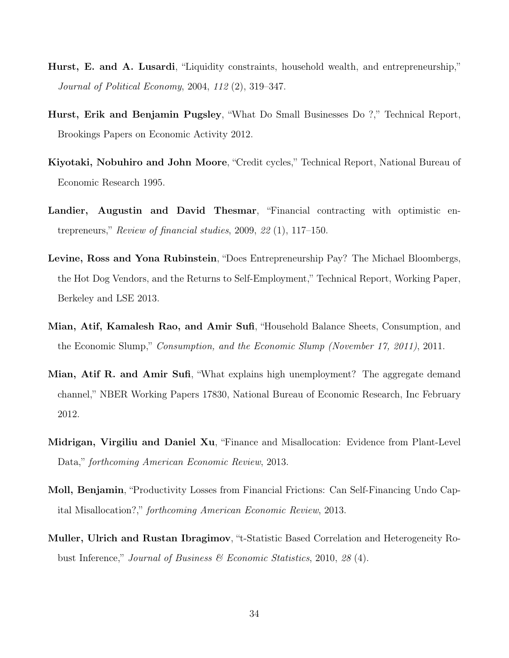- <span id="page-34-0"></span>Hurst, E. and A. Lusardi, "Liquidity constraints, household wealth, and entrepreneurship," Journal of Political Economy, 2004, 112 (2), 319–347.
- <span id="page-34-4"></span>Hurst, Erik and Benjamin Pugsley, "What Do Small Businesses Do ?," Technical Report, Brookings Papers on Economic Activity 2012.
- <span id="page-34-1"></span>Kiyotaki, Nobuhiro and John Moore, "Credit cycles," Technical Report, National Bureau of Economic Research 1995.
- <span id="page-34-3"></span>Landier, Augustin and David Thesmar, "Financial contracting with optimistic entrepreneurs," Review of financial studies, 2009, 22 (1), 117–150.
- <span id="page-34-5"></span>Levine, Ross and Yona Rubinstein, "Does Entrepreneurship Pay? The Michael Bloombergs, the Hot Dog Vendors, and the Returns to Self-Employment," Technical Report, Working Paper, Berkeley and LSE 2013.
- <span id="page-34-2"></span>Mian, Atif, Kamalesh Rao, and Amir Sufi, "Household Balance Sheets, Consumption, and the Economic Slump," Consumption, and the Economic Slump (November 17, 2011), 2011.
- <span id="page-34-9"></span>Mian, Atif R. and Amir Sufi, "What explains high unemployment? The aggregate demand channel," NBER Working Papers 17830, National Bureau of Economic Research, Inc February 2012.
- <span id="page-34-7"></span>Midrigan, Virgiliu and Daniel Xu, "Finance and Misallocation: Evidence from Plant-Level Data," forthcoming American Economic Review, 2013.
- <span id="page-34-8"></span>Moll, Benjamin, "Productivity Losses from Financial Frictions: Can Self-Financing Undo Capital Misallocation?," forthcoming American Economic Review, 2013.
- <span id="page-34-6"></span>Muller, Ulrich and Rustan Ibragimov, "t-Statistic Based Correlation and Heterogeneity Robust Inference," Journal of Business & Economic Statistics, 2010, 28 (4).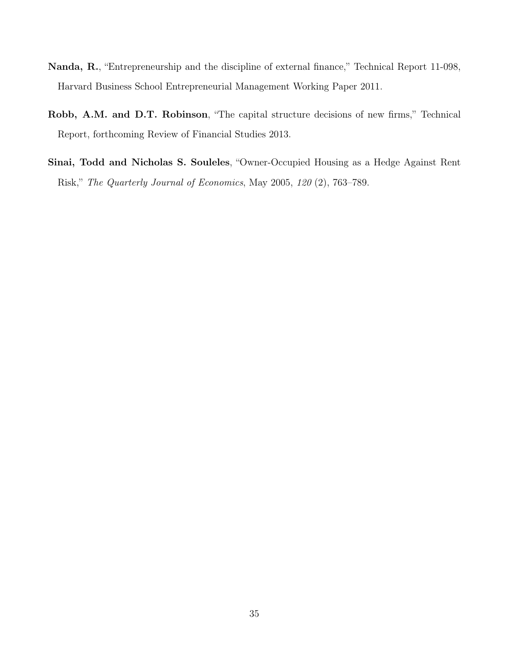- <span id="page-35-0"></span>Nanda, R., "Entrepreneurship and the discipline of external finance," Technical Report 11-098, Harvard Business School Entrepreneurial Management Working Paper 2011.
- <span id="page-35-1"></span>Robb, A.M. and D.T. Robinson, "The capital structure decisions of new firms," Technical Report, forthcoming Review of Financial Studies 2013.
- <span id="page-35-2"></span>Sinai, Todd and Nicholas S. Souleles, "Owner-Occupied Housing as a Hedge Against Rent Risk," The Quarterly Journal of Economics, May 2005, 120 (2), 763–789.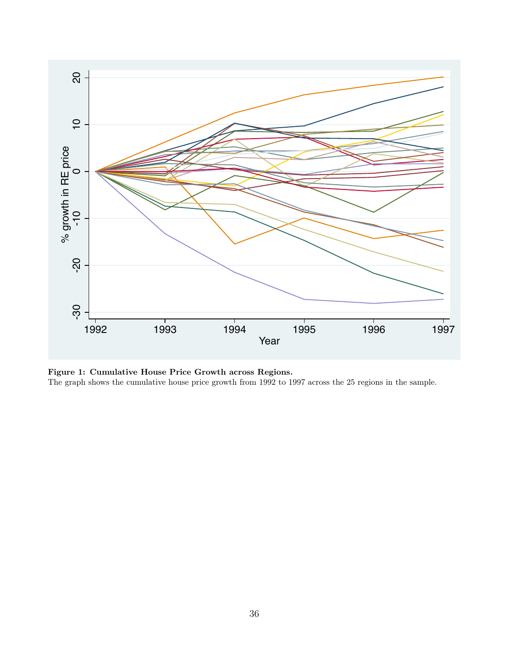<span id="page-36-0"></span>

Figure 1: Cumulative House Price Growth across Regions. The graph shows the cumulative house price growth from 1992 to 1997 across the 25 regions in the sample.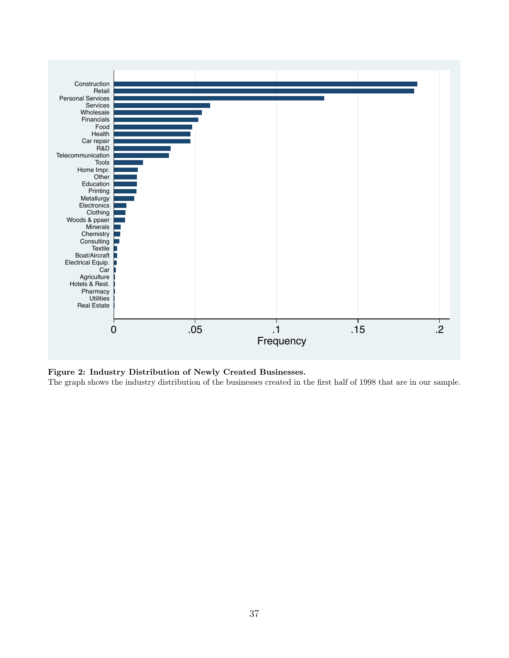<span id="page-37-0"></span>

Figure 2: Industry Distribution of Newly Created Businesses. The graph shows the industry distribution of the businesses created in the first half of 1998 that are in our sample.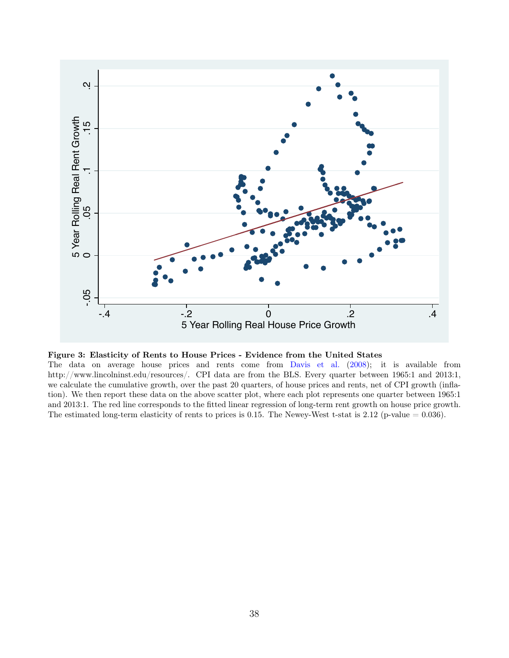<span id="page-38-0"></span>

Figure 3: Elasticity of Rents to House Prices - Evidence from the United States

The data on average house prices and rents come from [Davis et al.](#page-33-8) [\(2008\)](#page-33-8); it is available from http://www.lincolninst.edu/resources/. CPI data are from the BLS. Every quarter between 1965:1 and 2013:1, we calculate the cumulative growth, over the past 20 quarters, of house prices and rents, net of CPI growth (inflation). We then report these data on the above scatter plot, where each plot represents one quarter between 1965:1 and 2013:1. The red line corresponds to the fitted linear regression of long-term rent growth on house price growth. The estimated long-term elasticity of rents to prices is 0.15. The Newey-West t-stat is 2.12 (p-value  $= 0.036$ ).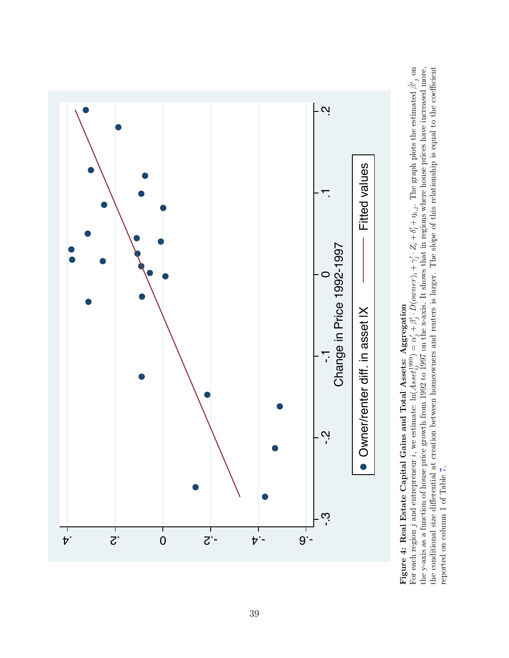<span id="page-39-0"></span>

# Figure 4: Real Estate Capital Gains and Total Assets: Aggregation

the conditional size differential at creation between homeowners and renters is larger. The slope of this relationship is equal to the coefficient reported on column 1 of Table 7.  $\sum_{j}$  on the conditional size differential at creation between homeowners and renters is larger. The slope of this relationship is equal to the coefficient the y-axis as a function of house price growth from 1992 to 1997 on the x-axis. It shows that in regions where house prices have increased more,  $\eta_{i,j}.$  The graph plots the estimated  $\hat{\beta}$  $\alpha'_j + \beta'_j \cdot D(\text{owner})_i + \gamma'_j \cdot Z_i + \delta'_i + \cdots$ For each region j and entrepreneur *i*, we estimate:  $\ln(A\,setminus\{A\}_{\setminus\{i\}}) =$ reported on column 1 of Table [7.](#page-48-0)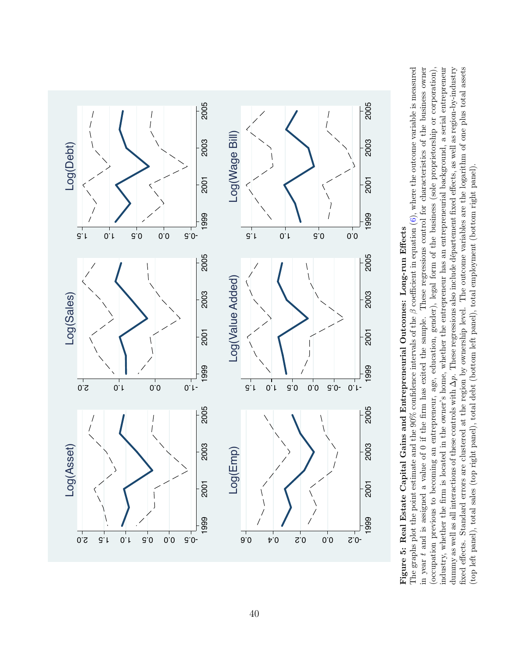<span id="page-40-0"></span>

# Figure 5: Real Estate Capital Gains and Entrepreneurial Outcomes: Long-run Effects Figure 5: Real Estate Capital Gains and Entrepreneurial Outcomes: Long-run Effects

in year t and is assigned a value of 0 if the firm has exited the sample. These regressions control for characteristics of the business owner The graphs plot the point estimate and the 90% confidence intervals of the  $\beta$  coefficient in equation (6), where the outcome variable is measured (occupation previous to becoming an entrepreneur, age, education, gender), legal form of the business (sole proprietorship or corporation), industry, whether the firm is located in the owner's home, whether the entrepreneur has an entrepreneurial background, a serial entrepreneur dummy as well as all interactions of these controls with  $\Delta p$ . These regressions also include departement fixed effects, as well as region-by-industry fixed effects. Standard errors are clustered at the region by ownership level. The outcome variables are the logarithm of one plus total assets  $\beta$  coefficient in equation [\(6\)](#page-21-0), where the outcome variable is measured in year t and is assigned a value of 0 if the firm has exited the sample. These regressions control for characteristics of the business owner industry, whether the firm is located in the owner's home, whether the entrepreneur has an entrepreneurial background, a serial entrepreneur p. These regressions also include département fixed effects, as well as region-by-industry fixed effects. Standard errors are clustered at the region by ownership level. The outcome variables are the logarithm of one plus total assets (occupation previous to becoming an entrepreneur, age, education, gender), legal form of the business (sole proprietorship or corporation), (top left panel), total sales (top right panel), total debt (bottom left panel), total employment (bottom right panel). (top left panel), total sales (top right panel), total debt (bottom left panel), total employment (bottom right panel). The graphs plot the point estimate and the 90% confidence intervals of the dummy as well as all interactions of these controls with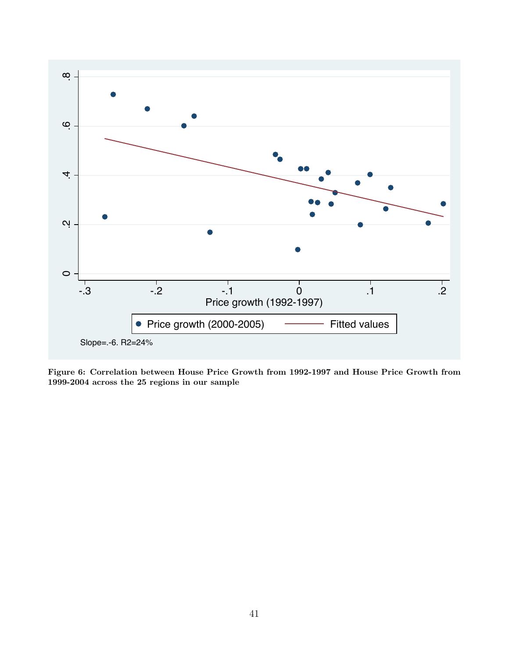<span id="page-41-0"></span>

Figure 6: Correlation between House Price Growth from 1992-1997 and House Price Growth from 1999-2004 across the 25 regions in our sample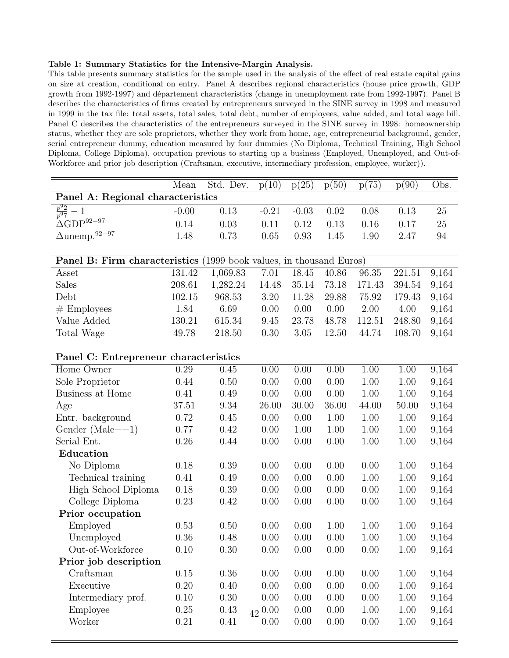### <span id="page-42-0"></span>Table 1: Summary Statistics for the Intensive-Margin Analysis.

This table presents summary statistics for the sample used in the analysis of the effect of real estate capital gains on size at creation, conditional on entry. Panel A describes regional characteristics (house price growth, GDP growth from 1992-1997) and département characteristics (change in unemployment rate from 1992-1997). Panel B describes the characteristics of firms created by entrepreneurs surveyed in the SINE survey in 1998 and measured in 1999 in the tax file: total assets, total sales, total debt, number of employees, value added, and total wage bill. Panel C describes the characteristics of the entrepreneurs surveyed in the SINE survey in 1998: homeownership status, whether they are sole proprietors, whether they work from home, age, entrepreneurial background, gender, serial entrepreneur dummy, education measured by four dummies (No Diploma, Technical Training, High School Diploma, College Diploma), occupation previous to starting up a business (Employed, Unemployed, and Out-of-Workforce and prior job description (Craftsman, executive, intermediary profession, employee, worker)).

|                                                                     | Mean    | Std. Dev. | p(10)      | p(25)   | p(50)    | p(75)  | p(90)  | Obs.   |
|---------------------------------------------------------------------|---------|-----------|------------|---------|----------|--------|--------|--------|
| Panel A: Regional characteristics                                   |         |           |            |         |          |        |        |        |
| $rac{p^92}{p^97}-1$                                                 | $-0.00$ | 0.13      | $-0.21$    | $-0.03$ | 0.02     | 0.08   | 0.13   | $25\,$ |
| $\Delta\text{GDP}^{92-97}$                                          | 0.14    | 0.03      | 0.11       | 0.12    | 0.13     | 0.16   | 0.17   | 25     |
| $\Delta \text{unemp.}^{92-97}$                                      | 1.48    | 0.73      | 0.65       | 0.93    | 1.45     | 1.90   | 2.47   | 94     |
|                                                                     |         |           |            |         |          |        |        |        |
| Panel B: Firm characteristics (1999 book values, in thousand Euros) |         |           |            |         |          |        |        |        |
| Asset                                                               | 131.42  | 1,069.83  | 7.01       | 18.45   | 40.86    | 96.35  | 221.51 | 9,164  |
| <b>Sales</b>                                                        | 208.61  | 1,282.24  | 14.48      | 35.14   | 73.18    | 171.43 | 394.54 | 9,164  |
| Debt                                                                | 102.15  | 968.53    | 3.20       | 11.28   | 29.88    | 75.92  | 179.43 | 9,164  |
| $#$ Employees                                                       | 1.84    | 6.69      | 0.00       | 0.00    | 0.00     | 2.00   | 4.00   | 9,164  |
| Value Added                                                         | 130.21  | 615.34    | 9.45       | 23.78   | 48.78    | 112.51 | 248.80 | 9,164  |
| Total Wage                                                          | 49.78   | 218.50    | 0.30       | 3.05    | 12.50    | 44.74  | 108.70 | 9,164  |
|                                                                     |         |           |            |         |          |        |        |        |
| Panel C: Entrepreneur characteristics                               |         |           |            |         |          |        |        |        |
| Home Owner                                                          | 0.29    | 0.45      | 0.00       | 0.00    | 0.00     | 1.00   | 1.00   | 9,164  |
| Sole Proprietor                                                     | 0.44    | 0.50      | 0.00       | 0.00    | 0.00     | 1.00   | 1.00   | 9,164  |
| Business at Home                                                    | 0.41    | 0.49      | 0.00       | 0.00    | 0.00     | 1.00   | 1.00   | 9,164  |
| Age                                                                 | 37.51   | 9.34      | 26.00      | 30.00   | 36.00    | 44.00  | 50.00  | 9,164  |
| Entr. background                                                    | 0.72    | 0.45      | 0.00       | 0.00    | 1.00     | 1.00   | 1.00   | 9,164  |
| Gender (Male= $=1$ )                                                | 0.77    | 0.42      | 0.00       | 1.00    | 1.00     | 1.00   | 1.00   | 9,164  |
| Serial Ent.                                                         | 0.26    | 0.44      | 0.00       | 0.00    | 0.00     | 1.00   | 1.00   | 9,164  |
| Education                                                           |         |           |            |         |          |        |        |        |
| No Diploma                                                          | 0.18    | 0.39      | 0.00       | 0.00    | 0.00     | 0.00   | 1.00   | 9,164  |
| Technical training                                                  | 0.41    | 0.49      | 0.00       | 0.00    | 0.00     | 1.00   | 1.00   | 9,164  |
| High School Diploma                                                 | 0.18    | 0.39      | 0.00       | 0.00    | 0.00     | 0.00   | 1.00   | 9,164  |
| College Diploma                                                     | 0.23    | 0.42      | 0.00       | 0.00    | 0.00     | 0.00   | 1.00   | 9,164  |
| Prior occupation                                                    |         |           |            |         |          |        |        |        |
| Employed                                                            | 0.53    | 0.50      | 0.00       | 0.00    | 1.00     | 1.00   | 1.00   | 9,164  |
| Unemployed                                                          | 0.36    | 0.48      | 0.00       | 0.00    | 0.00     | 1.00   | 1.00   | 9,164  |
| Out-of-Workforce                                                    | 0.10    | $0.30\,$  | 0.00       | 0.00    | $0.00\,$ | 0.00   | 1.00   | 9,164  |
| Prior job description                                               |         |           |            |         |          |        |        |        |
| Craftsman                                                           | 0.15    | 0.36      | 0.00       | 0.00    | 0.00     | 0.00   | 1.00   | 9,164  |
| Executive                                                           | 0.20    | 0.40      | 0.00       | 0.00    | 0.00     | 0.00   | 1.00   | 9,164  |
| Intermediary prof.                                                  | 0.10    | 0.30      | 0.00       | 0.00    | 0.00     | 0.00   | 1.00   | 9,164  |
| Employee                                                            | 0.25    | 0.43      | $42\,0.00$ | 0.00    | 0.00     | 1.00   | 1.00   | 9,164  |
| Worker                                                              | 0.21    | 0.41      | 0.00       | 0.00    | 0.00     | 0.00   | 1.00   | 9,164  |
|                                                                     |         |           |            |         |          |        |        |        |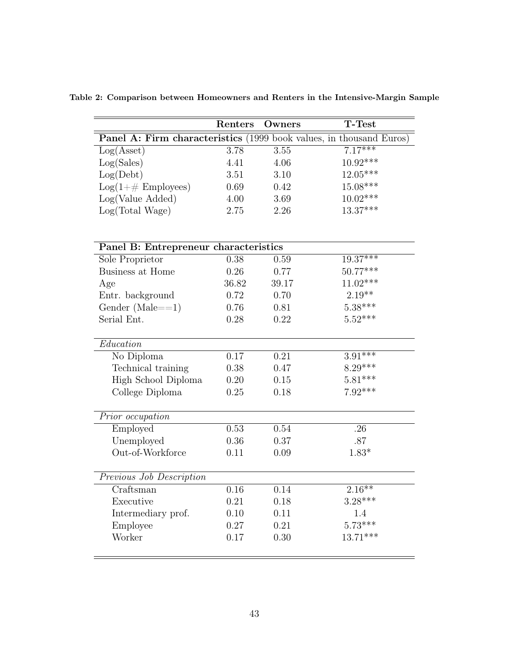|                                                                     | Renters  | Owners | <b>T-Test</b> |
|---------------------------------------------------------------------|----------|--------|---------------|
| Panel A: Firm characteristics (1999 book values, in thousand Euros) |          |        |               |
| Log(Asset)                                                          | 3.78     | 3.55   | $7.17***$     |
| Log(Sales)                                                          | 4.41     | 4.06   | $10.92***$    |
| Log(Debt)                                                           | 3.51     | 3.10   | $12.05***$    |
| $Log(1+\# \text{ Employee})$                                        | 0.69     | 0.42   | $15.08***$    |
| Log(Value Added)                                                    | 4.00     | 3.69   | $10.02***$    |
| Log(Total Wage)                                                     | 2.75     | 2.26   | $13.37***$    |
|                                                                     |          |        |               |
| Panel B: Entrepreneur characteristics                               |          |        |               |
| Sole Proprietor                                                     | 0.38     | 0.59   | $19.37***$    |
| Business at Home                                                    | 0.26     | 0.77   | $50.77***$    |
| Age                                                                 | 36.82    | 39.17  | $11.02***$    |
| Entr. background                                                    | 0.72     | 0.70   | $2.19**$      |
| Gender (Male= $=1$ )                                                | 0.76     | 0.81   | $5.38***$     |
| Serial Ent.                                                         | 0.28     | 0.22   | $5.52***$     |
| Education                                                           |          |        |               |
| No Diploma                                                          | 0.17     | 0.21   | $3.91***$     |
| Technical training                                                  | 0.38     | 0.47   | $8.29***$     |
| High School Diploma                                                 | 0.20     | 0.15   | $5.81***$     |
| College Diploma                                                     | 0.25     | 0.18   | $7.92***$     |
| Prior occupation                                                    |          |        |               |
| Employed                                                            | 0.53     | 0.54   | .26           |
| Unemployed                                                          | 0.36     | 0.37   | .87           |
| Out-of-Workforce                                                    | 0.11     | 0.09   | $1.83*$       |
| Previous Job Description                                            |          |        |               |
| Craftsman                                                           | 0.16     | 0.14   | $2.16**$      |
| Executive                                                           | 0.21     | 0.18   | $3.28***$     |
| Intermediary prof.                                                  | $0.10\,$ | 0.11   | 1.4           |
| Employee                                                            | 0.27     | 0.21   | $5.73***$     |
| Worker                                                              | 0.17     | 0.30   | $13.71***$    |
|                                                                     |          |        |               |

<span id="page-43-0"></span>Table 2: Comparison between Homeowners and Renters in the Intensive-Margin Sample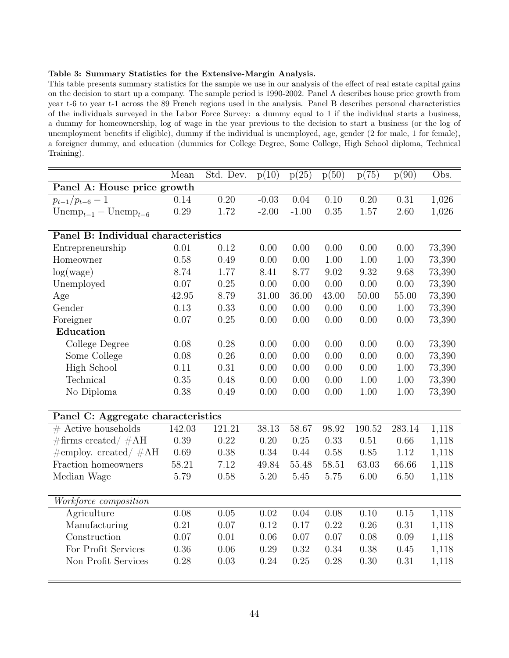### <span id="page-44-0"></span>Table 3: Summary Statistics for the Extensive-Margin Analysis.

This table presents summary statistics for the sample we use in our analysis of the effect of real estate capital gains on the decision to start up a company. The sample period is 1990-2002. Panel A describes house price growth from year t-6 to year t-1 across the 89 French regions used in the analysis. Panel B describes personal characteristics of the individuals surveyed in the Labor Force Survey: a dummy equal to 1 if the individual starts a business, a dummy for homeownership, log of wage in the year previous to the decision to start a business (or the log of unemployment benefits if eligible), dummy if the individual is unemployed, age, gender (2 for male, 1 for female), a foreigner dummy, and education (dummies for College Degree, Some College, High School diploma, Technical Training).

|                                           | Mean   | Std. Dev. | p(10)    | p(25)             | p(50) | p(75)  | p(90)  | Obs.   |
|-------------------------------------------|--------|-----------|----------|-------------------|-------|--------|--------|--------|
| Panel A: House price growth               |        |           |          |                   |       |        |        |        |
| $p_{t-1}/p_{t-6}-1$                       | 0.14   | 0.20      | $-0.03$  | $\overline{0.04}$ | 0.10  | 0.20   | 0.31   | 1,026  |
| $\text{Unemp}_{t-1} - \text{Unemp}_{t-6}$ | 0.29   | 1.72      | $-2.00$  | $-1.00$           | 0.35  | 1.57   | 2.60   | 1,026  |
|                                           |        |           |          |                   |       |        |        |        |
| Panel B: Individual characteristics       |        |           |          |                   |       |        |        |        |
| Entrepreneurship                          | 0.01   | 0.12      | 0.00     | 0.00              | 0.00  | 0.00   | 0.00   | 73,390 |
| Homeowner                                 | 0.58   | 0.49      | 0.00     | 0.00              | 1.00  | 1.00   | 1.00   | 73,390 |
| log(wage)                                 | 8.74   | 1.77      | 8.41     | 8.77              | 9.02  | 9.32   | 9.68   | 73,390 |
| Unemployed                                | 0.07   | 0.25      | 0.00     | 0.00              | 0.00  | 0.00   | 0.00   | 73,390 |
| Age                                       | 42.95  | 8.79      | 31.00    | 36.00             | 43.00 | 50.00  | 55.00  | 73,390 |
| Gender                                    | 0.13   | 0.33      | 0.00     | 0.00              | 0.00  | 0.00   | 1.00   | 73,390 |
| Foreigner                                 | 0.07   | 0.25      | 0.00     | 0.00              | 0.00  | 0.00   | 0.00   | 73,390 |
| Education                                 |        |           |          |                   |       |        |        |        |
| College Degree                            | 0.08   | 0.28      | 0.00     | 0.00              | 0.00  | 0.00   | 0.00   | 73,390 |
| Some College                              | 0.08   | 0.26      | 0.00     | 0.00              | 0.00  | 0.00   | 0.00   | 73,390 |
| <b>High School</b>                        | 0.11   | 0.31      | 0.00     | 0.00              | 0.00  | 0.00   | 1.00   | 73,390 |
| Technical                                 | 0.35   | 0.48      | 0.00     | 0.00              | 0.00  | 1.00   | 1.00   | 73,390 |
| No Diploma                                | 0.38   | 0.49      | 0.00     | 0.00              | 0.00  | 1.00   | 1.00   | 73,390 |
|                                           |        |           |          |                   |       |        |        |        |
| Panel C: Aggregate characteristics        |        |           |          |                   |       |        |        |        |
| $#$ Active households                     | 142.03 | 121.21    | 38.13    | 58.67             | 98.92 | 190.52 | 283.14 | 1,118  |
| $\#\text{firms created}/\#\text{AH}$      | 0.39   | 0.22      | 0.20     | $0.25\,$          | 0.33  | 0.51   | 0.66   | 1,118  |
| $\#$ employ. created/ $\#AH$              | 0.69   | 0.38      | 0.34     | 0.44              | 0.58  | 0.85   | 1.12   | 1,118  |
| Fraction homeowners                       | 58.21  | 7.12      | 49.84    | 55.48             | 58.51 | 63.03  | 66.66  | 1,118  |
| Median Wage                               | 5.79   | 0.58      | $5.20\,$ | 5.45              | 5.75  | 6.00   | 6.50   | 1,118  |
|                                           |        |           |          |                   |       |        |        |        |
| Workforce composition                     |        |           |          |                   |       |        |        |        |
| Agriculture                               | 0.08   | 0.05      | 0.02     | 0.04              | 0.08  | 0.10   | 0.15   | 1,118  |
| Manufacturing                             | 0.21   | 0.07      | 0.12     | 0.17              | 0.22  | 0.26   | 0.31   | 1,118  |
| Construction                              | 0.07   | 0.01      | 0.06     | $0.07\,$          | 0.07  | 0.08   | 0.09   | 1,118  |
| For Profit Services                       | 0.36   | 0.06      | 0.29     | 0.32              | 0.34  | 0.38   | 0.45   | 1,118  |
| Non Profit Services                       | 0.28   | 0.03      | 0.24     | 0.25              | 0.28  | 0.30   | 0.31   | 1,118  |
|                                           |        |           |          |                   |       |        |        |        |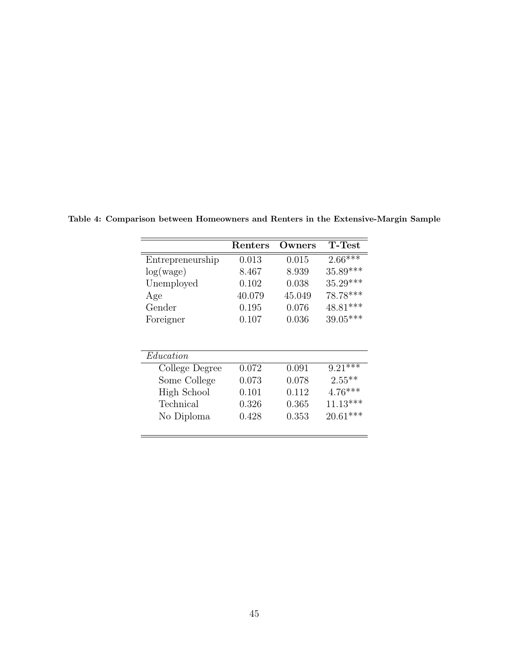|                  | Renters | Owners      | <b>T-Test</b> |
|------------------|---------|-------------|---------------|
| Entrepreneurship | 0.013   | 0.015       | $2.66***$     |
| log(wage)        | 8.467   | 8.939       | 35.89***      |
| Unemployed       | 0.102   | 0.038       | $35.29***$    |
| Age              | 40.079  | 45.049      | 78.78***      |
| Gender           | 0.195   | 0.076       | 48.81***      |
| Foreigner        | 0.107   | 0.036       | 39.05***      |
| Education        |         |             |               |
| College Degree   | 0.072   | 0.091       | $9.21***$     |
| Some College     | 0.073   | 0.078       | $2.55***$     |
| High School      | 0.101   | 0.112       | $4.76***$     |
| Technical        | 0.326   | 0.365       | $11.13***$    |
| No Diploma       | 0.428   | $\rm 0.353$ | $20.61***$    |
|                  |         |             |               |

<span id="page-45-0"></span>Table 4: Comparison between Homeowners and Renters in the Extensive-Margin Sample

 $\overline{\phantom{a}}$ 

 $\overline{\phantom{0}}$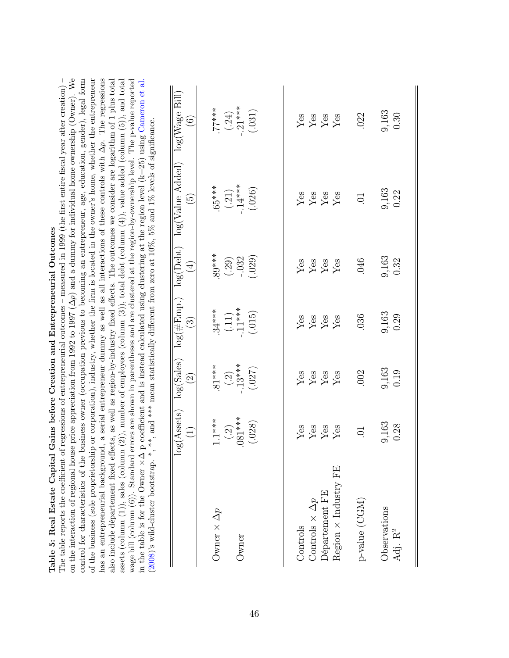<span id="page-46-0"></span>

| on the interaction of regional house price appreciation from 1992 to 1997 ( $\Delta p$ ) and a dummy for individual home ownership (Owner). We<br>has an entrepreneurial background, a serial entrepreneur dummy as well as all interactions of these controls with $\Delta p$ . The regressions<br>of the business (sole proprietorship or corporation), industry, whether the firm is located in the owner's home, whether the entrepreneur<br>control for characteristics of the business owner (occupation previous to becoming an entrepreneur, age, education, gender), legal form<br>also include département fixed effects, as well as region-by-industry fixed effects. The outcomes we consider are logarithm of 1 plus total<br>wage bill (column $(6)$ ). Standard errors are shown in parentheses and are clustered at the region-by-ownership level. The p-value reported<br>assets (column $(1)$ ), sales (column $(2)$ ), number of employees (column $(3)$ ), total debt (column $(4)$ ), value added (column $(5)$ ), and total<br>The table reports the coefficient of<br>in the table is for the Owner $\times \Delta$<br>Table 5: Real Estate Capital<br>(2008)'s wild-cluster bootstrap. |                                                   |                                          | Gains before Creation and Entrepreneurial Outcomes<br>regressions of entrepreneurial outcomes |                                            | - measured in 1999 (the first entire fiscal year after creation) -<br>p coefficient and is instead calculated using clustering at the region level $(k=25)$ using Cameron et al.<br>**, and *** mean statistically different from zero at $10\%$ , $5\%$ and $1\%$ levels of significance. |                                     |
|----------------------------------------------------------------------------------------------------------------------------------------------------------------------------------------------------------------------------------------------------------------------------------------------------------------------------------------------------------------------------------------------------------------------------------------------------------------------------------------------------------------------------------------------------------------------------------------------------------------------------------------------------------------------------------------------------------------------------------------------------------------------------------------------------------------------------------------------------------------------------------------------------------------------------------------------------------------------------------------------------------------------------------------------------------------------------------------------------------------------------------------------------------------------------------------------------------------|---------------------------------------------------|------------------------------------------|-----------------------------------------------------------------------------------------------|--------------------------------------------|--------------------------------------------------------------------------------------------------------------------------------------------------------------------------------------------------------------------------------------------------------------------------------------------|-------------------------------------|
|                                                                                                                                                                                                                                                                                                                                                                                                                                                                                                                                                                                                                                                                                                                                                                                                                                                                                                                                                                                                                                                                                                                                                                                                                | log(Assets)<br>$\widehat{\Xi}$                    | log(Sales)<br>$\widehat{\Omega}$         | $log(\# Emp.)$<br>$\widehat{\mathbb{C}}$                                                      | log(Debt)<br>$\bigoplus$                   | log(Value Added)<br>$\widetilde{\mathfrak{S}}$                                                                                                                                                                                                                                             | log(Wage Bill)<br>$\widehat{\odot}$ |
| Owner $\times \Delta p$<br>Owner                                                                                                                                                                                                                                                                                                                                                                                                                                                                                                                                                                                                                                                                                                                                                                                                                                                                                                                                                                                                                                                                                                                                                                               | $.081***$<br>$1.1***$<br>(.028)<br>$\binom{2}{2}$ | $-.13***$<br>$.81***$<br>(.027)<br>$(2)$ | $(.11)$<br>-.11***<br>$.34***$<br>(.015)                                                      | $.89***$<br>$(.29)$<br>$-.032$<br>$(.029)$ | $(.21)$<br>-.14***<br>$.65***$<br>(.026)                                                                                                                                                                                                                                                   | .77***<br>(.24)<br>.21***<br>(.031) |
| Region $\times$ Industry FE<br>Département FE<br>Controls $\times \Delta p$<br>Controls                                                                                                                                                                                                                                                                                                                                                                                                                                                                                                                                                                                                                                                                                                                                                                                                                                                                                                                                                                                                                                                                                                                        | ${\rm Yes}$<br>$\rm \frac{Yes}{Yes}$<br>Yes       | yes<br>Yes<br>Yes<br>Yes                 | Yes                                                                                           | Yes<br>Yes<br>Yes<br>Yes                   | Yes<br>Yes<br>Yes                                                                                                                                                                                                                                                                          | ${\rm Yes}$<br>Yes<br>Yes<br>Yes    |
| $\mbox{p-value}$ (CGM)<br>Observations<br>Adj. R <sup>2</sup>                                                                                                                                                                                                                                                                                                                                                                                                                                                                                                                                                                                                                                                                                                                                                                                                                                                                                                                                                                                                                                                                                                                                                  | 9,163<br>0.28<br>$\overline{C}$                   | 9,163<br>0.19<br>.002                    | 9,163<br>0.29<br>036                                                                          | 9,163<br>0.32<br>.046                      | 9,163<br>0.22<br>5.                                                                                                                                                                                                                                                                        | 9,163<br>0.30<br>.022               |
|                                                                                                                                                                                                                                                                                                                                                                                                                                                                                                                                                                                                                                                                                                                                                                                                                                                                                                                                                                                                                                                                                                                                                                                                                |                                                   |                                          |                                                                                               |                                            |                                                                                                                                                                                                                                                                                            |                                     |

II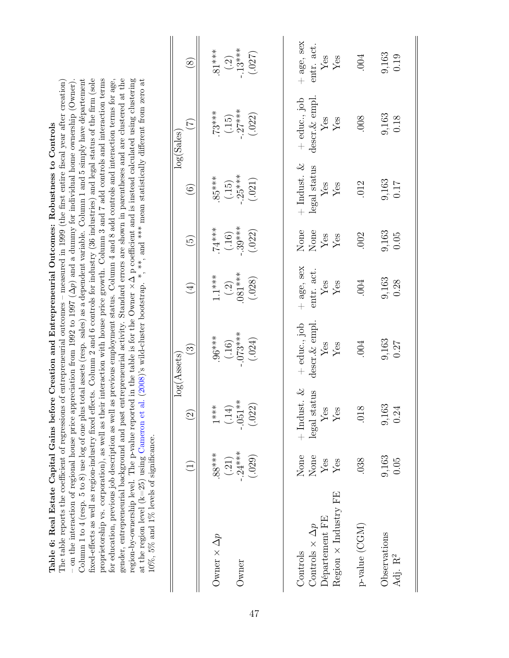<span id="page-47-0"></span>

| fixed-effects as well as region-industry fixed effects. Column 2 and 6 controls for industry (36 industries) and legal status of the firm (sole<br>proprietorship vs. corporation), as well as their interaction with house price growth. Column 3 and 7 add controls and interaction terms<br>for education, previous job description as well as previous employment status. Column 4 and 8 add controls and interaction terms for age,<br>gender, entrepreneurial background and past entrepreneurial activity. Standard errors are shown in parentheses and are clustered at the<br>region-by-ownership level. The p-value reported in the table is for the Owner $\times\Delta$ p coefficient and is instead calculated using clustering<br>at the region level (k=25) using Cameron et al. (2008)'s wild-cluster bootstrap. *, ***, and *** mean statistically different from zero at<br>Column 1 to 4 (resp. 5 to 8) use log of one plus total assets (resp. sales) as a dependent variable. Column 1 and 5 simply have departement<br>on the interaction of regional house price appreciation from 1992 to 1997 ( $\Delta p$ ) and a dummy for individual home ownership (Owner).<br>The table reports the coefficient of regressions of entrepreneurial outcomes – measured in 1999 (the first entire fiscal year after creation)<br>Table 6: Real Estate Capital Gains before Creation and Entrepreneurial Outcomes: Robustness to Controls<br>$10\%, 5\%$ and $1\%$ levels of significance. |                                         |                                                        |                                                           |                                                                 |                                           |                                                                                        |                                                                         |                                                           |
|-------------------------------------------------------------------------------------------------------------------------------------------------------------------------------------------------------------------------------------------------------------------------------------------------------------------------------------------------------------------------------------------------------------------------------------------------------------------------------------------------------------------------------------------------------------------------------------------------------------------------------------------------------------------------------------------------------------------------------------------------------------------------------------------------------------------------------------------------------------------------------------------------------------------------------------------------------------------------------------------------------------------------------------------------------------------------------------------------------------------------------------------------------------------------------------------------------------------------------------------------------------------------------------------------------------------------------------------------------------------------------------------------------------------------------------------------------------------------------------------------------|-----------------------------------------|--------------------------------------------------------|-----------------------------------------------------------|-----------------------------------------------------------------|-------------------------------------------|----------------------------------------------------------------------------------------|-------------------------------------------------------------------------|-----------------------------------------------------------|
|                                                                                                                                                                                                                                                                                                                                                                                                                                                                                                                                                                                                                                                                                                                                                                                                                                                                                                                                                                                                                                                                                                                                                                                                                                                                                                                                                                                                                                                                                                       | $\overline{\Xi}$                        | $\widehat{\Omega}$                                     | $\widehat{\mathbb{C}}$<br>log(Assets)                     | $\bigoplus$                                                     | $\widetilde{\Theta}$                      | $\widehat{6}$                                                                          | $\widetilde{\mathcal{L}}$<br>log(Sales)                                 | $\circled{s}$                                             |
| Owner $\times$ $\Delta p$<br>Owner                                                                                                                                                                                                                                                                                                                                                                                                                                                                                                                                                                                                                                                                                                                                                                                                                                                                                                                                                                                                                                                                                                                                                                                                                                                                                                                                                                                                                                                                    | $(.21)$<br>-.24***<br>$88***$<br>(.029) | $-.051**$<br>(.022)<br>$1***$<br>(.14)                 | $-073***$<br>$***86.$<br>(.024)<br>(.16)                  | $.081***$<br>$1.1***$<br>(.028)<br>$\left( \frac{2}{2} \right)$ | $-.39***$<br>$74***$<br>(.022)<br>$(.16)$ | $-.25***$<br>$.85***$<br>(.021)<br>$(15)$                                              | $(.15)$<br>-.27***<br>$.73***$<br>(.022)                                | $(.2)$<br>-.13***<br>$.81***$<br>(.027)                   |
| Region $\times$ Industry FE<br>Département FE<br>Controls $\times \Delta p$<br>Controls                                                                                                                                                                                                                                                                                                                                                                                                                                                                                                                                                                                                                                                                                                                                                                                                                                                                                                                                                                                                                                                                                                                                                                                                                                                                                                                                                                                                               | None<br>None<br>${\rm Yes}$<br>$Y$ es   | ى<br>ئا<br>legal status<br>$+$ Indust<br>$Y$ es<br>Yes | descr. & empl<br>$+$ educ., job<br>$_{\rm Yes}^{\rm Yes}$ | + age, sex<br>entr. act.<br>$\rm \frac{Yes}{Yes}$               | None<br>None<br>${\rm Yes}$<br>Yes        | $+$ Indust. $&$<br>$\frac{\text{legal status}}{\text{Yes}}$<br>$\mathbf{Y}\mathbf{es}$ | descr. & empl.<br>$+$ educ., job<br>${\rm Yes}$<br>$\operatorname{Yes}$ | + age, sex<br>entr. act.<br>$\mathbf{Yes}$<br>${\rm Yes}$ |
| $p$ -value (CGM)                                                                                                                                                                                                                                                                                                                                                                                                                                                                                                                                                                                                                                                                                                                                                                                                                                                                                                                                                                                                                                                                                                                                                                                                                                                                                                                                                                                                                                                                                      | .038                                    | .018                                                   | .004                                                      | .004                                                            | .002                                      | .012                                                                                   | .008                                                                    | .004                                                      |
| Observations<br>Adj. R <sup>2</sup>                                                                                                                                                                                                                                                                                                                                                                                                                                                                                                                                                                                                                                                                                                                                                                                                                                                                                                                                                                                                                                                                                                                                                                                                                                                                                                                                                                                                                                                                   | 9,163<br>0.05                           | 9,163<br>0.24                                          | 9,163<br>0.27                                             | 9,163<br>0.28                                                   | 9,163<br>0.05                             | 9,163<br>717                                                                           | 9,163<br>0.18                                                           | 9,163<br>0.19                                             |

II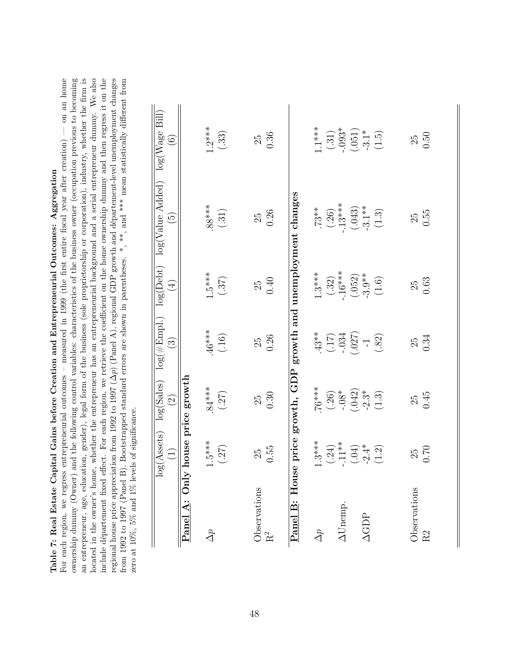|                            | Ì |
|----------------------------|---|
|                            |   |
| i<br>l<br>I                |   |
|                            |   |
| しょうしょく こうしょう               |   |
|                            |   |
|                            |   |
|                            |   |
| l<br>.                     |   |
| <br> <br>ľ                 |   |
|                            |   |
| .<br>י<br>.<br>E<br>j<br>I | ľ |

For each region, we regress entrepreneurial outcomes – measured in 1999 (the first entire fiscal year after creation) — on an home ownership dummy (Owner) and the following control variables: characteristics of the business owner (occupation previous to becoming an entrepreneur, age, education, gender), legal form of the business (sole proprietorship or corporation), industry, whether the firm is located in the owner's home, whether the entrepreneur has an entrepreneurial background and a serial entrepreneur dummy. We also include departement fixed effect. For each region, we retrieve the coefficient on the home ownership dummy and then regress it on the regional house price appreciation from 1992 to 1997 ( $\Delta p$ ) (Panel A), regional GDP growth and département-level unemployment changes from 1992 to 1997 (Panel B). Bootstrapped standard errors are shown in parentheses. \*, \*\*, and \*\*\* mean statistically different from an entrepreneur, age, education, gender), legal form of the business (sole proprietorship or corporation), industry, whether the firm is ownership dummy (Owner) and the following control variables: characteristics of the business owner (occupation previous to becoming located in the owner's home, whether the entrepreneur has an entrepreneurial background and a serial entrepreneur dummy. We also include département fixed effect. For each region, we retrieve the coefficient on the home ownership dummy and then regress it on the  $p)$  (Panel A), regional GDP growth and département-level unemployment changes For each region, we regress entrepreneurial outcomes – measured in 1999 (the first entire fiscal year after creation) — on an home from 1992 to 1997 (Panel B). Bootstrapped standard errors are shown in parentheses. \*, \*\*, and \*\*\* mean statistically different from  $\frac{1}{1000}$  and  $\frac{1}{1000}$  and  $\frac{1}{1000}$  and  $\frac{1}{1000}$  and  $\frac{1}{1000}$  and  $\frac$ regional house price appreciation from 1992 to 1997 ( zero at 10%, 5% and 1% levels of significance. zero at 10%, 5% and 1% levels of significance.

<span id="page-48-0"></span>

|                                     | $log(A{\rm ssets})$<br>$\widetilde{\mathbf{H}}$       | $\log(\text{Sales})$ $(2)$                                                   | $\widehat{\mathbb{C}}$                                   | $\bigoplus$                                              | $log(\#Emp1.)$ $log(Debt)$ $log(Value$ $Added)$ $log(Wage$ $Bill)$<br>$\widetilde{\mathfrak{G}}$ | $\odot$                                                                |
|-------------------------------------|-------------------------------------------------------|------------------------------------------------------------------------------|----------------------------------------------------------|----------------------------------------------------------|--------------------------------------------------------------------------------------------------|------------------------------------------------------------------------|
| Panel A: Only                       | house price                                           | growth                                                                       |                                                          |                                                          |                                                                                                  |                                                                        |
| $\Delta p$                          | $1.5***$                                              | $84***$                                                                      |                                                          | $1.5***$                                                 | $88***$                                                                                          | $1.2***$                                                               |
|                                     | (.27)                                                 | (.27)                                                                        | $.46***$<br>(.16)                                        | $(.37)$                                                  | $(.31)$                                                                                          | (.33)                                                                  |
|                                     |                                                       |                                                                              |                                                          |                                                          |                                                                                                  |                                                                        |
| Observations                        | 25                                                    | 25                                                                           | 25                                                       | 25                                                       | 25                                                                                               | 25                                                                     |
| $R^2$                               | 0.55                                                  | 0.30                                                                         | 0.26                                                     | 0.40                                                     | 0.26                                                                                             | 0.36                                                                   |
| $_{\rm How}$<br>$\ddot{a}$<br>Panel | se price                                              | growth, GDP                                                                  | growth and                                               |                                                          | unemployment changes                                                                             |                                                                        |
| $\Delta p$                          | $1.3***$                                              | $76***$                                                                      |                                                          | $1.3***$                                                 |                                                                                                  | $1***1$                                                                |
|                                     |                                                       | $(.26)$<br>$-.08$ <sup>*</sup><br>$(.042)$<br>$-2.3$ <sup>*</sup><br>$(1.3)$ | $.43**$<br>$(.17)$<br>$-.034$<br>$.027$<br>$-1$<br>$.82$ | $(.32)$<br>$.16***$<br>$(.052)$<br>$-.3.9**$<br>$(.1.6)$ | $73**$<br>$(.26)$<br>$(.34)$<br>$(.043)$<br>$-.3.1**$<br>$-.3.1**$                               |                                                                        |
| $\Delta$ Unemp.                     |                                                       |                                                                              |                                                          |                                                          |                                                                                                  |                                                                        |
|                                     |                                                       |                                                                              |                                                          |                                                          |                                                                                                  |                                                                        |
| $\Delta\text{GDP}$                  |                                                       |                                                                              |                                                          |                                                          |                                                                                                  |                                                                        |
|                                     | $(.24)$<br>$(.11**$<br>$(.04)$<br>$(.04)$<br>$(-1.2)$ |                                                                              |                                                          |                                                          |                                                                                                  | $\begin{array}{c} (.31) \\ -.093^* \\ (.051) \\ -3.1^* \\ \end{array}$ |
|                                     |                                                       |                                                                              |                                                          |                                                          |                                                                                                  |                                                                        |
| Observations                        | 25                                                    | 25                                                                           | 25                                                       | 25                                                       | 25                                                                                               | 25                                                                     |
| R2                                  | 0.70                                                  | 0.45                                                                         | 0.34                                                     | 0.63                                                     | 0.55                                                                                             | 0.50                                                                   |
|                                     |                                                       |                                                                              |                                                          |                                                          |                                                                                                  |                                                                        |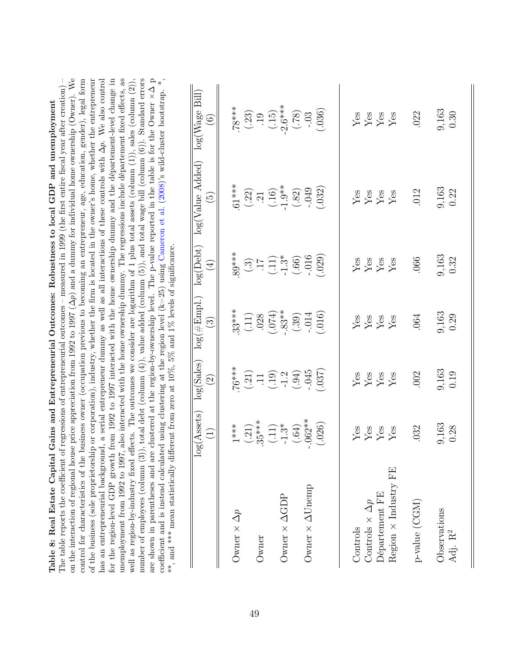| on the interaction of regional house price appreciation from 1992 to 1997 ( $\Delta p$ ) and a dummy for individual home ownership (Owner). We<br>has an entrepreneurial background, a serial entrepreneur dummy as well as all interactions of these controls with $\Delta p$ . We also control<br>well as region-by-industry fixed effects. The outcomes we consider are logarithm of 1 plus total assets (column $(1)$ ), sales (column $(2)$ ),<br>control for characteristics of the business owner (occupation previous to becoming an entrepreneur, age, education, gender), legal form<br>of the business (sole proprietorship or corporation), industry, whether the firm is located in the owner's home, whether the entrepreneur<br>The table reports the coefficient of regressions of entrepreneurial outcomes – measured in 1999 (the first entire fiscal year after creation) –<br>coefficient and is instead calculated using clustering at the region level $(k=25)$ using Cameron et al. $(2008)$ 's wild-cluster bootstrap.<br>, and *** mean statistically different from zero at $10\%$ , $5\%$ and $1\%$ levels of significance.<br>unemployment from $1992\stackrel{\scriptstyle\circ}{\phantom{}_{\sim}} 0.1997,$<br>number of employees (column (3))<br>are shown in parentheses and are<br>Table 8: Real Estate Capital<br>for the region-level GDP growth |                               |                                                                                            |                                                    |                                                                                    | , total debt (column (4)), value added (column ( $\sigma$ )), and $\sigma$ are also as in the table is for the Owner $\times \Delta$ p clustered at the region-by-ownership level. The p-value reported in the table is for the Owner $\times \Delta$ p c<br>from 1992 to 1997 interacted with the home ownership dummy and the département-level change in<br>also interacted with the home ownership dummy. The regressions include département fixed effects, as<br>Gains and Entrepreneurial Outcomes: Robustness to local GDP and unemployment |                                              |
|--------------------------------------------------------------------------------------------------------------------------------------------------------------------------------------------------------------------------------------------------------------------------------------------------------------------------------------------------------------------------------------------------------------------------------------------------------------------------------------------------------------------------------------------------------------------------------------------------------------------------------------------------------------------------------------------------------------------------------------------------------------------------------------------------------------------------------------------------------------------------------------------------------------------------------------------------------------------------------------------------------------------------------------------------------------------------------------------------------------------------------------------------------------------------------------------------------------------------------------------------------------------------------------------------------------------------------------------------------------------------------------|-------------------------------|--------------------------------------------------------------------------------------------|----------------------------------------------------|------------------------------------------------------------------------------------|-----------------------------------------------------------------------------------------------------------------------------------------------------------------------------------------------------------------------------------------------------------------------------------------------------------------------------------------------------------------------------------------------------------------------------------------------------------------------------------------------------------------------------------------------------|----------------------------------------------|
|                                                                                                                                                                                                                                                                                                                                                                                                                                                                                                                                                                                                                                                                                                                                                                                                                                                                                                                                                                                                                                                                                                                                                                                                                                                                                                                                                                                      | g(Assets)<br>$\bigoplus$<br>으 | log(Sales)<br>$\widehat{\Omega}$                                                           | $\log(\#\mathrm{Empl.})$<br>$\widehat{\mathbb{C}}$ | log(Debt)<br>$\bigoplus$                                                           | $log(V$ alue Added)<br>$\widetilde{\omega}$                                                                                                                                                                                                                                                                                                                                                                                                                                                                                                         | $\log(\text{Wage Bill})$<br>$\odot$          |
| Owner $\times$ $\Delta p$                                                                                                                                                                                                                                                                                                                                                                                                                                                                                                                                                                                                                                                                                                                                                                                                                                                                                                                                                                                                                                                                                                                                                                                                                                                                                                                                                            | $1***$                        | $76***$                                                                                    | $33***$                                            | $.89***$                                                                           | $.61***$                                                                                                                                                                                                                                                                                                                                                                                                                                                                                                                                            | $***87.$                                     |
| Owner                                                                                                                                                                                                                                                                                                                                                                                                                                                                                                                                                                                                                                                                                                                                                                                                                                                                                                                                                                                                                                                                                                                                                                                                                                                                                                                                                                                | $(.21)$<br>$.35***$           | $\begin{array}{c} (21) \\ (11) \\ (19) \\ (-1.2) \\ (-94) \\ (-945) \\ (-945) \end{array}$ | $(.11)$<br>$.028$<br>$(.074)$<br>$.83**$           | $\begin{array}{c} (3) \\ (-1) \\ (-1) \\ (-6) \\ (-6) \\ (-6) \\ (-6) \end{array}$ | $(.22)$<br>$.21$<br>$(.16)$<br>$.9**$<br>$1.9**$                                                                                                                                                                                                                                                                                                                                                                                                                                                                                                    | $(.23)$<br>$.19$<br>$(.15)$<br>$-2.6**$      |
|                                                                                                                                                                                                                                                                                                                                                                                                                                                                                                                                                                                                                                                                                                                                                                                                                                                                                                                                                                                                                                                                                                                                                                                                                                                                                                                                                                                      | $(.11)$<br>-1.3*              |                                                                                            |                                                    |                                                                                    |                                                                                                                                                                                                                                                                                                                                                                                                                                                                                                                                                     |                                              |
| Owner $\times$ $\Delta GDP$                                                                                                                                                                                                                                                                                                                                                                                                                                                                                                                                                                                                                                                                                                                                                                                                                                                                                                                                                                                                                                                                                                                                                                                                                                                                                                                                                          |                               |                                                                                            |                                                    |                                                                                    |                                                                                                                                                                                                                                                                                                                                                                                                                                                                                                                                                     |                                              |
| Owner $\times \Delta$ Unemp                                                                                                                                                                                                                                                                                                                                                                                                                                                                                                                                                                                                                                                                                                                                                                                                                                                                                                                                                                                                                                                                                                                                                                                                                                                                                                                                                          | $.062**$<br>$(.64)$           |                                                                                            | $-.014$<br>(.39)                                   |                                                                                    | .049<br>(.82)                                                                                                                                                                                                                                                                                                                                                                                                                                                                                                                                       | $(81)$<br>$-.03$                             |
|                                                                                                                                                                                                                                                                                                                                                                                                                                                                                                                                                                                                                                                                                                                                                                                                                                                                                                                                                                                                                                                                                                                                                                                                                                                                                                                                                                                      | (.026)                        | (.037)                                                                                     | (.016)                                             | (029)                                                                              | (.032)                                                                                                                                                                                                                                                                                                                                                                                                                                                                                                                                              | (.036)                                       |
| Controls                                                                                                                                                                                                                                                                                                                                                                                                                                                                                                                                                                                                                                                                                                                                                                                                                                                                                                                                                                                                                                                                                                                                                                                                                                                                                                                                                                             |                               | ${\rm Yes}$                                                                                |                                                    | Yes                                                                                | ${\rm Yes}$                                                                                                                                                                                                                                                                                                                                                                                                                                                                                                                                         | ${\rm Yes}$                                  |
| Controls $\times \Delta p$                                                                                                                                                                                                                                                                                                                                                                                                                                                                                                                                                                                                                                                                                                                                                                                                                                                                                                                                                                                                                                                                                                                                                                                                                                                                                                                                                           |                               | $\ensuremath{\mathrm{Yes}}$                                                                |                                                    |                                                                                    |                                                                                                                                                                                                                                                                                                                                                                                                                                                                                                                                                     |                                              |
| Département FE                                                                                                                                                                                                                                                                                                                                                                                                                                                                                                                                                                                                                                                                                                                                                                                                                                                                                                                                                                                                                                                                                                                                                                                                                                                                                                                                                                       | Yes<br>Yes<br>Yes<br>Yes      | $\ensuremath{\mathrm{Yes}}$                                                                | $\frac{Y}{Y}$ es<br>Yes                            | $\ensuremath{\mathrm{Yes}}\xspace$<br>Yes                                          | $\rm \frac{Yes}{Yes}$                                                                                                                                                                                                                                                                                                                                                                                                                                                                                                                               | $\frac{\text{Yes}}{\text{Yes}}$              |
| Region $\times$ Industry FE                                                                                                                                                                                                                                                                                                                                                                                                                                                                                                                                                                                                                                                                                                                                                                                                                                                                                                                                                                                                                                                                                                                                                                                                                                                                                                                                                          |                               | Yes                                                                                        | ${\rm Yes}$                                        | ${\rm Yes}$                                                                        | Yes                                                                                                                                                                                                                                                                                                                                                                                                                                                                                                                                                 |                                              |
| p-value (CGM)                                                                                                                                                                                                                                                                                                                                                                                                                                                                                                                                                                                                                                                                                                                                                                                                                                                                                                                                                                                                                                                                                                                                                                                                                                                                                                                                                                        | .032                          | .002                                                                                       | .064                                               | .066                                                                               | 012                                                                                                                                                                                                                                                                                                                                                                                                                                                                                                                                                 | .022                                         |
| Observations<br>Adj. $\mathbf{R}^2$                                                                                                                                                                                                                                                                                                                                                                                                                                                                                                                                                                                                                                                                                                                                                                                                                                                                                                                                                                                                                                                                                                                                                                                                                                                                                                                                                  | 9,163<br>0.28                 | 9,163<br>0.19                                                                              | 9,163<br>0.29                                      | 9,163<br>0.32                                                                      | 9,163<br>0.22                                                                                                                                                                                                                                                                                                                                                                                                                                                                                                                                       | $\begin{array}{c} 9,163 \\ 0.30 \end{array}$ |
|                                                                                                                                                                                                                                                                                                                                                                                                                                                                                                                                                                                                                                                                                                                                                                                                                                                                                                                                                                                                                                                                                                                                                                                                                                                                                                                                                                                      |                               |                                                                                            |                                                    |                                                                                    |                                                                                                                                                                                                                                                                                                                                                                                                                                                                                                                                                     |                                              |

<span id="page-49-0"></span>Table 8: Real Estate Capital Gains and Entrepreneurial Outcomes: Robustness to local GDP and unemployment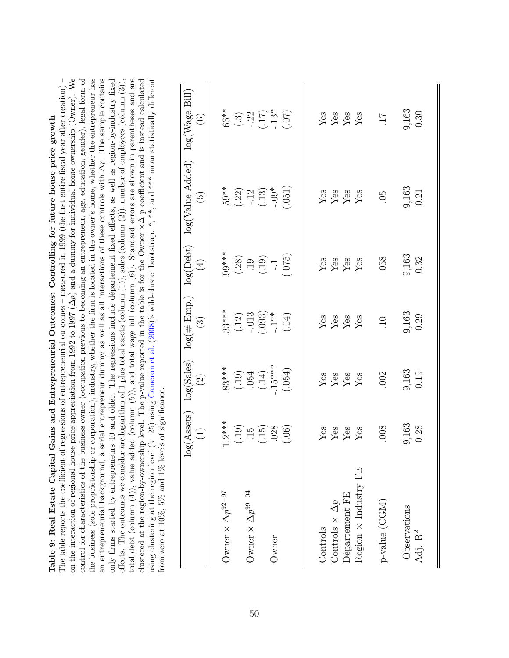| on the interaction of regional house price appreciation from 1992 to 1997 ( $\Delta p$ ) and a dummy for individual home ownership (Owner). We<br>control for characteristics of the business owner (occupation previous to becoming an entrepreneur, age, education, gender), legal form of<br>the business (sole proprietorship or corporation), industry, whether the firm is located in the owner's home, whether the entrepreneur has<br>total debt (column $(4)$ ), value added (column $(5)$ ), and total wage bill (column $(6)$ ). Standard errors are shown in parentheses and are<br>The table reports the coefficient of regressions of entrepreneurial outcomes – measured in 1999 (the first entire fiscal year after creation) –<br>clustered at the region-by-ownership level. The p-value reported in the table is for the Owner $\times\Delta$ p coefficient and is instead calculated<br>only firms started by entrepreneurs 40 and older. The regressions include departement fixed effects, as well as region-by-industry fixed<br>using clustering at the region level ( $k=25$ ) using Cameron et al. (2008)'s wild-cluster bootstrap. *, **, and *** mean statistically different<br>from zero at $10\%, 5\%$ and $1\%$ levels of significance.<br>an entrepreneurial background, a<br>effects. The outcomes we consider | g(A <sub>ssets</sub> )<br>$\bigoplus$<br>$\overline{\circ}$ | log(Sales)<br>$\widehat{S}$                             | $log($ $#$ Emp.)<br>$\odot$                          | log(Debt)<br>$\bigoplus$                       | serial entrepreneur dummy as well as all interactions of these controls with $\Delta p$ . The sample contains<br>are logarithm of 1 plus total assets (column $(1)$ ), sales (column $(2)$ ), number of employees (column $(3)$ ),<br>log(Value Added)<br>$\widetilde{\mathfrak{G}}$ | log(Wage Bill)<br>$\widehat{\odot}$          |
|--------------------------------------------------------------------------------------------------------------------------------------------------------------------------------------------------------------------------------------------------------------------------------------------------------------------------------------------------------------------------------------------------------------------------------------------------------------------------------------------------------------------------------------------------------------------------------------------------------------------------------------------------------------------------------------------------------------------------------------------------------------------------------------------------------------------------------------------------------------------------------------------------------------------------------------------------------------------------------------------------------------------------------------------------------------------------------------------------------------------------------------------------------------------------------------------------------------------------------------------------------------------------------------------------------------------------------------------------|-------------------------------------------------------------|---------------------------------------------------------|------------------------------------------------------|------------------------------------------------|--------------------------------------------------------------------------------------------------------------------------------------------------------------------------------------------------------------------------------------------------------------------------------------|----------------------------------------------|
|                                                                                                                                                                                                                                                                                                                                                                                                                                                                                                                                                                                                                                                                                                                                                                                                                                                                                                                                                                                                                                                                                                                                                                                                                                                                                                                                                  |                                                             |                                                         |                                                      |                                                |                                                                                                                                                                                                                                                                                      |                                              |
| Owner $\times \Delta p^{92-97}$                                                                                                                                                                                                                                                                                                                                                                                                                                                                                                                                                                                                                                                                                                                                                                                                                                                                                                                                                                                                                                                                                                                                                                                                                                                                                                                  | $1.2***$                                                    | $83***$                                                 | $33***$                                              | $.99***$                                       | $.59**$                                                                                                                                                                                                                                                                              | $.66**$                                      |
|                                                                                                                                                                                                                                                                                                                                                                                                                                                                                                                                                                                                                                                                                                                                                                                                                                                                                                                                                                                                                                                                                                                                                                                                                                                                                                                                                  |                                                             |                                                         |                                                      |                                                |                                                                                                                                                                                                                                                                                      |                                              |
| Owner $\times$ $\Delta p^{99-04}$                                                                                                                                                                                                                                                                                                                                                                                                                                                                                                                                                                                                                                                                                                                                                                                                                                                                                                                                                                                                                                                                                                                                                                                                                                                                                                                |                                                             |                                                         |                                                      |                                                |                                                                                                                                                                                                                                                                                      |                                              |
|                                                                                                                                                                                                                                                                                                                                                                                                                                                                                                                                                                                                                                                                                                                                                                                                                                                                                                                                                                                                                                                                                                                                                                                                                                                                                                                                                  | $(30)$<br>$(15)$<br>$(15)$<br>$(06)$                        | $+34.15$<br>$\begin{array}{c} .191 \\ .141 \end{array}$ | $(.12)$<br>$-.013$<br>$(.093)$<br>$-.1**$<br>$(.04)$ | $(0.19)$<br>$(0.19)$<br>$(-1.19)$<br>$(-1.19)$ | $(.22)$<br>$-.12$<br>$(.13)$<br>$-.09$ <sup>*</sup><br>$(.051)$                                                                                                                                                                                                                      | $(.3)$<br>$-.22$<br>$(.17)$<br>$(.13)$       |
| Owner                                                                                                                                                                                                                                                                                                                                                                                                                                                                                                                                                                                                                                                                                                                                                                                                                                                                                                                                                                                                                                                                                                                                                                                                                                                                                                                                            |                                                             |                                                         |                                                      |                                                |                                                                                                                                                                                                                                                                                      |                                              |
|                                                                                                                                                                                                                                                                                                                                                                                                                                                                                                                                                                                                                                                                                                                                                                                                                                                                                                                                                                                                                                                                                                                                                                                                                                                                                                                                                  |                                                             | (.054)                                                  |                                                      |                                                |                                                                                                                                                                                                                                                                                      |                                              |
| Controls                                                                                                                                                                                                                                                                                                                                                                                                                                                                                                                                                                                                                                                                                                                                                                                                                                                                                                                                                                                                                                                                                                                                                                                                                                                                                                                                         |                                                             |                                                         |                                                      |                                                |                                                                                                                                                                                                                                                                                      |                                              |
| Controls $\times \Delta p$                                                                                                                                                                                                                                                                                                                                                                                                                                                                                                                                                                                                                                                                                                                                                                                                                                                                                                                                                                                                                                                                                                                                                                                                                                                                                                                       |                                                             |                                                         |                                                      |                                                |                                                                                                                                                                                                                                                                                      |                                              |
| Département FE                                                                                                                                                                                                                                                                                                                                                                                                                                                                                                                                                                                                                                                                                                                                                                                                                                                                                                                                                                                                                                                                                                                                                                                                                                                                                                                                   | $\frac{Y}{X}$ es<br>$\frac{X}{X}$                           | Yes<br>Yes<br>Yes                                       | Yes<br>Yes<br>Yes                                    | $\frac{V}{Y}$ es<br>$\frac{V}{Y}$ es           | $\frac{V}{Y}$ es<br>$\frac{V}{Y}$ es                                                                                                                                                                                                                                                 | Yes<br>Yes<br>Yes                            |
| Region $\times$ Industry FE                                                                                                                                                                                                                                                                                                                                                                                                                                                                                                                                                                                                                                                                                                                                                                                                                                                                                                                                                                                                                                                                                                                                                                                                                                                                                                                      |                                                             | Yes                                                     | Yes                                                  |                                                |                                                                                                                                                                                                                                                                                      |                                              |
| p-value (CGM)                                                                                                                                                                                                                                                                                                                                                                                                                                                                                                                                                                                                                                                                                                                                                                                                                                                                                                                                                                                                                                                                                                                                                                                                                                                                                                                                    | .008                                                        | .002                                                    | $\overline{10}$                                      | .058                                           | 65                                                                                                                                                                                                                                                                                   | $\overline{11}$ .                            |
| Observations<br>Adj. $\mathbf{R}^2$                                                                                                                                                                                                                                                                                                                                                                                                                                                                                                                                                                                                                                                                                                                                                                                                                                                                                                                                                                                                                                                                                                                                                                                                                                                                                                              | 9,163<br>0.28                                               | $\begin{array}{c} 9,163 \\ 0.19 \end{array}$            | 9,163<br>0.29                                        | $\frac{9,163}{0.32}$                           | $\frac{9,163}{0.21}$                                                                                                                                                                                                                                                                 | $\begin{array}{c} 9,163 \\ 0.30 \end{array}$ |
|                                                                                                                                                                                                                                                                                                                                                                                                                                                                                                                                                                                                                                                                                                                                                                                                                                                                                                                                                                                                                                                                                                                                                                                                                                                                                                                                                  |                                                             |                                                         |                                                      |                                                |                                                                                                                                                                                                                                                                                      |                                              |

Table 9: Real Estate Capital Gains and Entrepreneurial Outcomes: Controlling for future house price growth.

Table 9: Real Estate Capital Gains and Entrepreneurial Outcomes: Controlling for future house price growth.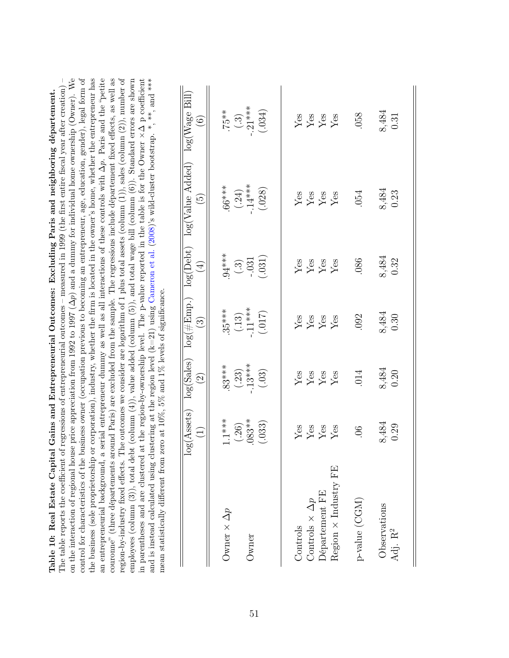<span id="page-51-0"></span>

|                                                                                         | log(Assets)<br>$\widehat{\Xi}$         | log(Sales)<br>$\widehat{\odot}$            | $\log(\#\text{Emp.})$<br>$\widehat{\mathbb{C}}$ | $log(Debt)$<br>$\bigoplus$                  | log(Value Added)<br>$\widetilde{\Xi}$           | log(Wage Bill)<br>$\widehat{\odot}$                 |
|-----------------------------------------------------------------------------------------|----------------------------------------|--------------------------------------------|-------------------------------------------------|---------------------------------------------|-------------------------------------------------|-----------------------------------------------------|
| Owner $\times \Delta p$<br>Owner                                                        | $(.26)$<br>083**<br>$1.1***$<br>(.033) | $(.23)$<br>$.13***$<br>$(.03)$<br>$.83***$ | $35***$<br>(.13)<br>.11***<br>.1017)            | $^{34***}$<br>$(.3)$<br>$-.031$<br>$(.031)$ | $(0.24)$<br>$(0.14**)$<br>$(0.028)$<br>$.66***$ | $75**$<br>(.3)<br>$.21**$<br>(.034)                 |
| $Region \times Industry FF$<br>Département FE<br>Controls $\times \Delta p$<br>Controls | <b>Yes<br/>Yes</b><br>Yes              | Yes<br>Yes<br>Yes                          | Yes<br>Yes<br>Yes<br>Yes                        | $\frac{Y}{X}$ es<br>$\frac{Y}{X}$ es        | Yes<br>Yes<br>Yes                               | $\frac{Yes}{Yes}$                                   |
| p-value (CGM)<br>Observations<br>Adj. $\mathbf{R}^2$                                    | 8,484<br>0.29<br>$90$ .                | 8,484<br>0.20<br>014                       | $\frac{8,484}{0.30}$<br>092                     | 8,484<br>0.32<br>.086                       | 8,484<br>0.23<br>054                            | $\begin{array}{c} 8,484 \\ 0.31 \end{array}$<br>058 |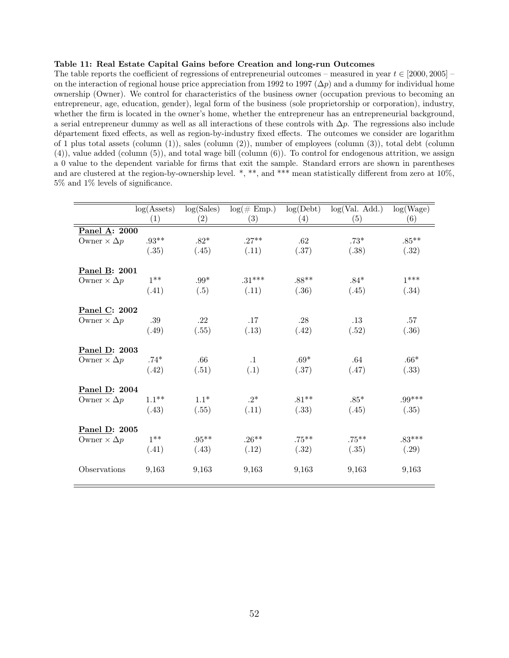### <span id="page-52-0"></span>Table 11: Real Estate Capital Gains before Creation and long-run Outcomes

The table reports the coefficient of regressions of entrepreneurial outcomes – measured in year  $t \in [2000, 2005]$ on the interaction of regional house price appreciation from 1992 to 1997 ( $\Delta p$ ) and a dummy for individual home ownership (Owner). We control for characteristics of the business owner (occupation previous to becoming an entrepreneur, age, education, gender), legal form of the business (sole proprietorship or corporation), industry, whether the firm is located in the owner's home, whether the entrepreneur has an entrepreneurial background, a serial entrepreneur dummy as well as all interactions of these controls with  $\Delta p$ . The regressions also include département fixed effects, as well as region-by-industry fixed effects. The outcomes we consider are logarithm of 1 plus total assets (column (1)), sales (column (2)), number of employees (column (3)), total debt (column (4)), value added (column (5)), and total wage bill (column (6)). To control for endogenous attrition, we assign a 0 value to the dependent variable for firms that exit the sample. Standard errors are shown in parentheses and are clustered at the region-by-ownership level. \*, \*\*, and \*\*\* mean statistically different from zero at  $10\%$ , 5% and 1% levels of significance.

|                         | log(A <sub>s</sub> ) | log(Sales)        | $log(\text{\# Emp.})$ | log(Debt)         | log(Val. Add.) | log(Wage)        |
|-------------------------|----------------------|-------------------|-----------------------|-------------------|----------------|------------------|
|                         | (1)                  | $\left( 2\right)$ | (3)                   | $\left( 4\right)$ | (5)            | (6)              |
| Panel A: 2000           |                      |                   |                       |                   |                |                  |
| Owner $\times \Delta p$ | $.93**$              | $.82^{\ast}$      | $.27**$               | .62               | $.73*$         | $.85^{\ast\ast}$ |
|                         | (.35)                | (.45)             | (.11)                 | (.37)             | (.38)          | (.32)            |
| Panel B: 2001           |                      |                   |                       |                   |                |                  |
| Owner $\times \Delta p$ | $1***$               | $.99^{\ast}$      | $.31***$              | $.88**$           | $.84*$         | $1***$           |
|                         | (.41)                | (.5)              | (.11)                 | (.36)             | (.45)          | (.34)            |
| Panel C: 2002           |                      |                   |                       |                   |                |                  |
| Owner $\times \Delta p$ | .39                  | .22               | .17                   | .28               | .13            | .57              |
|                         | (.49)                | (.55)             | (.13)                 | (.42)             | (.52)          | (.36)            |
| Panel D: 2003           |                      |                   |                       |                   |                |                  |
| Owner $\times \Delta p$ | $.74*$               | $.66\,$           | $\cdot$ 1             | $.69*$            | .64            | $.66*$           |
|                         | (.42)                | (.51)             | (.1)                  | (.37)             | (.47)          | (.33)            |
| Panel D: 2004           |                      |                   |                       |                   |                |                  |
| Owner $\times \Delta p$ | $1.1***$             | $1.1*$            | $.2*$                 | $.81**$           | $.85*$         | $.99***$         |
|                         | (.43)                | (.55)             | (.11)                 | (.33)             | (.45)          | (.35)            |
| Panel D: 2005           |                      |                   |                       |                   |                |                  |
| Owner $\times \Delta p$ | $1***$               | $.95***$          | $.26**$               | $.75***$          | $.75***$       | $.83***$         |
|                         | (.41)                | (.43)             | (.12)                 | (.32)             | (.35)          | (.29)            |
| Observations            | 9,163                | 9,163             | 9,163                 | 9,163             | 9,163          | 9,163            |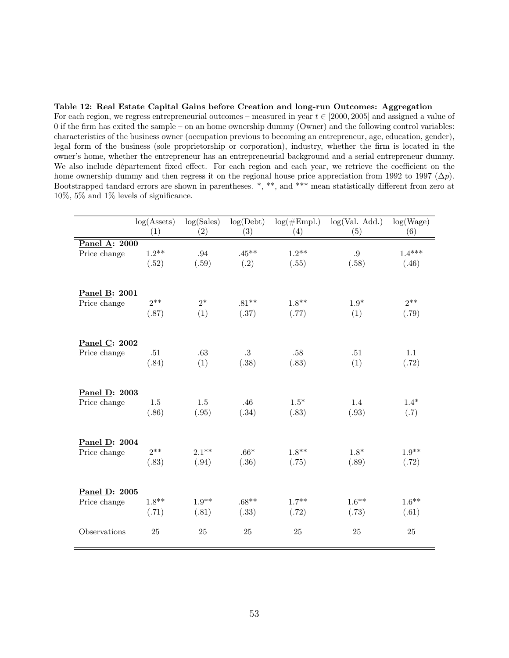<span id="page-53-0"></span>Table 12: Real Estate Capital Gains before Creation and long-run Outcomes: Aggregation For each region, we regress entrepreneurial outcomes – measured in year  $t \in [2000, 2005]$  and assigned a value of 0 if the firm has exited the sample – on an home ownership dummy (Owner) and the following control variables: characteristics of the business owner (occupation previous to becoming an entrepreneur, age, education, gender), legal form of the business (sole proprietorship or corporation), industry, whether the firm is located in the owner's home, whether the entrepreneur has an entrepreneurial background and a serial entrepreneur dummy. We also include département fixed effect. For each region and each year, we retrieve the coefficient on the home ownership dummy and then regress it on the regional house price appreciation from 1992 to 1997 ( $\Delta p$ ). Bootstrapped tandard errors are shown in parentheses. \*, \*\*, and \*\*\* mean statistically different from zero at 10%, 5% and 1% levels of significance.

|               | log(A <sub>s</sub> )<br>(1) | $\log(Sales)$<br>(2) | log(Debt)<br>(3) | $log(\#Empl.)$<br>(4) | log(Val. Add.)<br>(5) | log(Wage)<br>(6) |
|---------------|-----------------------------|----------------------|------------------|-----------------------|-----------------------|------------------|
| Panel A: 2000 |                             |                      |                  |                       |                       |                  |
| Price change  | $1.2**$                     | $.94\,$              | $.45***$         | $1.2**$               | $.9\,$                | $1.4***$         |
|               | (.52)                       | (.59)                | (.2)             | (.55)                 | (.58)                 | (.46)            |
|               |                             |                      |                  |                       |                       |                  |
| Panel B: 2001 |                             |                      |                  |                       |                       |                  |
| Price change  | $2^{**}$                    | $2*$                 | $.81**$          | $1.8**$               | $1.9*$                | $2**$            |
|               | (.87)                       | (1)                  | (.37)            | (.77)                 | (1)                   | (.79)            |
|               |                             |                      |                  |                       |                       |                  |
| Panel C: 2002 |                             |                      |                  |                       |                       |                  |
| Price change  | .51                         | .63                  | $\cdot 3$        | .58                   | .51                   | 1.1              |
|               | (.84)                       | (1)                  | (.38)            | (.83)                 | (1)                   | (.72)            |
|               |                             |                      |                  |                       |                       |                  |
|               |                             |                      |                  |                       |                       |                  |
| Panel D: 2003 |                             |                      |                  |                       |                       |                  |
| Price change  | 1.5                         | $1.5\,$              | .46              | $1.5*$                | 1.4                   | $1.4*$           |
|               | (.86)                       | (.95)                | (.34)            | (.83)                 | (.93)                 | (.7)             |
|               |                             |                      |                  |                       |                       |                  |
| Panel D: 2004 |                             |                      |                  |                       |                       |                  |
| Price change  | $2**$                       | $2.1***$             | $.66*$           | $1.8**$               | $1.8*$                | $1.9**$          |
|               | (.83)                       | (.94)                | (.36)            | (.75)                 | (.89)                 | (.72)            |
|               |                             |                      |                  |                       |                       |                  |
| Panel D: 2005 |                             |                      |                  |                       |                       |                  |
| Price change  | $1.8**$                     | $1.9**$              | $.68**$          | $1.7***$              | $1.6***$              | $1.6***$         |
|               | (.71)                       | (.81)                | (.33)            | (.72)                 | (.73)                 | (.61)            |
|               |                             |                      |                  |                       |                       |                  |
| Observations  | 25                          | 25                   | 25               | 25                    | 25                    | 25               |
|               |                             |                      |                  |                       |                       |                  |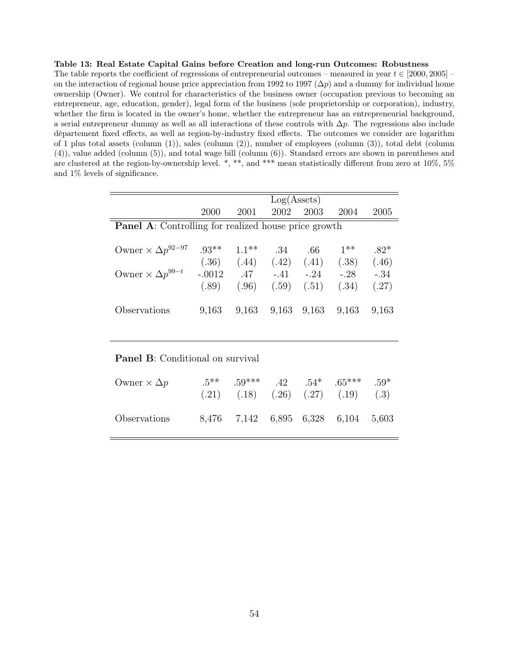### <span id="page-54-0"></span>Table 13: Real Estate Capital Gains before Creation and long-run Outcomes: Robustness

The table reports the coefficient of regressions of entrepreneurial outcomes – measured in year  $t \in [2000, 2005]$ on the interaction of regional house price appreciation from 1992 to 1997 ( $\Delta p$ ) and a dummy for individual home ownership (Owner). We control for characteristics of the business owner (occupation previous to becoming an entrepreneur, age, education, gender), legal form of the business (sole proprietorship or corporation), industry, whether the firm is located in the owner's home, whether the entrepreneur has an entrepreneurial background, a serial entrepreneur dummy as well as all interactions of these controls with  $\Delta p$ . The regressions also include département fixed effects, as well as region-by-industry fixed effects. The outcomes we consider are logarithm of 1 plus total assets (column (1)), sales (column (2)), number of employees (column (3)), total debt (column (4)), value added (column (5)), and total wage bill (column (6)). Standard errors are shown in parentheses and are clustered at the region-by-ownership level. \*, \*\*, and \*\*\* mean statistically different from zero at 10%, 5% and 1% levels of significance.

|                                                             |          |                                 | Log(A <sub>s</sub> ) |             |        |        |
|-------------------------------------------------------------|----------|---------------------------------|----------------------|-------------|--------|--------|
|                                                             | 2000     | 2001                            | 2002                 | 2003        | 2004   | 2005   |
| <b>Panel A:</b> Controlling for realized house price growth |          |                                 |                      |             |        |        |
|                                                             |          |                                 |                      |             |        |        |
| Owner $\times \Delta p^{92-97}$                             | $.93**$  | $1.1***$                        | .34                  | .66         | $1***$ | $.82*$ |
|                                                             |          | $(.36)$ $(.44)$ $(.42)$ $(.41)$ |                      |             | (.38)  | (.46)  |
| Owner $\times \Delta p^{99-t}$                              | $-.0012$ | .47                             | $-.41$               | $-.24$      | $-.28$ | $-.34$ |
|                                                             | (.89)    | (.96)                           | (.59)                | (.51)       | (.34)  | (.27)  |
|                                                             |          |                                 |                      |             |        |        |
| Observations                                                | 9,163    | 9,163                           |                      | 9,163 9,163 | 9,163  | 9,163  |
|                                                             |          |                                 |                      |             |        |        |

### Panel B: Conditional on survival

| Owner $\times \Delta p$ |  |  | $.5^{***}$ $.59^{***}$ $.42$ $.54^{*}$ $.65^{***}$ $.59^{*}$<br>$(.21)$ $(.18)$ $(.26)$ $(.27)$ $(.19)$ | (.3) |
|-------------------------|--|--|---------------------------------------------------------------------------------------------------------|------|
| Observations            |  |  | 8,476 7,142 6,895 6,328 6,104 5,603                                                                     |      |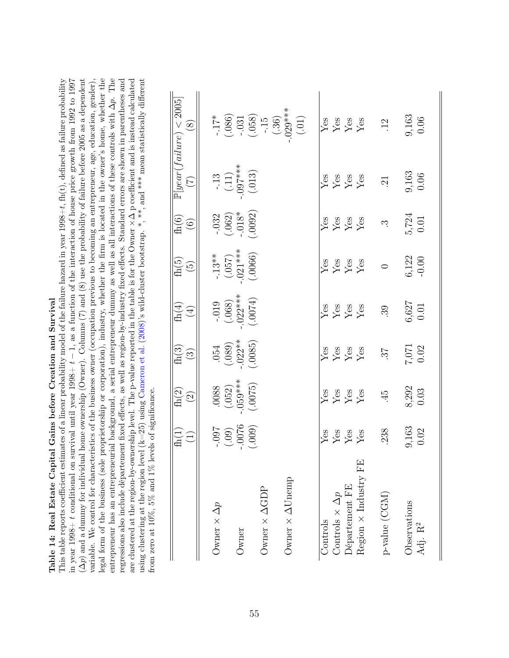<span id="page-55-0"></span>

|                              | fh(1)<br>$\left( \begin{matrix} 1 \ 1 \end{matrix} \right)$ | $\mathrm{fh}(2)$<br>$\widehat{\mathfrak{O}}$ | $\mathrm{fh}(3)$<br>$\odot$ | $\mathrm{fh}(4)$<br>$\bigoplus$ | $\mathrm{fh}(5)$<br>$\widetilde{\mathfrak{G}}$ | $\mathrm{fh}(6)$<br>$\widehat{\odot}$ | $\mathbb{P}[year(failure)$<br>E | 2005<br>$\circled{s}$       |
|------------------------------|-------------------------------------------------------------|----------------------------------------------|-----------------------------|---------------------------------|------------------------------------------------|---------------------------------------|---------------------------------|-----------------------------|
| Owner $\times \Delta p$      | -.097                                                       | .0088                                        | .054                        | $-0.019$                        | $-.13**$                                       | $-.032$                               | $-13$                           | $\ddot{5}$                  |
|                              | (.09)                                                       | $-059***$<br>(.052)                          | $-022**$<br>(.089)          | $.022***$<br>(.068)             | $.021***$<br>(057)                             | $(.062)$<br>$-.018*$                  | $-0.07***$<br>(.11)             | (.086)                      |
| Owner                        | $-0076$<br>(.009)                                           | (.0075)                                      | (.0085)                     | (0.0074)                        | (.0066)                                        | (.0092)                               | (.013)                          | $-031$                      |
| Owner $\times$ $\Delta GDP$  |                                                             |                                              |                             |                                 |                                                |                                       |                                 | $(.058)$<br>-.15            |
| Owner $\times \Delta$ Unemp  |                                                             |                                              |                             |                                 |                                                |                                       |                                 | $-.029***$<br>(.36)         |
|                              |                                                             |                                              |                             |                                 |                                                |                                       |                                 | $(.01)$                     |
| Controls                     | Yes                                                         | Yes                                          | Yes                         | Ýes                             | $Y$ es                                         | Yes                                   | Ýes                             | Yes                         |
| Controls $\times \Delta p$   | ${\rm Yes}$                                                 |                                              | $\ensuremath{\mathrm{Yes}}$ | $\ensuremath{\mathrm{Yes}}$     | $\rm \frac{Y_{CS}}{Y_{CS}}$                    | $\rm Yes$                             | $\ensuremath{\mathrm{Yes}}$     | ${\rm Yes}$                 |
| Département FE               | ${\rm Yes}$                                                 | $\rm \frac{Yes}{Yes}$                        | $\mathbf{Y}\mathbf{es}$     | $Y$ es                          |                                                | $\mathbf{Y}\mathbf{es}$               | $\ensuremath{\mathrm{Yes}}$     | $\ensuremath{\mathrm{Yes}}$ |
| Region $\times$ Industry FE  | Yes                                                         | Yes                                          | Yes                         | Yes                             | Yes                                            | Yes                                   | Yes                             | Yes                         |
| $p\negthinspace$ value (CGM) | 238                                                         | $\ddot{4}$                                   | 25                          | 39                              | $\circ$                                        | ς.                                    | $\ddot{21}$                     | $\overline{12}$             |
| Observations                 | 9,163                                                       | 8,292                                        | 7,071                       | 6,627                           | 6,122                                          | 5,724                                 | 9,163                           | 9,163                       |
| Adj. $\mathbf{R}^2$          | 0.02                                                        | 0.03                                         | $0.02\,$                    | $0.01\,$                        | $-0.00$                                        | 0.01                                  | 0.06                            | 0.06                        |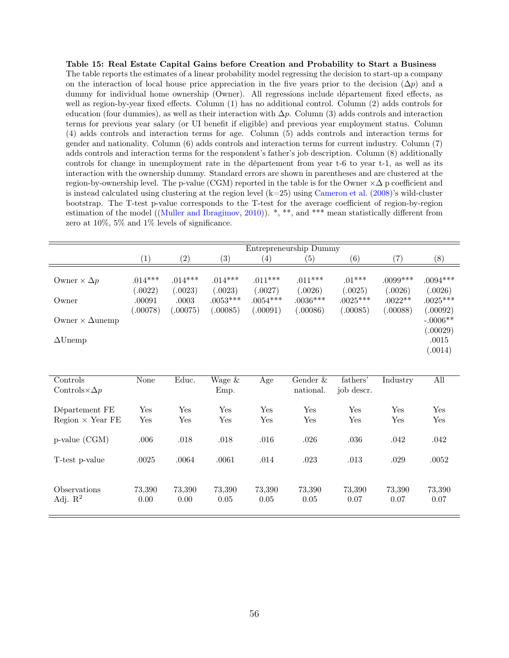<span id="page-56-0"></span>Table 15: Real Estate Capital Gains before Creation and Probability to Start a Business The table reports the estimates of a linear probability model regressing the decision to start-up a company on the interaction of local house price appreciation in the five years prior to the decision  $(\Delta p)$  and a dummy for individual home ownership (Owner). All regressions include département fixed effects, as well as region-by-year fixed effects. Column (1) has no additional control. Column (2) adds controls for education (four dummies), as well as their interaction with  $\Delta p$ . Column (3) adds controls and interaction terms for previous year salary (or UI benefit if eligible) and previous year employment status. Column (4) adds controls and interaction terms for age. Column (5) adds controls and interaction terms for gender and nationality. Column (6) adds controls and interaction terms for current industry. Column (7) adds controls and interaction terms for the respondent's father's job description. Column (8) additionally controls for change in unemployment rate in the département from year t-6 to year t-1, as well as its interaction with the ownership dummy. Standard errors are shown in parentheses and are clustered at the region-by-ownership level. The p-value (CGM) reported in the table is for the Owner  $\times\Delta$  p coefficient and is instead calculated using clustering at the region level  $(k=25)$  using [Cameron et al.](#page-32-8)  $(2008)$ 's wild-cluster bootstrap. The T-test p-value corresponds to the T-test for the average coefficient of region-by-region estimation of the model ([\(Muller and Ibragimov,](#page-34-6) [2010\)](#page-34-6)). \*, \*\*, and \*\*\* mean statistically different from zero at 10%, 5% and 1% levels of significance.

|                                                 |                                            |                                        |                                                |                                                | Entrepreneurship Dummy                        |                                               |                                                |                                                 |
|-------------------------------------------------|--------------------------------------------|----------------------------------------|------------------------------------------------|------------------------------------------------|-----------------------------------------------|-----------------------------------------------|------------------------------------------------|-------------------------------------------------|
|                                                 | $\left( 1\right)$                          | $\left( 2\right)$                      | $\left( 3\right)$                              | $\left( 4\right)$                              | (5)                                           | (6)                                           | (7)                                            | (8)                                             |
| Owner $\times \Delta p$<br>Owner                | $.014***$<br>(.0022)<br>.00091<br>(.00078) | $.014***$<br>(.0023)<br>.0003<br>00075 | $.014***$<br>(.0023)<br>$.0053***$<br>(.00085) | $.011***$<br>(.0027)<br>$.0054***$<br>(.00091) | $.011***$<br>0.0026<br>$.0036***$<br>(.00086) | $.01***$<br>(.0025)<br>$.0025***$<br>(.00085) | $.0099***$<br>(.0026)<br>$.0022**$<br>(.00088) | $.0094***$<br>(.0026)<br>$.0025***$<br>(.00092) |
| Owner $\times$ $\Delta$ unemp<br>$\Delta$ Unemp |                                            |                                        |                                                |                                                |                                               |                                               |                                                | $-.0006**$<br>(.00029)<br>.0015<br>(.0014)      |

| Controls                   | None   | Educ.  | Wage & | Age    | Gender &  | fathers'   | Industry | All    |
|----------------------------|--------|--------|--------|--------|-----------|------------|----------|--------|
| Controls $\times \Delta p$ |        |        | Emp.   |        | national. | job descr. |          |        |
|                            |        |        |        |        |           |            |          |        |
| Département FE             | Yes    | Yes    | Yes    | Yes    | Yes       | Yes        | Yes      | Yes    |
| $Region \times Year FE$    | Yes    | Yes    | Yes    | Yes    | Yes       | Yes        | Yes      | Yes    |
|                            |        |        |        |        |           |            |          |        |
| $p$ -value $(CGM)$         | .006   | .018   | .018   | .016   | .026      | .036       | .042     | .042   |
|                            |        |        |        |        |           |            |          |        |
| T-test p-value             | .0025  | .0064  | .0061  | .014   | .023      | .013       | .029     | .0052  |
|                            |        |        |        |        |           |            |          |        |
|                            |        |        |        |        |           |            |          |        |
| <i><b>Observations</b></i> | 73,390 | 73,390 | 73,390 | 73,390 | 73,390    | 73,390     | 73,390   | 73,390 |
| Adj. $\mathbb{R}^2$        | 0.00   | 0.00   | 0.05   | 0.05   | 0.05      | 0.07       | 0.07     | 0.07   |
|                            |        |        |        |        |           |            |          |        |
|                            |        |        |        |        |           |            |          |        |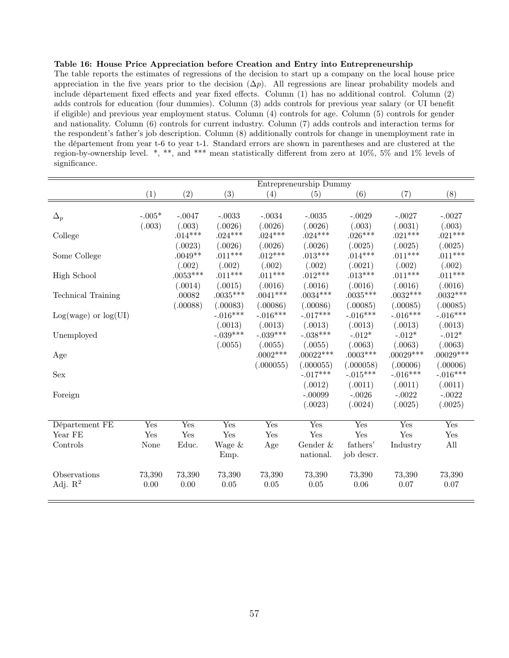### <span id="page-57-0"></span>Table 16: House Price Appreciation before Creation and Entry into Entrepreneurship

The table reports the estimates of regressions of the decision to start up a company on the local house price appreciation in the five years prior to the decision  $(\Delta p)$ . All regressions are linear probability models and include département fixed effects and year fixed effects. Column (1) has no additional control. Column (2) adds controls for education (four dummies). Column (3) adds controls for previous year salary (or UI benefit if eligible) and previous year employment status. Column (4) controls for age. Column (5) controls for gender and nationality. Column (6) controls for current industry. Column (7) adds controls and interaction terms for the respondent's father's job description. Column (8) additionally controls for change in unemployment rate in the département from year t-6 to year t-1. Standard errors are shown in parentheses and are clustered at the region-by-ownership level. \*, \*\*, and \*\*\* mean statistically different from zero at 10%, 5% and 1% levels of significance.

|                           |          |            |            |            | Entrepreneurship Dummy  |                           |                        |                        |
|---------------------------|----------|------------|------------|------------|-------------------------|---------------------------|------------------------|------------------------|
|                           | (1)      | (2)        | (3)        | (4)        | (5)                     | (6)                       | (7)                    | (8)                    |
|                           |          |            |            |            |                         |                           |                        |                        |
| $\Delta_p$                | $-.005*$ | $-.0047$   | $-.0033$   | $-.0034$   | $-.0035$                | $-.0029$                  | $-.0027$               | $-.0027$               |
|                           | (.003)   | (.003)     | (.0026)    | (.0026)    | (.0026)                 | (.003)                    | (.0031)                | (.003)                 |
| College                   |          | $.014***$  | $.024***$  | $.024***$  | $.024***$               | $.026***$                 | $.021***$              | $.021***$              |
|                           |          | (.0023)    | (.0026)    | (.0026)    | (.0026)                 | (.0025)                   | (.0025)                | (.0025)                |
| Some College              |          | $.0049**$  | $.011***$  | $.012***$  | $.013***$               | $.014***$                 | $.011***$              | $.011***$              |
|                           |          | (.002)     | (.002)     | (.002)     | (.002)                  | (.0021)                   | (.002)                 | (.002)                 |
| <b>High School</b>        |          | $.0053***$ | $.011***$  | $.011***$  | $.012***$               | $.013***$                 | $.011***$              | $.011***$              |
|                           |          | (.0014)    | (.0015)    | (.0016)    | (.0016)                 | (.0016)                   | (.0016)                | (.0016)                |
| <b>Technical Training</b> |          | .00082     | $.0035***$ | $.0041***$ | $.0034***$              | $.0035***$                | $.0032***$             | $.0032***$             |
|                           |          | (.00088)   | (.00083)   | (.00086)   | (.00086)                | (.00085)                  | (.00085)               | (.00085)               |
| $Log(wage)$ or $log(UI)$  |          |            | $-.016***$ | $-.016***$ | $-.017***$              | $-.016***$                | $-.016***$             | $-.016***$             |
|                           |          |            | (.0013)    | (.0013)    | (.0013)                 | (.0013)                   | (.0013)                | (.0013)                |
| Unemployed                |          |            | $-.039***$ | $-.039***$ | $-.038***$              | $-.012^{\ast}$            | $-.012*$               | $-.012*$               |
|                           |          |            | (.0055)    | (.0055)    | (.0055)                 | (.0063)                   | (.0063)                | (.0063)                |
| Age                       |          |            |            | $.0002***$ | $.00022***$             | $.0003***$                | $.00029***$            | $.00029***$            |
|                           |          |            |            | (.000055)  | (.000055)<br>$-.017***$ | (.000058)<br>$-.015***$   | (.00006)<br>$-.016***$ | (.00006)<br>$-.016***$ |
| Sex                       |          |            |            |            |                         |                           |                        |                        |
|                           |          |            |            |            | (.0012)<br>$-.00099$    | (.0011)<br>$-.0026$       | (.0011)<br>$-.0022$    | (.0011)<br>$-.0022$    |
| Foreign                   |          |            |            |            | (.0023)                 | (.0024)                   | (.0025)                | (.0025)                |
|                           |          |            |            |            |                         |                           |                        |                        |
| Département FE            | Yes      | Yes        | Yes        | Yes        | Yes                     | $\overline{\mathrm{Yes}}$ | Yes                    | Yes                    |
| Year FE                   | Yes      | Yes        | Yes        | Yes        | Yes                     | Yes                       | Yes                    | Yes                    |
| Controls                  | None     | Educ.      | Wage &     | Age        | Gender $\&$             | fathers'                  | Industry               | All                    |
|                           |          |            | Emp.       |            | national.               | job descr.                |                        |                        |
|                           |          |            |            |            |                         |                           |                        |                        |
| Observations              | 73,390   | 73,390     | 73,390     | 73,390     | 73,390                  | 73,390                    | 73,390                 | 73,390                 |
| Adj. $R^2$                | 0.00     | 0.00       | 0.05       | $0.05\,$   | 0.05                    | $0.06\,$                  | 0.07                   | 0.07                   |
|                           |          |            |            |            |                         |                           |                        |                        |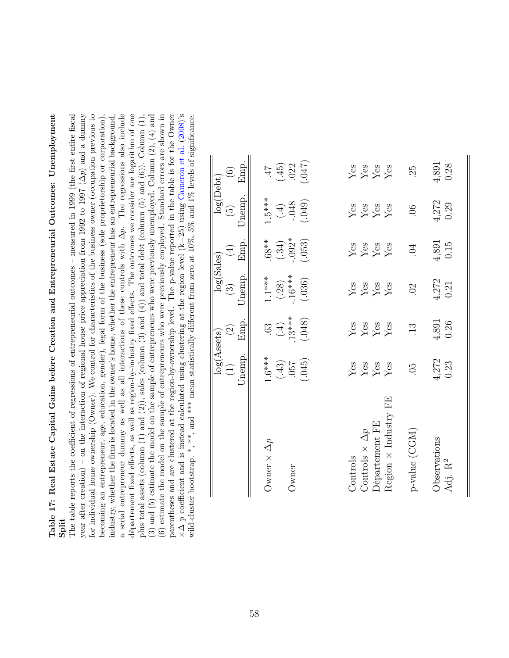<span id="page-58-0"></span>Table 17: Real Estate Capital Gains before Creation and Entrepreneurial Outcomes: Unemployment Table 17: Real Estate Capital Gains before Creation and Entrepreneurial Outcomes: Unemployment

Split<br>The table reports the coefficient of regressions of entrepreneurial outcomes – measured in 1999 (the first entire fiscal year after creation) – on the interaction of regional house price appreciation from 1992 to 1997 ( $\Delta p$ ) and a dummy for individual home ownership (Owner). We control for characteristics of the business owner (occupation previous to a serial entrepreneur dummy as well as all interactions of these controls with  $\Delta p$ . The regressions also include département fixed effects, as well as region-by-industry fixed effects. The outcomes we consider are logarithm of one parentheses and are clustered at the region-by-ownership level. The p-value reported in the table is for the Owner The table reports the coefficient of regressions of entrepreneurial outcomes – measured in 1999 (the first entire fiscal  $p)$  and a dummy for individual home ownership (Owner). We control for characteristics of the business owner (occupation previous to oecoming an entrepreneur, age, education, gender), legal form of the business (sole proprietorship or corporation), industry, whether the firm is located in the owner's home, whether the entrepreneur has an entrepreneurial background,  $p$ . The regressions also include département fixed effects, as well as region-by-industry fixed effects. The outcomes we consider are logarithm of one plus total assets (column  $(1)$  and  $(2)$ ), sales (column  $(3)$  and  $(4)$ ) and total debt (column  $(5)$  and  $(6)$ ). Column  $(1)$ , 3) and (5) estimate the model on the sample of entrepreneurs who were previously unemployed. Column  $(2)$ ,  $(4)$  and (3) and (5) estimate the model on the sample of entrepreneurs who were previously unemployed. Column (2), (4) and (6) estimate the model on the sample of entrepreneurs who were previously employed. Standard errors are shown in (6) estimate the model on the sample of entrepreneurs who were previously employed. Standard errors are shown in parentheses and are clustered at the region-by-ownership level. The p-value reported in the table is for the Owner wild-cluster bootstrap. \*, \*\*, and \*\*\* mean statistically different from zero at  $10\%$ ,  $5\%$  and  $1\%$  levels of significance. becoming an entrepreneur, age, education, gender), legal form of the business (sole proprietorship or corporation), industry, whether the firm is located in the owner's home, whether the entrepreneur has an entrepreneurial background, plus total assets (column (1) and (2)), sales (column (3) and (4)) and total debt (column (5) and (6)). Column (1),  $\Delta$  p coefficient and is instead calculated using clustering at the region level  $(k=25)$  using [Cameron](#page-32-8) et al.  $(2008)$ 's<br>id about the set of the set of the set of the region level  $(k=25)$  using Cameron et al.  $(2008)$ 's wild-cluster bootstrap. \*, \*\*, and \*\*\* mean statistically different from zero at 10%, 5% and 1% levels of significance. year after creation) – on the interaction of regional house price appreciation from 1992 to 1997 ( $\angle$ a serial entrepreneur dummy as well as all interactions of these controls with ×∆

|                                                                                           | $log(A{\text{ssets}})$<br>Jnemp.<br>$\left( 1\right)$ | Emp.<br>$\widehat{c}$                 | $\log(\mathrm{Sales})$<br>Jnemp.<br>$\binom{3}{2}$ | Emp.<br>$\bigoplus$                               | log(Debt)<br>Jnemp.<br>$\left(5\right)$             | Emp.<br>$\widehat{\odot}$                                                         |
|-------------------------------------------------------------------------------------------|-------------------------------------------------------|---------------------------------------|----------------------------------------------------|---------------------------------------------------|-----------------------------------------------------|-----------------------------------------------------------------------------------|
| Owner $\times$ $\Delta p$<br>Jwner                                                        | $1.6***$<br>(.43)<br>(.957)<br>(.045)                 | $\frac{(63)}{(4)}$<br>13***<br>(.048) | $1.1***$<br>(.28)<br>.16***<br>.16***              | $68$ $*$<br>(.34)<br>(.392 <sup>*</sup><br>(.053) | $1.5***$<br>$(.4)$<br>$(.4)$<br>$(.4)$<br>$(-0.48)$ | $(45)$<br>$(45)$<br>$(022)$                                                       |
| Region $\times$ Industry FE<br>Département FE<br>Controls $\times$ $\Delta p$<br>Controls | <b>Yes</b><br>Yes<br>Yes                              | $\frac{Y}{X}$ es<br>$\frac{X}{X}$ es  | Yes<br>Yes<br>Yes                                  | <b>Yes</b><br>Yes<br>Yes                          | Yes<br>Yes<br>Yes                                   | $\frac{Y}{X}$<br>$\frac{X}{X}$<br>$\frac{X}{X}$<br>$\frac{X}{X}$<br>$\frac{X}{X}$ |
| p-value (CGM)<br><b>Observations</b><br>Adj. $\mathbf{R}^2$                               | $4,272$<br>0.23<br>05                                 | 4,891<br>0.26<br>$\ddot{1}3$          | $4,272$<br>0.21<br>$\odot$                         | $4,891$<br>0.15<br>$\ddot{\phantom{0}}$           | 4,272<br>0.29<br>06                                 | 4,891<br>0.28<br>25                                                               |
|                                                                                           |                                                       |                                       |                                                    |                                                   |                                                     |                                                                                   |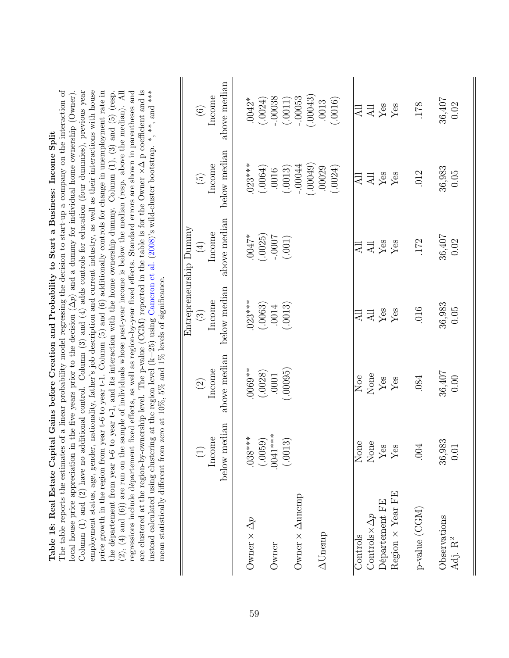| are clustered at the region-by-ownership level. The p-value (CGM) reported in the table is for the Owner $\times\Delta$ p coefficient and is<br>$(2)$ , (4) and (6)) are run on the sample of individuals whose past-year income is below the median (resp. above the median). All $(2)$ , (4) and (6)) are run on the sample of individuals whose past-year income is below th<br>instead calculated using clustering at the region level (k=25) using Cameron et al. (2008)'s wild-cluster bootstrap. *, **, and ***<br>regressions include département fixed effects, as well as region-by-year fixed effects. Standard errors are shown in parentheses and<br>mean statistically different from zero at $10\%$ , $5\%$ and $1\%$ levels of significance. | above median<br>Income<br>$\odot$<br>below median<br>Income<br>$\widetilde{G}$<br>above median<br>Entrepreneurship Dummy<br>Income<br>$\bigoplus$<br>below median<br>Income<br>$\widehat{\mathbb{C}}$ | (.00043)<br>.00038<br>$-00053$<br>(.0024)<br>(.0011)<br>$.0042*$<br>(.0016)<br>.0013<br>$.023***$<br>(.00049)<br>$-00044$<br>(.0064)<br>.00029<br>(.0024)<br>(.0013)<br>.0016<br>*4b00.<br>$(.0025)$<br>-.0007<br>(.001)<br>$.023***$<br>$(.0063)$<br>.0014<br>(.0013) | <b>All</b><br>Yes<br>$\overline{AB}$<br>$\frac{\text{AII}}{\text{Yes}}$<br>Yes<br>All<br><b>All</b><br>Yes<br>Yes<br>$\overline{AB}$<br><b>All</b><br>Yes<br>Yes<br>$\overline{AB}$ | 36,407<br>0.02<br>178<br>36,983<br>0.05<br>.012<br>36,407<br>0.02<br>172<br>36,983<br>$0.05$<br>016 |
|--------------------------------------------------------------------------------------------------------------------------------------------------------------------------------------------------------------------------------------------------------------------------------------------------------------------------------------------------------------------------------------------------------------------------------------------------------------------------------------------------------------------------------------------------------------------------------------------------------------------------------------------------------------------------------------------------------------------------------------------------------------|-------------------------------------------------------------------------------------------------------------------------------------------------------------------------------------------------------|------------------------------------------------------------------------------------------------------------------------------------------------------------------------------------------------------------------------------------------------------------------------|-------------------------------------------------------------------------------------------------------------------------------------------------------------------------------------|-----------------------------------------------------------------------------------------------------|
|                                                                                                                                                                                                                                                                                                                                                                                                                                                                                                                                                                                                                                                                                                                                                              |                                                                                                                                                                                                       |                                                                                                                                                                                                                                                                        |                                                                                                                                                                                     |                                                                                                     |
|                                                                                                                                                                                                                                                                                                                                                                                                                                                                                                                                                                                                                                                                                                                                                              | above median<br>Income<br>$\widehat{\mathcal{O}}$                                                                                                                                                     | (.00095)<br>$0069**$<br>(.0028)<br>.0001                                                                                                                                                                                                                               | None<br>Noe<br>$\operatorname{Yes}$<br>Yes                                                                                                                                          | 36,407<br>0.00<br>.084                                                                              |
|                                                                                                                                                                                                                                                                                                                                                                                                                                                                                                                                                                                                                                                                                                                                                              | below median<br>Income<br>$\Xi$                                                                                                                                                                       | $***$<br>$.038***$<br>(.0059)<br>(.0013)<br>.0041                                                                                                                                                                                                                      | None<br>$\rm None$<br>Ö٤<br>Q<br>$Y_e$<br>$\mathsf{Y}^{\mathsf{e}}$                                                                                                                 | 36,983<br>$0.01\,$<br>.004                                                                          |
|                                                                                                                                                                                                                                                                                                                                                                                                                                                                                                                                                                                                                                                                                                                                                              |                                                                                                                                                                                                       | Owner $\times$ $\Delta$ unemp<br>Owner $\times$ $\Delta p$<br>$\Delta$ Unemp<br>Owner                                                                                                                                                                                  | Region $\times$ Year FE<br>Département FE<br>Controls $\times \Delta p$<br>Controls                                                                                                 | p-value (CGM)<br>Observations<br>Adj. R <sup>2</sup>                                                |

<span id="page-59-0"></span>The table reports the estimates of a linear probability model regressing the decision to start-up a company on the interaction of local house price appreciation in the five years prior to the decision  $(\Delta p)$  and a dummy for individual home ownership (Owner). Column  $(1)$  and  $(2)$  have no additional control. Column  $(3)$  and  $(4)$  adds controls for education (four dummies), previous year employment status, age, gender, nationality, father's job description and current industry, as well as their interactions with house price growth in the region from year t-6 to year t-1. Column (5) and (6) additionally controls for change in unemployment rate in The table reports the estimates of a linear probability model regressing the decision to start-up a company on the interaction of p) and a dummy for individual home ownership (Owner). Column (1) and (2) have no additional control. Column (3) and (4) adds controls for education (four dummies), previous year employment status, age, gender, nationality, father's job description and current industry, as well as their interactions with house price growth in the region from year t-6 to year t-1. Column (5) and (6) additionally controls for change in unemployment rate in the departement from year t-6 to year t-1, and its interaction with the home ownership dummy. Column  $(1)$ ,  $(3)$  and  $(5)$  (resp. the département from year t-6 to year t-1, and its interaction with the home ownership dummy. Column (1), (3) and (5) (resp. Table 18: Real Estate Capital Gains before Creation and Probability to Start a Business: Income Split Table 18: Real Estate Capital Gains before Creation and Probability to Start a Business: Income Split local house price appreciation in the five years prior to the decision (